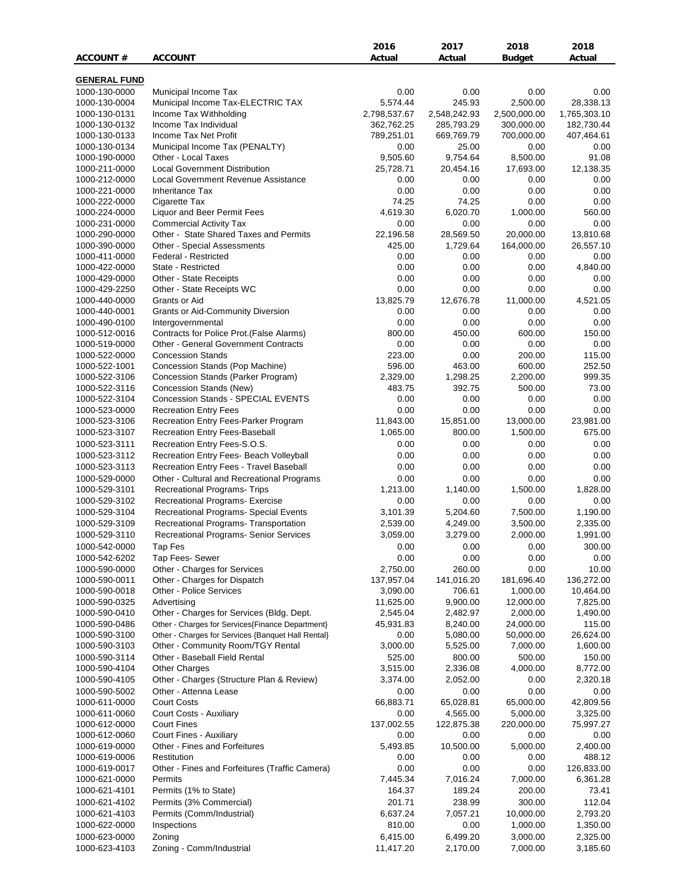|                                |                                                                          | 2016                     | 2017                   | 2018                       | 2018                       |
|--------------------------------|--------------------------------------------------------------------------|--------------------------|------------------------|----------------------------|----------------------------|
| ACCOUNT#                       | <b>ACCOUNT</b>                                                           | Actual                   | Actual                 | Budget                     | Actual                     |
|                                |                                                                          |                          |                        |                            |                            |
| <b>GENERAL FUND</b>            |                                                                          |                          |                        |                            |                            |
| 1000-130-0000                  | Municipal Income Tax                                                     | 0.00                     | 0.00                   | 0.00                       | 0.00                       |
| 1000-130-0004                  | Municipal Income Tax-ELECTRIC TAX<br>Income Tax Withholding              | 5,574.44<br>2,798,537.67 | 245.93<br>2,548,242.93 | 2,500.00                   | 28,338.13                  |
| 1000-130-0131<br>1000-130-0132 | Income Tax Individual                                                    | 362,762.25               | 285,793.29             | 2,500,000.00<br>300,000.00 | 1,765,303.10<br>182,730.44 |
| 1000-130-0133                  | Income Tax Net Profit                                                    | 789,251.01               | 669,769.79             | 700,000.00                 | 407,464.61                 |
| 1000-130-0134                  | Municipal Income Tax (PENALTY)                                           | 0.00                     | 25.00                  | 0.00                       | 0.00                       |
| 1000-190-0000                  | Other - Local Taxes                                                      | 9,505.60                 | 9,754.64               | 8,500.00                   | 91.08                      |
| 1000-211-0000                  | <b>Local Government Distribution</b>                                     | 25,728.71                | 20,454.16              | 17,693.00                  | 12,138.35                  |
| 1000-212-0000                  | Local Government Revenue Assistance                                      | 0.00                     | 0.00                   | 0.00                       | 0.00                       |
| 1000-221-0000                  | <b>Inheritance Tax</b>                                                   | 0.00                     | 0.00                   | 0.00                       | 0.00                       |
| 1000-222-0000                  | Cigarette Tax                                                            | 74.25                    | 74.25                  | 0.00                       | 0.00                       |
| 1000-224-0000                  | Liquor and Beer Permit Fees                                              | 4,619.30                 | 6,020.70               | 1,000.00                   | 560.00                     |
| 1000-231-0000                  | <b>Commercial Activity Tax</b>                                           | 0.00                     | 0.00                   | 0.00                       | 0.00                       |
| 1000-290-0000                  | Other - State Shared Taxes and Permits                                   | 22,196.58                | 28,569.50              | 20,000.00                  | 13,810.68                  |
| 1000-390-0000                  | Other - Special Assessments                                              | 425.00                   | 1,729.64               | 164,000.00                 | 26,557.10                  |
| 1000-411-0000                  | Federal - Restricted                                                     | 0.00                     | 0.00                   | 0.00                       | 0.00                       |
| 1000-422-0000                  | State - Restricted                                                       | 0.00                     | 0.00                   | 0.00                       | 4,840.00                   |
| 1000-429-0000<br>1000-429-2250 | Other - State Receipts<br>Other - State Receipts WC                      | 0.00<br>0.00             | 0.00<br>0.00           | 0.00<br>0.00               | 0.00<br>0.00               |
| 1000-440-0000                  | Grants or Aid                                                            | 13,825.79                | 12,676.78              | 11,000.00                  | 4,521.05                   |
| 1000-440-0001                  | <b>Grants or Aid-Community Diversion</b>                                 | 0.00                     | 0.00                   | 0.00                       | 0.00                       |
| 1000-490-0100                  | Intergovernmental                                                        | 0.00                     | 0.00                   | 0.00                       | 0.00                       |
| 1000-512-0016                  | Contracts for Police Prot. (False Alarms)                                | 800.00                   | 450.00                 | 600.00                     | 150.00                     |
| 1000-519-0000                  | <b>Other - General Government Contracts</b>                              | 0.00                     | 0.00                   | 0.00                       | 0.00                       |
| 1000-522-0000                  | <b>Concession Stands</b>                                                 | 223.00                   | 0.00                   | 200.00                     | 115.00                     |
| 1000-522-1001                  | Concession Stands (Pop Machine)                                          | 596.00                   | 463.00                 | 600.00                     | 252.50                     |
| 1000-522-3106                  | Concession Stands (Parker Program)                                       | 2,329.00                 | 1,298.25               | 2,200.00                   | 999.35                     |
| 1000-522-3116                  | Concession Stands (New)                                                  | 483.75                   | 392.75                 | 500.00                     | 73.00                      |
| 1000-522-3104                  | Concession Stands - SPECIAL EVENTS                                       | 0.00                     | 0.00                   | 0.00                       | 0.00                       |
| 1000-523-0000                  | <b>Recreation Entry Fees</b>                                             | 0.00                     | 0.00                   | 0.00                       | 0.00                       |
| 1000-523-3106                  | Recreation Entry Fees-Parker Program                                     | 11,843.00                | 15,851.00              | 13,000.00                  | 23,981.00                  |
| 1000-523-3107                  | Recreation Entry Fees-Baseball                                           | 1,065.00                 | 800.00                 | 1,500.00                   | 675.00                     |
| 1000-523-3111                  | Recreation Entry Fees-S.O.S.                                             | 0.00                     | 0.00                   | 0.00                       | 0.00                       |
| 1000-523-3112                  | Recreation Entry Fees- Beach Volleyball                                  | 0.00                     | 0.00                   | 0.00                       | 0.00                       |
| 1000-523-3113                  | Recreation Entry Fees - Travel Baseball                                  | 0.00                     | 0.00                   | 0.00                       | 0.00                       |
| 1000-529-0000<br>1000-529-3101 | Other - Cultural and Recreational Programs                               | 0.00<br>1,213.00         | 0.00<br>1,140.00       | 0.00<br>1,500.00           | 0.00<br>1,828.00           |
|                                | Recreational Programs- Trips                                             | 0.00                     | 0.00                   | 0.00                       |                            |
| 1000-529-3102<br>1000-529-3104 | Recreational Programs- Exercise<br>Recreational Programs- Special Events | 3,101.39                 | 5,204.60               | 7,500.00                   | 0.00<br>1,190.00           |
| 1000-529-3109                  | Recreational Programs- Transportation                                    | 2,539.00                 | 4,249.00               | 3,500.00                   | 2,335.00                   |
| 1000-529-3110                  | Recreational Programs- Senior Services                                   | 3,059.00                 | 3,279.00               | 2,000.00                   | 1,991.00                   |
| 1000-542-0000                  | Tap Fes                                                                  | 0.00                     | 0.00                   | 0.00                       | 300.00                     |
| 1000-542-6202                  | Tap Fees- Sewer                                                          | 0.00                     | 0.00                   | 0.00                       | 0.00                       |
| 1000-590-0000                  | Other - Charges for Services                                             | 2,750.00                 | 260.00                 | 0.00                       | 10.00                      |
| 1000-590-0011                  | Other - Charges for Dispatch                                             | 137,957.04               | 141,016.20             | 181,696.40                 | 136,272.00                 |
| 1000-590-0018                  | Other - Police Services                                                  | 3,090.00                 | 706.61                 | 1,000.00                   | 10,464.00                  |
| 1000-590-0325                  | Advertising                                                              | 11,625.00                | 9,900.00               | 12,000.00                  | 7,825.00                   |
| 1000-590-0410                  | Other - Charges for Services (Bldg. Dept.                                | 2,545.04                 | 2,482.97               | 2,000.00                   | 1,490.00                   |
| 1000-590-0486                  | Other - Charges for Services{Finance Department}                         | 45,931.83                | 8,240.00               | 24,000.00                  | 115.00                     |
| 1000-590-3100                  | Other - Charges for Services {Banquet Hall Rental}                       | 0.00                     | 5,080.00               | 50,000.00                  | 26,624.00                  |
| 1000-590-3103                  | Other - Community Room/TGY Rental                                        | 3,000.00                 | 5,525.00               | 7,000.00                   | 1,600.00                   |
| 1000-590-3114                  | Other - Baseball Field Rental                                            | 525.00                   | 800.00                 | 500.00                     | 150.00                     |
| 1000-590-4104<br>1000-590-4105 | <b>Other Charges</b><br>Other - Charges (Structure Plan & Review)        | 3,515.00<br>3,374.00     | 2,336.08<br>2,052.00   | 4,000.00<br>0.00           | 8,772.00<br>2,320.18       |
| 1000-590-5002                  | Other - Attenna Lease                                                    | 0.00                     | 0.00                   | 0.00                       | 0.00                       |
| 1000-611-0000                  | <b>Court Costs</b>                                                       | 66,883.71                | 65,028.81              | 65,000.00                  | 42,809.56                  |
| 1000-611-0060                  | Court Costs - Auxiliary                                                  | 0.00                     | 4,565.00               | 5,000.00                   | 3,325.00                   |
| 1000-612-0000                  | <b>Court Fines</b>                                                       | 137,002.55               | 122,875.38             | 220,000.00                 | 75,997.27                  |
| 1000-612-0060                  | Court Fines - Auxiliary                                                  | 0.00                     | 0.00                   | 0.00                       | 0.00                       |
| 1000-619-0000                  | Other - Fines and Forfeitures                                            | 5,493.85                 | 10,500.00              | 5,000.00                   | 2,400.00                   |
| 1000-619-0006                  | Restitution                                                              | 0.00                     | 0.00                   | 0.00                       | 488.12                     |
| 1000-619-0017                  | Other - Fines and Forfeitures (Traffic Camera)                           | 0.00                     | 0.00                   | 0.00                       | 126,833.00                 |
| 1000-621-0000                  | Permits                                                                  | 7,445.34                 | 7,016.24               | 7,000.00                   | 6,361.28                   |
| 1000-621-4101                  | Permits (1% to State)                                                    | 164.37                   | 189.24                 | 200.00                     | 73.41                      |
| 1000-621-4102                  | Permits (3% Commercial)                                                  | 201.71                   | 238.99                 | 300.00                     | 112.04                     |
| 1000-621-4103                  | Permits (Comm/Industrial)                                                | 6,637.24                 | 7,057.21               | 10,000.00                  | 2,793.20                   |
| 1000-622-0000                  | Inspections                                                              | 810.00                   | 0.00                   | 1,000.00                   | 1,350.00                   |
| 1000-623-0000                  | Zoning                                                                   | 6,415.00                 | 6,499.20               | 3,000.00                   | 2,325.00                   |
| 1000-623-4103                  | Zoning - Comm/Industrial                                                 | 11,417.20                | 2,170.00               | 7,000.00                   | 3,185.60                   |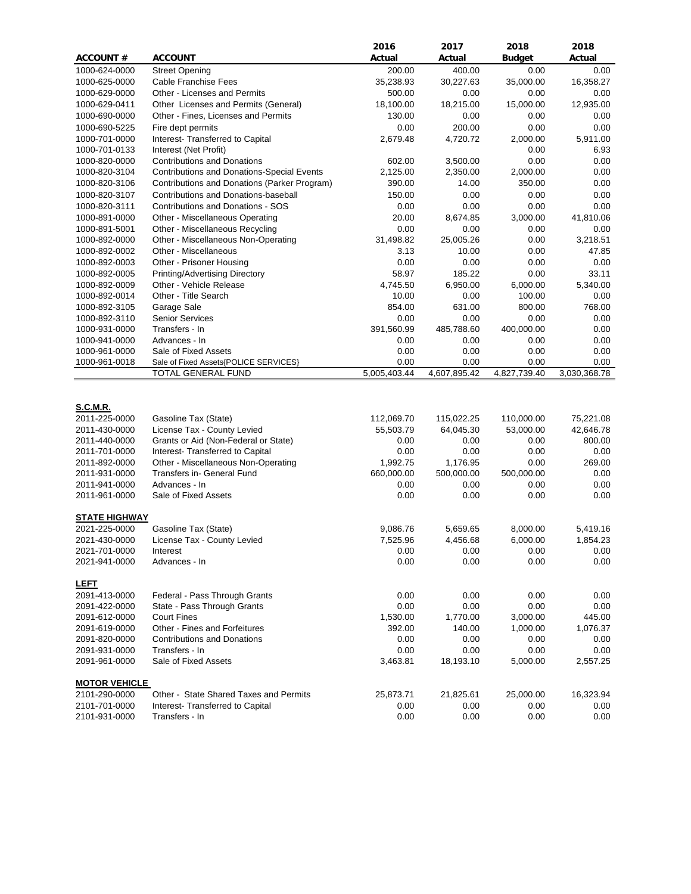|                      |                                                                                      | 2016         | 2017         | 2018          | 2018         |
|----------------------|--------------------------------------------------------------------------------------|--------------|--------------|---------------|--------------|
| <b>ACCOUNT#</b>      | <b>ACCOUNT</b>                                                                       | Actual       | Actual       | <b>Budget</b> | Actual       |
| 1000-624-0000        | <b>Street Opening</b>                                                                | 200.00       | 400.00       | 0.00          | 0.00         |
| 1000-625-0000        | <b>Cable Franchise Fees</b>                                                          | 35,238.93    | 30,227.63    | 35,000.00     | 16,358.27    |
| 1000-629-0000        | Other - Licenses and Permits                                                         | 500.00       | 0.00         | 0.00          | 0.00         |
| 1000-629-0411        | Other Licenses and Permits (General)                                                 | 18,100.00    | 18,215.00    | 15,000.00     | 12,935.00    |
| 1000-690-0000        | Other - Fines, Licenses and Permits                                                  | 130.00       | 0.00         | 0.00          | 0.00         |
| 1000-690-5225        | Fire dept permits                                                                    | 0.00         | 200.00       | 0.00          | 0.00         |
| 1000-701-0000        | Interest- Transferred to Capital                                                     | 2,679.48     | 4,720.72     | 2,000.00      | 5,911.00     |
| 1000-701-0133        | Interest (Net Profit)                                                                |              |              | 0.00          | 6.93         |
| 1000-820-0000        | <b>Contributions and Donations</b>                                                   | 602.00       | 3,500.00     | 0.00          | 0.00         |
| 1000-820-3104        | <b>Contributions and Donations-Special Events</b>                                    | 2,125.00     | 2,350.00     | 2,000.00      | 0.00         |
| 1000-820-3106        |                                                                                      | 390.00       | 14.00        | 350.00        | 0.00         |
| 1000-820-3107        | Contributions and Donations (Parker Program)<br>Contributions and Donations-baseball | 150.00       | 0.00         | 0.00          | 0.00         |
|                      |                                                                                      |              |              |               |              |
| 1000-820-3111        | <b>Contributions and Donations - SOS</b>                                             | 0.00         | 0.00         | 0.00          | 0.00         |
| 1000-891-0000        | Other - Miscellaneous Operating                                                      | 20.00        | 8,674.85     | 3,000.00      | 41,810.06    |
| 1000-891-5001        | Other - Miscellaneous Recycling                                                      | 0.00         | 0.00         | 0.00          | 0.00         |
| 1000-892-0000        | Other - Miscellaneous Non-Operating                                                  | 31,498.82    | 25,005.26    | 0.00          | 3,218.51     |
| 1000-892-0002        | Other - Miscellaneous                                                                | 3.13         | 10.00        | 0.00          | 47.85        |
| 1000-892-0003        | Other - Prisoner Housing                                                             | 0.00         | 0.00         | 0.00          | 0.00         |
| 1000-892-0005        | Printing/Advertising Directory                                                       | 58.97        | 185.22       | 0.00          | 33.11        |
| 1000-892-0009        | Other - Vehicle Release                                                              | 4,745.50     | 6,950.00     | 6,000.00      | 5,340.00     |
| 1000-892-0014        | Other - Title Search                                                                 | 10.00        | 0.00         | 100.00        | 0.00         |
| 1000-892-3105        | Garage Sale                                                                          | 854.00       | 631.00       | 800.00        | 768.00       |
| 1000-892-3110        | <b>Senior Services</b>                                                               | 0.00         | 0.00         | 0.00          | 0.00         |
| 1000-931-0000        | Transfers - In                                                                       | 391,560.99   | 485,788.60   | 400,000.00    | 0.00         |
| 1000-941-0000        | Advances - In                                                                        | 0.00         | 0.00         | 0.00          | 0.00         |
| 1000-961-0000        | Sale of Fixed Assets                                                                 | 0.00         | 0.00         | 0.00          | 0.00         |
| 1000-961-0018        | Sale of Fixed Assets{POLICE SERVICES}                                                | 0.00         | 0.00         | 0.00          | 0.00         |
|                      | TOTAL GENERAL FUND                                                                   | 5,005,403.44 | 4,607,895.42 | 4,827,739.40  | 3,030,368.78 |
|                      |                                                                                      |              |              |               |              |
|                      |                                                                                      |              |              |               |              |
| <b>S.C.M.R.</b>      |                                                                                      |              |              |               |              |
| 2011-225-0000        | Gasoline Tax (State)                                                                 | 112,069.70   | 115,022.25   | 110,000.00    | 75,221.08    |
| 2011-430-0000        | License Tax - County Levied                                                          | 55,503.79    | 64,045.30    | 53,000.00     | 42,646.78    |
| 2011-440-0000        | Grants or Aid (Non-Federal or State)                                                 | 0.00         | 0.00         | 0.00          | 800.00       |
| 2011-701-0000        | Interest- Transferred to Capital                                                     | 0.00         | 0.00         | 0.00          | 0.00         |
| 2011-892-0000        | Other - Miscellaneous Non-Operating                                                  | 1,992.75     | 1,176.95     | 0.00          | 269.00       |
| 2011-931-0000        | Transfers in- General Fund                                                           | 660,000.00   | 500,000.00   | 500,000.00    | 0.00         |
| 2011-941-0000        | Advances - In                                                                        | 0.00         | 0.00         | 0.00          | 0.00         |
| 2011-961-0000        | Sale of Fixed Assets                                                                 | 0.00         | 0.00         | 0.00          | 0.00         |
|                      |                                                                                      |              |              |               |              |
| <b>STATE HIGHWAY</b> |                                                                                      |              |              |               |              |
| 2021-225-0000        | Gasoline Tax (State)                                                                 | 9,086.76     | 5,659.65     | 8.000.00      | 5,419.16     |
| 2021-430-0000        | License Tax - County Levied                                                          | 7,525.96     | 4,456.68     | 6,000.00      | 1,854.23     |
| 2021-701-0000        | Interest                                                                             | 0.00         | 0.00         | 0.00          | 0.00         |
| 2021-941-0000        | Advances - In                                                                        | 0.00         | 0.00         | 0.00          | 0.00         |
|                      |                                                                                      |              |              |               |              |
| <b>LEFT</b>          |                                                                                      |              |              |               |              |
| 2091-413-0000        | Federal - Pass Through Grants                                                        | 0.00         | 0.00         | 0.00          | 0.00         |
| 2091-422-0000        | State - Pass Through Grants                                                          | 0.00         | 0.00         | 0.00          | 0.00         |
| 2091-612-0000        | <b>Court Fines</b>                                                                   | 1,530.00     | 1,770.00     | 3,000.00      | 445.00       |
| 2091-619-0000        | Other - Fines and Forfeitures                                                        | 392.00       | 140.00       | 1,000.00      | 1,076.37     |
| 2091-820-0000        | <b>Contributions and Donations</b>                                                   | 0.00         | 0.00         | 0.00          | 0.00         |
| 2091-931-0000        | Transfers - In                                                                       | 0.00         | 0.00         | 0.00          | 0.00         |
| 2091-961-0000        | Sale of Fixed Assets                                                                 | 3,463.81     | 18,193.10    | 5,000.00      | 2,557.25     |
|                      |                                                                                      |              |              |               |              |
| <b>MOTOR VEHICLE</b> |                                                                                      |              |              |               |              |
| 2101-290-0000        | Other - State Shared Taxes and Permits                                               | 25,873.71    | 21,825.61    | 25,000.00     | 16,323.94    |
| 2101-701-0000        | Interest-Transferred to Capital                                                      | 0.00         | 0.00         | 0.00          | 0.00         |
| 2101-931-0000        | Transfers - In                                                                       | 0.00         | 0.00         | 0.00          | 0.00         |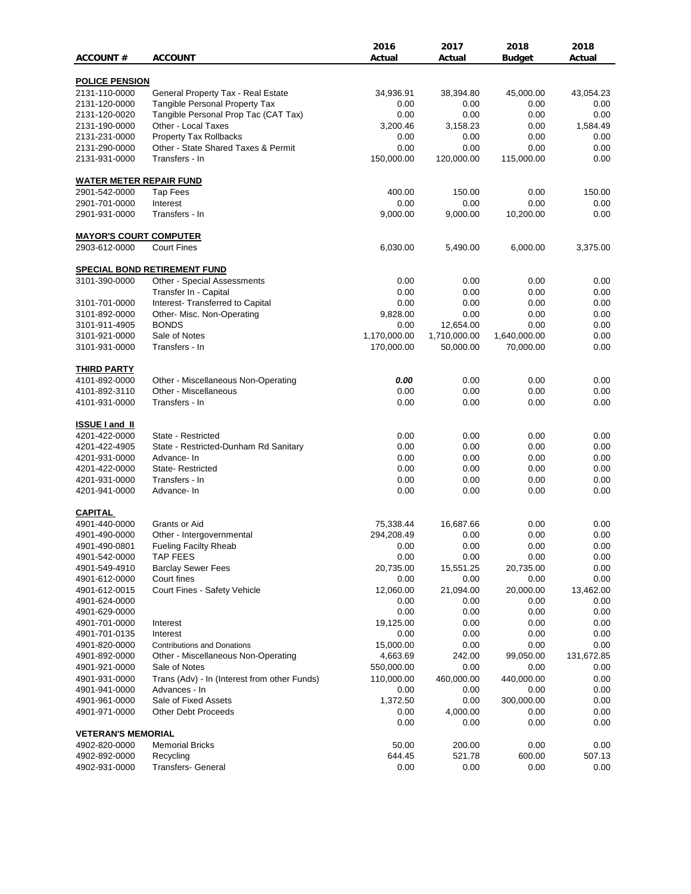|                                            |                                                                    | 2016         | 2017         | 2018          | 2018       |
|--------------------------------------------|--------------------------------------------------------------------|--------------|--------------|---------------|------------|
| <b>ACCOUNT#</b>                            | <b>ACCOUNT</b>                                                     | Actual       | Actual       | <b>Budget</b> | Actual     |
| <b>POLICE PENSION</b>                      |                                                                    |              |              |               |            |
| 2131-110-0000                              | General Property Tax - Real Estate                                 | 34,936.91    | 38,394.80    | 45,000.00     | 43,054.23  |
| 2131-120-0000                              | <b>Tangible Personal Property Tax</b>                              | 0.00         | 0.00         | 0.00          | 0.00       |
| 2131-120-0020                              | Tangible Personal Prop Tac (CAT Tax)                               | 0.00         | 0.00         | 0.00          | 0.00       |
| 2131-190-0000                              | Other - Local Taxes                                                | 3,200.46     | 3,158.23     | 0.00          | 1,584.49   |
| 2131-231-0000                              | Property Tax Rollbacks                                             | 0.00         | 0.00         | 0.00          | 0.00       |
| 2131-290-0000                              | Other - State Shared Taxes & Permit                                | 0.00         | 0.00         | 0.00          | 0.00       |
| 2131-931-0000                              | Transfers - In                                                     | 150,000.00   | 120,000.00   | 115,000.00    | 0.00       |
| <b>WATER METER REPAIR FUND</b>             |                                                                    |              |              |               |            |
| 2901-542-0000                              | <b>Tap Fees</b>                                                    | 400.00       | 150.00       | 0.00          | 150.00     |
| 2901-701-0000                              | Interest                                                           | 0.00         | 0.00         | 0.00          | 0.00       |
| 2901-931-0000                              | Transfers - In                                                     | 9,000.00     | 9,000.00     | 10,200.00     | 0.00       |
| <b>MAYOR'S COURT COMPUTER</b>              |                                                                    |              |              |               |            |
| 2903-612-0000                              | <b>Court Fines</b>                                                 | 6,030.00     | 5,490.00     | 6,000.00      | 3,375.00   |
|                                            |                                                                    |              |              |               |            |
| 3101-390-0000                              | <b>SPECIAL BOND RETIREMENT FUND</b><br>Other - Special Assessments | 0.00         | 0.00         | 0.00          | 0.00       |
|                                            | Transfer In - Capital                                              | 0.00         | 0.00         | 0.00          | 0.00       |
| 3101-701-0000                              | Interest- Transferred to Capital                                   | 0.00         | 0.00         | 0.00          | 0.00       |
| 3101-892-0000                              | Other- Misc. Non-Operating                                         | 9,828.00     | 0.00         | 0.00          | 0.00       |
| 3101-911-4905                              | <b>BONDS</b>                                                       | 0.00         | 12,654.00    | 0.00          | 0.00       |
| 3101-921-0000                              | Sale of Notes                                                      | 1,170,000.00 | 1,710,000.00 | 1,640,000.00  | 0.00       |
| 3101-931-0000                              | Transfers - In                                                     | 170,000.00   | 50,000.00    | 70,000.00     | 0.00       |
| <b>THIRD PARTY</b>                         |                                                                    |              |              |               |            |
| 4101-892-0000                              | Other - Miscellaneous Non-Operating                                | 0.00         | 0.00         | 0.00          | 0.00       |
| 4101-892-3110                              | Other - Miscellaneous                                              | 0.00         | 0.00         | 0.00          | 0.00       |
| 4101-931-0000                              | Transfers - In                                                     | 0.00         | 0.00         | 0.00          | 0.00       |
|                                            |                                                                    |              |              |               |            |
| <b>ISSUE I and II</b><br>4201-422-0000     | State - Restricted                                                 | 0.00         | 0.00         | 0.00          | 0.00       |
| 4201-422-4905                              | State - Restricted-Dunham Rd Sanitary                              | 0.00         | 0.00         | 0.00          | 0.00       |
| 4201-931-0000                              | Advance-In                                                         | 0.00         | 0.00         | 0.00          | 0.00       |
| 4201-422-0000                              | <b>State-Restricted</b>                                            | 0.00         | 0.00         | 0.00          | 0.00       |
| 4201-931-0000                              | Transfers - In                                                     | 0.00         | 0.00         | 0.00          | 0.00       |
| 4201-941-0000                              | Advance- In                                                        | 0.00         | 0.00         | 0.00          | 0.00       |
| <b>CAPITAL</b>                             |                                                                    |              |              |               |            |
| 4901-440-0000                              | Grants or Aid                                                      | 75,338.44    | 16,687.66    | 0.00          | 0.00       |
| 4901-490-0000                              | Other - Intergovernmental                                          | 294,208.49   | 0.00         | 0.00          | 0.00       |
| 4901-490-0801                              | <b>Fueling Facilty Rheab</b>                                       | 0.00         | 0.00         | 0.00          | 0.00       |
| 4901-542-0000                              | <b>TAP FEES</b>                                                    | 0.00         | 0.00         | 0.00          | 0.00       |
| 4901-549-4910                              | <b>Barclay Sewer Fees</b>                                          | 20,735.00    | 15,551.25    | 20,735.00     | 0.00       |
| 4901-612-0000                              | Court fines                                                        | 0.00         | 0.00         | 0.00          | 0.00       |
| 4901-612-0015                              | Court Fines - Safety Vehicle                                       | 12,060.00    | 21,094.00    | 20,000.00     | 13,462.00  |
| 4901-624-0000                              |                                                                    | 0.00         | 0.00         | 0.00          | 0.00       |
| 4901-629-0000                              |                                                                    | 0.00         | 0.00         | 0.00          | 0.00       |
| 4901-701-0000                              | Interest                                                           | 19,125.00    | 0.00         | 0.00          | 0.00       |
| 4901-701-0135                              | Interest                                                           | 0.00         | 0.00         | 0.00          | 0.00       |
| 4901-820-0000                              | <b>Contributions and Donations</b>                                 | 15,000.00    | 0.00         | 0.00          | 0.00       |
| 4901-892-0000                              | Other - Miscellaneous Non-Operating                                | 4,663.69     | 242.00       | 99,050.00     | 131,672.85 |
| 4901-921-0000                              | Sale of Notes                                                      | 550,000.00   | 0.00         | 0.00          | 0.00       |
| 4901-931-0000                              | Trans (Adv) - In (Interest from other Funds)                       | 110,000.00   | 460,000.00   | 440,000.00    | 0.00       |
| 4901-941-0000                              | Advances - In                                                      | 0.00         | 0.00         | 0.00          | 0.00       |
| 4901-961-0000                              | Sale of Fixed Assets                                               | 1,372.50     | 0.00         | 300,000.00    | 0.00       |
| 4901-971-0000                              | <b>Other Debt Proceeds</b>                                         | 0.00         | 4,000.00     | 0.00          | 0.00       |
|                                            |                                                                    | 0.00         | 0.00         | 0.00          | 0.00       |
| <b>VETERAN'S MEMORIAL</b><br>4902-820-0000 | <b>Memorial Bricks</b>                                             | 50.00        | 200.00       | 0.00          | 0.00       |
| 4902-892-0000                              | Recycling                                                          | 644.45       | 521.78       | 600.00        | 507.13     |
| 4902-931-0000                              | Transfers- General                                                 | 0.00         | 0.00         | 0.00          | 0.00       |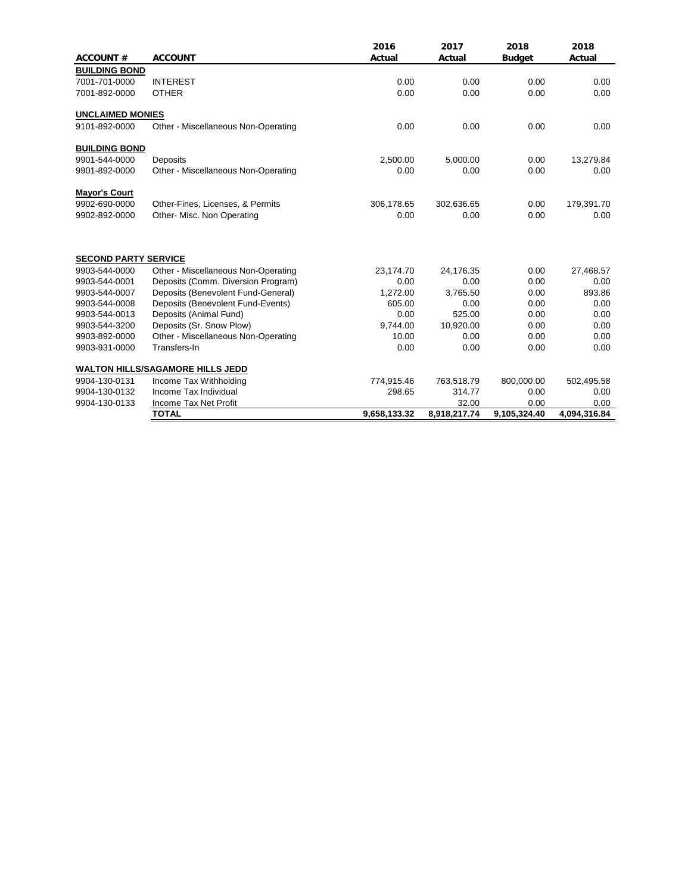|                             |                                         | 2016         | 2017         | 2018          | 2018         |
|-----------------------------|-----------------------------------------|--------------|--------------|---------------|--------------|
| <b>ACCOUNT#</b>             | <b>ACCOUNT</b>                          | Actual       | Actual       | <b>Budget</b> | Actual       |
| <b>BUILDING BOND</b>        |                                         |              |              |               |              |
| 7001-701-0000               | <b>INTEREST</b>                         | 0.00         | 0.00         | 0.00          | 0.00         |
| 7001-892-0000               | <b>OTHER</b>                            | 0.00         | 0.00         | 0.00          | 0.00         |
| <b>UNCLAIMED MONIES</b>     |                                         |              |              |               |              |
| 9101-892-0000               | Other - Miscellaneous Non-Operating     | 0.00         | 0.00         | 0.00          | 0.00         |
| <b>BUILDING BOND</b>        |                                         |              |              |               |              |
| 9901-544-0000               | Deposits                                | 2,500.00     | 5,000.00     | 0.00          | 13,279.84    |
| 9901-892-0000               | Other - Miscellaneous Non-Operating     | 0.00         | 0.00         | 0.00          | 0.00         |
| <b>Mayor's Court</b>        |                                         |              |              |               |              |
| 9902-690-0000               | Other-Fines, Licenses, & Permits        | 306,178.65   | 302,636.65   | 0.00          | 179,391.70   |
| 9902-892-0000               | Other- Misc. Non Operating              | 0.00         | 0.00         | 0.00          | 0.00         |
| <b>SECOND PARTY SERVICE</b> |                                         |              |              |               |              |
| 9903-544-0000               | Other - Miscellaneous Non-Operating     | 23,174.70    | 24,176.35    | 0.00          | 27,468.57    |
| 9903-544-0001               | Deposits (Comm. Diversion Program)      | 0.00         | 0.00         | 0.00          | 0.00         |
| 9903-544-0007               | Deposits (Benevolent Fund-General)      | 1,272.00     | 3,765.50     | 0.00          | 893.86       |
| 9903-544-0008               | Deposits (Benevolent Fund-Events)       | 605.00       | 0.00         | 0.00          | 0.00         |
| 9903-544-0013               | Deposits (Animal Fund)                  | 0.00         | 525.00       | 0.00          | 0.00         |
| 9903-544-3200               | Deposits (Sr. Snow Plow)                | 9.744.00     | 10,920.00    | 0.00          | 0.00         |
| 9903-892-0000               | Other - Miscellaneous Non-Operating     | 10.00        | 0.00         | 0.00          | 0.00         |
| 9903-931-0000               | Transfers-In                            | 0.00         | 0.00         | 0.00          | 0.00         |
|                             | <b>WALTON HILLS/SAGAMORE HILLS JEDD</b> |              |              |               |              |
| 9904-130-0131               | Income Tax Withholding                  | 774,915.46   | 763,518.79   | 800,000.00    | 502,495.58   |
| 9904-130-0132               | Income Tax Individual                   | 298.65       | 314.77       | 0.00          | 0.00         |
| 9904-130-0133               | Income Tax Net Profit                   |              | 32.00        | 0.00          | 0.00         |
|                             | <b>TOTAL</b>                            | 9,658,133.32 | 8,918,217.74 | 9,105,324.40  | 4,094,316.84 |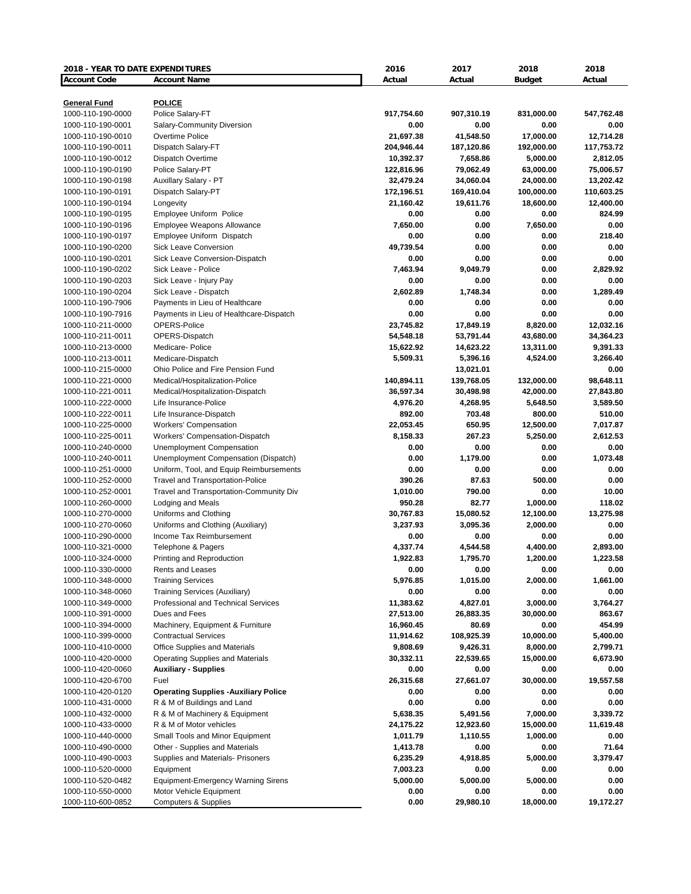| 2018 - YEAR TO DATE EXPENDITURES |                                             | 2016                  | 2017            | 2018          | 2018       |
|----------------------------------|---------------------------------------------|-----------------------|-----------------|---------------|------------|
| <b>Account Code</b>              | <b>Account Name</b>                         | Actual                | Actual          | <b>Budget</b> | Actual     |
|                                  |                                             |                       |                 |               |            |
| <b>General Fund</b>              | <b>POLICE</b>                               |                       |                 |               |            |
| 1000-110-190-0000                | Police Salary-FT                            | 917,754.60            | 907,310.19      | 831,000.00    | 547,762.48 |
| 1000-110-190-0001                | Salary-Community Diversion                  | 0.00                  | 0.00            | 0.00          | 0.00       |
| 1000-110-190-0010                | Overtime Police                             | 21,697.38             | 41,548.50       | 17,000.00     | 12,714.28  |
| 1000-110-190-0011                | Dispatch Salary-FT                          | 204,946.44            | 187,120.86      | 192,000.00    | 117,753.72 |
| 1000-110-190-0012                | Dispatch Overtime                           | 10,392.37             | 7,658.86        | 5,000.00      | 2,812.05   |
| 1000-110-190-0190                | Police Salary-PT                            | 122,816.96            | 79,062.49       | 63,000.00     | 75,006.57  |
| 1000-110-190-0198                | Auxillary Salary - PT                       | 32,479.24             | 34,060.04       | 24,000.00     | 13,202.42  |
| 1000-110-190-0191                | Dispatch Salary-PT                          | 172,196.51            | 169,410.04      | 100,000.00    | 110,603.25 |
| 1000-110-190-0194                | Longevity                                   | 21,160.42             | 19,611.76       | 18,600.00     | 12,400.00  |
| 1000-110-190-0195                | Employee Uniform Police                     | 0.00                  | 0.00            | 0.00          | 824.99     |
| 1000-110-190-0196                | <b>Employee Weapons Allowance</b>           | 7,650.00              | 0.00            | 7,650.00      | 0.00       |
| 1000-110-190-0197                | Employee Uniform Dispatch                   | 0.00                  | 0.00            | 0.00          | 218.40     |
| 1000-110-190-0200                | Sick Leave Conversion                       | 49,739.54             | 0.00            | 0.00          | 0.00       |
| 1000-110-190-0201                | Sick Leave Conversion-Dispatch              | 0.00                  | 0.00            | 0.00          | 0.00       |
| 1000-110-190-0202                | Sick Leave - Police                         | 7,463.94              | 9,049.79        | 0.00          | 2,829.92   |
| 1000-110-190-0203                | Sick Leave - Injury Pay                     | 0.00                  | 0.00            | 0.00          | 0.00       |
| 1000-110-190-0204                | Sick Leave - Dispatch                       | 2,602.89              | 1,748.34        | 0.00          | 1,289.49   |
| 1000-110-190-7906                | Payments in Lieu of Healthcare              | 0.00                  | 0.00            | 0.00          | 0.00       |
| 1000-110-190-7916                | Payments in Lieu of Healthcare-Dispatch     | 0.00                  | 0.00            | 0.00          | 0.00       |
| 1000-110-211-0000                | OPERS-Police                                | 23,745.82             | 17,849.19       | 8,820.00      | 12,032.16  |
| 1000-110-211-0011                | OPERS-Dispatch                              | 54,548.18             | 53,791.44       | 43,680.00     | 34,364.23  |
| 1000-110-213-0000                | Medicare-Police                             | 15,622.92             | 14,623.22       | 13,311.00     | 9,391.33   |
| 1000-110-213-0011                | Medicare-Dispatch                           | 5,509.31              | 5,396.16        | 4,524.00      | 3,266.40   |
| 1000-110-215-0000                | Ohio Police and Fire Pension Fund           |                       | 13,021.01       |               | 0.00       |
| 1000-110-221-0000                | Medical/Hospitalization-Police              | 140,894.11            | 139,768.05      | 132,000.00    | 98,648.11  |
| 1000-110-221-0011                | Medical/Hospitalization-Dispatch            | 36,597.34             | 30,498.98       | 42,000.00     | 27,843.80  |
| 1000-110-222-0000                | Life Insurance-Police                       | 4,976.20              | 4,268.95        | 5,648.50      | 3,589.50   |
| 1000-110-222-0011                | Life Insurance-Dispatch                     | 892.00                | 703.48          | 800.00        | 510.00     |
| 1000-110-225-0000                | <b>Workers' Compensation</b>                | 22,053.45             | 650.95          | 12,500.00     | 7,017.87   |
| 1000-110-225-0011                | Workers' Compensation-Dispatch              | 8,158.33              | 267.23          | 5,250.00      | 2,612.53   |
| 1000-110-240-0000                | Unemployment Compensation                   | 0.00                  | 0.00            | 0.00          | 0.00       |
| 1000-110-240-0011                | Unemployment Compensation (Dispatch)        | 0.00                  | 1,179.00        | 0.00          | 1,073.48   |
| 1000-110-251-0000                | Uniform, Tool, and Equip Reimbursements     | 0.00                  | 0.00            | 0.00          | 0.00       |
| 1000-110-252-0000                |                                             | 390.26                | 87.63           | 500.00        | 0.00       |
|                                  | <b>Travel and Transportation-Police</b>     |                       |                 |               | 10.00      |
| 1000-110-252-0001                | Travel and Transportation-Community Div     | 1,010.00<br>950.28    | 790.00<br>82.77 | 0.00          |            |
| 1000-110-260-0000                | Lodging and Meals                           |                       | 15,080.52       | 1,000.00      | 118.02     |
| 1000-110-270-0000                | Uniforms and Clothing                       | 30,767.83<br>3,237.93 |                 | 12,100.00     | 13,275.98  |
| 1000-110-270-0060                | Uniforms and Clothing (Auxiliary)           |                       | 3,095.36        | 2,000.00      | 0.00       |
| 1000-110-290-0000                | Income Tax Reimbursement                    | 0.00                  | 0.00            | 0.00          | 0.00       |
| 1000-110-321-0000                | Telephone & Pagers                          | 4,337.74              | 4,544.58        | 4,400.00      | 2,893.00   |
| 1000-110-324-0000                | Printing and Reproduction                   | 1,922.83              | 1,795.70        | 1,200.00      | 1,223.58   |
| 1000-110-330-0000                | Rents and Leases                            | 0.00                  | 0.00            | 0.00          | 0.00       |
| 1000-110-348-0000                | <b>Training Services</b>                    | 5,976.85              | 1,015.00        | 2,000.00      | 1,661.00   |
| 1000-110-348-0060                | <b>Training Services (Auxiliary)</b>        | 0.00                  | 0.00            | 0.00          | 0.00       |
| 1000-110-349-0000                | Professional and Technical Services         | 11,383.62             | 4,827.01        | 3,000.00      | 3,764.27   |
| 1000-110-391-0000                | Dues and Fees                               | 27,513.00             | 26,883.35       | 30,000.00     | 863.67     |
| 1000-110-394-0000                | Machinery, Equipment & Furniture            | 16,960.45             | 80.69           | 0.00          | 454.99     |
| 1000-110-399-0000                | <b>Contractual Services</b>                 | 11,914.62             | 108,925.39      | 10,000.00     | 5,400.00   |
| 1000-110-410-0000                | Office Supplies and Materials               | 9,808.69              | 9,426.31        | 8,000.00      | 2,799.71   |
| 1000-110-420-0000                | Operating Supplies and Materials            | 30,332.11             | 22,539.65       | 15,000.00     | 6,673.90   |
| 1000-110-420-0060                | <b>Auxiliary - Supplies</b>                 | 0.00                  | 0.00            | 0.00          | 0.00       |
| 1000-110-420-6700                | Fuel                                        | 26,315.68             | 27,661.07       | 30,000.00     | 19,557.58  |
| 1000-110-420-0120                | <b>Operating Supplies -Auxiliary Police</b> | 0.00                  | 0.00            | 0.00          | 0.00       |
| 1000-110-431-0000                | R & M of Buildings and Land                 | 0.00                  | 0.00            | 0.00          | 0.00       |
| 1000-110-432-0000                | R & M of Machinery & Equipment              | 5,638.35              | 5,491.56        | 7,000.00      | 3,339.72   |
| 1000-110-433-0000                | R & M of Motor vehicles                     | 24,175.22             | 12,923.60       | 15,000.00     | 11,619.48  |
| 1000-110-440-0000                | Small Tools and Minor Equipment             | 1,011.79              | 1,110.55        | 1,000.00      | 0.00       |
| 1000-110-490-0000                | Other - Supplies and Materials              | 1,413.78              | 0.00            | 0.00          | 71.64      |
| 1000-110-490-0003                | Supplies and Materials- Prisoners           | 6,235.29              | 4,918.85        | 5,000.00      | 3,379.47   |
| 1000-110-520-0000                | Equipment                                   | 7,003.23              | 0.00            | 0.00          | 0.00       |
| 1000-110-520-0482                | <b>Equipment-Emergency Warning Sirens</b>   | 5,000.00              | 5,000.00        | 5,000.00      | 0.00       |
| 1000-110-550-0000                | Motor Vehicle Equipment                     | 0.00                  | 0.00            | 0.00          | 0.00       |
| 1000-110-600-0852                | <b>Computers &amp; Supplies</b>             | 0.00                  | 29,980.10       | 18,000.00     | 19,172.27  |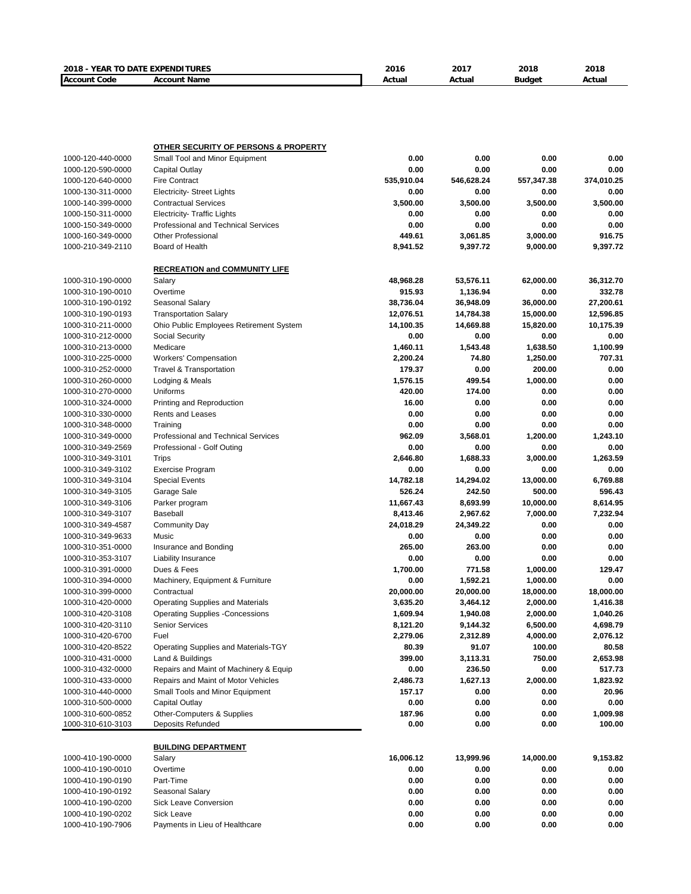| <b>Account Code</b>                    | <b>Account Name</b>                                     | Actual                 | Actual            | <b>Budget</b>     | Actual            |
|----------------------------------------|---------------------------------------------------------|------------------------|-------------------|-------------------|-------------------|
|                                        |                                                         |                        |                   |                   |                   |
|                                        |                                                         |                        |                   |                   |                   |
|                                        |                                                         |                        |                   |                   |                   |
|                                        |                                                         |                        |                   |                   |                   |
|                                        |                                                         |                        |                   |                   |                   |
|                                        | <b>OTHER SECURITY OF PERSONS &amp; PROPERTY</b>         |                        |                   |                   |                   |
| 1000-120-440-0000                      | Small Tool and Minor Equipment                          | 0.00                   | 0.00              | 0.00              | 0.00              |
| 1000-120-590-0000                      | Capital Outlay                                          | 0.00                   | 0.00              | 0.00              | 0.00              |
| 1000-120-640-0000                      | <b>Fire Contract</b>                                    | 535,910.04             | 546,628.24        | 557,347.38        | 374,010.25        |
| 1000-130-311-0000                      | <b>Electricity- Street Lights</b>                       | 0.00                   | 0.00              | 0.00              | 0.00              |
| 1000-140-399-0000                      | <b>Contractual Services</b>                             | 3,500.00               | 3,500.00          | 3,500.00          | 3,500.00          |
| 1000-150-311-0000                      | <b>Electricity- Traffic Lights</b>                      | 0.00                   | 0.00              | 0.00              | 0.00              |
| 1000-150-349-0000                      | Professional and Technical Services                     | 0.00                   | 0.00              | 0.00              | 0.00              |
| 1000-160-349-0000                      | <b>Other Professional</b>                               | 449.61                 | 3,061.85          | 3,000.00          | 916.75            |
| 1000-210-349-2110                      | Board of Health                                         | 8,941.52               | 9,397.72          | 9,000.00          | 9,397.72          |
|                                        |                                                         |                        |                   |                   |                   |
|                                        | <b>RECREATION and COMMUNITY LIFE</b>                    |                        |                   |                   |                   |
| 1000-310-190-0000                      | Salary                                                  | 48,968.28              | 53,576.11         | 62,000.00         | 36,312.70         |
| 1000-310-190-0010                      | Overtime<br>Seasonal Salary                             | 915.93                 | 1,136.94          | 0.00              | 332.78            |
| 1000-310-190-0192                      |                                                         | 38,736.04              | 36,948.09         | 36,000.00         | 27,200.61         |
| 1000-310-190-0193                      | <b>Transportation Salary</b>                            | 12,076.51<br>14,100.35 | 14,784.38         | 15,000.00         | 12,596.85         |
| 1000-310-211-0000<br>1000-310-212-0000 | Ohio Public Employees Retirement System                 | 0.00                   | 14,669.88<br>0.00 | 15,820.00<br>0.00 | 10,175.39<br>0.00 |
| 1000-310-213-0000                      | Social Security<br>Medicare                             | 1,460.11               | 1,543.48          | 1,638.50          | 1,100.99          |
|                                        |                                                         | 2,200.24               | 74.80             | 1,250.00          | 707.31            |
| 1000-310-225-0000<br>1000-310-252-0000 | <b>Workers' Compensation</b><br>Travel & Transportation | 179.37                 | 0.00              | 200.00            | 0.00              |
| 1000-310-260-0000                      | Lodging & Meals                                         | 1,576.15               | 499.54            | 1,000.00          | 0.00              |
| 1000-310-270-0000                      | Uniforms                                                | 420.00                 | 174.00            | 0.00              | 0.00              |
| 1000-310-324-0000                      | Printing and Reproduction                               | 16.00                  | 0.00              | 0.00              | 0.00              |
| 1000-310-330-0000                      | <b>Rents and Leases</b>                                 | 0.00                   | 0.00              | 0.00              | 0.00              |
| 1000-310-348-0000                      | Training                                                | 0.00                   | 0.00              | 0.00              | 0.00              |
| 1000-310-349-0000                      | <b>Professional and Technical Services</b>              | 962.09                 | 3,568.01          | 1,200.00          | 1,243.10          |
| 1000-310-349-2569                      | Professional - Golf Outing                              | 0.00                   | 0.00              | 0.00              | 0.00              |
| 1000-310-349-3101                      | <b>Trips</b>                                            | 2,646.80               | 1,688.33          | 3,000.00          | 1,263.59          |
| 1000-310-349-3102                      | Exercise Program                                        | 0.00                   | 0.00              | 0.00              | 0.00              |
| 1000-310-349-3104                      | <b>Special Events</b>                                   | 14,782.18              | 14,294.02         | 13,000.00         | 6,769.88          |
| 1000-310-349-3105                      | Garage Sale                                             | 526.24                 | 242.50            | 500.00            | 596.43            |
| 1000-310-349-3106                      | Parker program                                          | 11,667.43              | 8,693.99          | 10,000.00         | 8,614.95          |
| 1000-310-349-3107                      | Baseball                                                | 8,413.46               | 2,967.62          | 7,000.00          | 7,232.94          |
| 1000-310-349-4587                      | Community Day                                           | 24,018.29              | 24,349.22         | 0.00              | 0.00              |
| 1000-310-349-9633                      | Music                                                   | 0.00                   | 0.00              | 0.00              | 0.00              |
| 1000-310-351-0000                      | Insurance and Bonding                                   | 265.00                 | 263.00            | 0.00              | 0.00              |
| 1000-310-353-3107                      | <b>Liability Insurance</b>                              | 0.00                   | 0.00              | 0.00              | 0.00              |
| 1000-310-391-0000                      | Dues & Fees                                             | 1,700.00               | 771.58            | 1,000.00          | 129.47            |
| 1000-310-394-0000                      | Machinery, Equipment & Furniture                        | 0.00                   | 1,592.21          | 1,000.00          | 0.00              |
| 1000-310-399-0000                      | Contractual                                             | 20,000.00              | 20,000.00         | 18,000.00         | 18,000.00         |
| 1000-310-420-0000                      | Operating Supplies and Materials                        | 3,635.20               | 3,464.12          | 2,000.00          | 1,416.38          |
| 1000-310-420-3108                      | <b>Operating Supplies -Concessions</b>                  | 1,609.94               | 1,940.08          | 2,000.00          | 1,040.26          |
| 1000-310-420-3110                      | <b>Senior Services</b>                                  | 8,121.20               | 9,144.32          | 6,500.00          | 4,698.79          |
| 1000-310-420-6700                      | Fuel                                                    | 2,279.06               | 2,312.89          | 4,000.00          | 2,076.12          |
| 1000-310-420-8522                      | Operating Supplies and Materials-TGY                    | 80.39                  | 91.07             | 100.00            | 80.58             |
| 1000-310-431-0000                      | Land & Buildings                                        | 399.00                 | 3,113.31          | 750.00            | 2,653.98          |
| 1000-310-432-0000                      | Repairs and Maint of Machinery & Equip                  | 0.00                   | 236.50            | 0.00              | 517.73            |
| 1000-310-433-0000                      | Repairs and Maint of Motor Vehicles                     | 2,486.73               | 1,627.13          | 2,000.00          | 1,823.92          |
| 1000-310-440-0000                      | Small Tools and Minor Equipment                         | 157.17                 | 0.00              | 0.00              | 20.96             |
| 1000-310-500-0000                      | Capital Outlay                                          | 0.00                   | 0.00              | 0.00              | 0.00              |
| 1000-310-600-0852                      | Other-Computers & Supplies                              | 187.96                 | 0.00              | 0.00              | 1,009.98          |
| 1000-310-610-3103                      | <b>Deposits Refunded</b>                                | 0.00                   | 0.00              | 0.00              | 100.00            |
|                                        |                                                         |                        |                   |                   |                   |
|                                        | <b>BUILDING DEPARTMENT</b>                              |                        |                   |                   |                   |
| 1000-410-190-0000                      | Salary                                                  | 16,006.12              | 13,999.96         | 14,000.00         | 9,153.82          |
| 1000-410-190-0010                      | Overtime                                                | 0.00                   | 0.00              | 0.00              | 0.00              |
| 1000-410-190-0190                      | Part-Time                                               | 0.00                   | 0.00              | 0.00              | 0.00              |
| 1000-410-190-0192                      | Seasonal Salary                                         | 0.00                   | 0.00              | 0.00              | 0.00              |
| 1000-410-190-0200                      | Sick Leave Conversion                                   | 0.00                   | 0.00              | 0.00              | 0.00              |
| 1000-410-190-0202                      | Sick Leave                                              | 0.00                   | 0.00              | 0.00              | 0.00              |
| 1000-410-190-7906                      | Payments in Lieu of Healthcare                          | 0.00                   | 0.00              | 0.00              | 0.00              |

**2018 - YEAR TO DATE EXPENDITURES 2016 2017 2018 2018**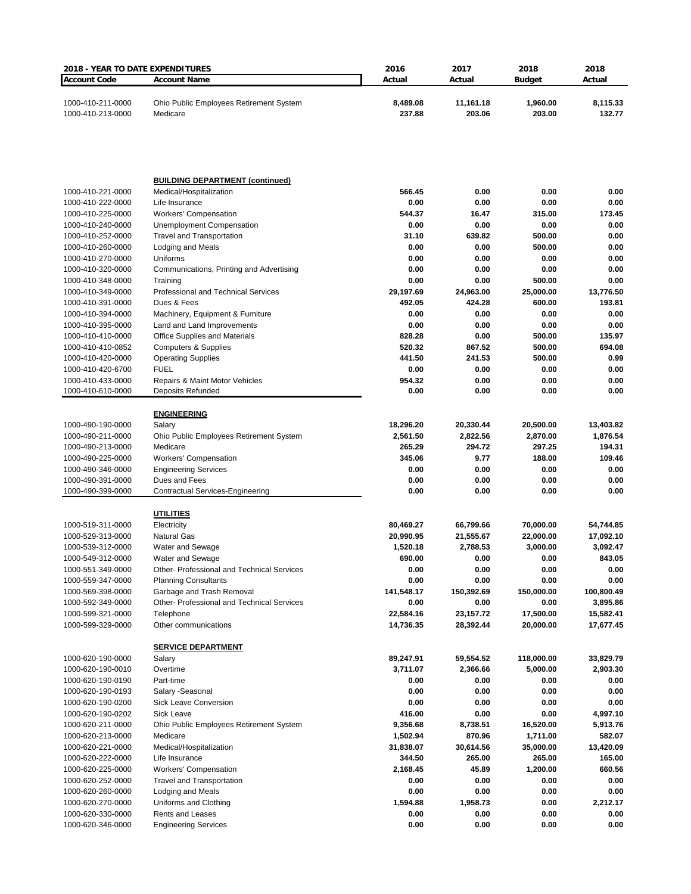| <b>2018 - YEAR TO DATE EXPENDITURES</b> |                                                                    | 2016                   | 2017                   | 2018                   | 2018                   |
|-----------------------------------------|--------------------------------------------------------------------|------------------------|------------------------|------------------------|------------------------|
| <b>Account Code</b>                     | <b>Account Name</b>                                                | Actual                 | Actual                 | <b>Budget</b>          | Actual                 |
| 1000-410-211-0000<br>1000-410-213-0000  | Ohio Public Employees Retirement System<br>Medicare                | 8,489.08<br>237.88     | 11,161.18<br>203.06    | 1,960.00<br>203.00     | 8,115.33<br>132.77     |
|                                         |                                                                    |                        |                        |                        |                        |
|                                         | <b>BUILDING DEPARTMENT (continued)</b>                             |                        |                        |                        |                        |
| 1000-410-221-0000                       | Medical/Hospitalization                                            | 566.45                 | 0.00                   | 0.00                   | 0.00                   |
| 1000-410-222-0000<br>1000-410-225-0000  | Life Insurance                                                     | 0.00<br>544.37         | 0.00                   | 0.00                   | 0.00<br>173.45         |
| 1000-410-240-0000                       | <b>Workers' Compensation</b><br><b>Unemployment Compensation</b>   | 0.00                   | 16.47<br>0.00          | 315.00<br>0.00         | 0.00                   |
| 1000-410-252-0000                       | <b>Travel and Transportation</b>                                   | 31.10                  | 639.82                 | 500.00                 | 0.00                   |
| 1000-410-260-0000                       | Lodging and Meals                                                  | 0.00                   | 0.00                   | 500.00                 | 0.00                   |
| 1000-410-270-0000                       | Uniforms                                                           | 0.00                   | 0.00                   | 0.00                   | 0.00                   |
| 1000-410-320-0000                       | Communications, Printing and Advertising                           | 0.00                   | 0.00                   | 0.00                   | 0.00                   |
| 1000-410-348-0000                       | Training                                                           | 0.00                   | 0.00                   | 500.00                 | 0.00                   |
| 1000-410-349-0000                       | Professional and Technical Services                                | 29,197.69              | 24,963.00              | 25,000.00              | 13,776.50              |
| 1000-410-391-0000                       | Dues & Fees                                                        | 492.05                 | 424.28                 | 600.00                 | 193.81                 |
| 1000-410-394-0000                       | Machinery, Equipment & Furniture                                   | 0.00                   | 0.00                   | 0.00                   | 0.00                   |
| 1000-410-395-0000<br>1000-410-410-0000  | Land and Land Improvements<br><b>Office Supplies and Materials</b> | 0.00<br>828.28         | 0.00<br>0.00           | 0.00<br>500.00         | 0.00<br>135.97         |
| 1000-410-410-0852                       | <b>Computers &amp; Supplies</b>                                    | 520.32                 | 867.52                 | 500.00                 | 694.08                 |
| 1000-410-420-0000                       | <b>Operating Supplies</b>                                          | 441.50                 | 241.53                 | 500.00                 | 0.99                   |
| 1000-410-420-6700                       | <b>FUEL</b>                                                        | 0.00                   | 0.00                   | 0.00                   | 0.00                   |
| 1000-410-433-0000                       | Repairs & Maint Motor Vehicles                                     | 954.32                 | 0.00                   | 0.00                   | 0.00                   |
| 1000-410-610-0000                       | Deposits Refunded                                                  | 0.00                   | 0.00                   | 0.00                   | 0.00                   |
|                                         |                                                                    |                        |                        |                        |                        |
|                                         | <b>ENGINEERING</b>                                                 |                        |                        |                        |                        |
| 1000-490-190-0000<br>1000-490-211-0000  | Salary<br>Ohio Public Employees Retirement System                  | 18,296.20<br>2,561.50  | 20,330.44<br>2,822.56  | 20,500.00<br>2,870.00  | 13,403.82<br>1,876.54  |
| 1000-490-213-0000                       | Medicare                                                           | 265.29                 | 294.72                 | 297.25                 | 194.31                 |
| 1000-490-225-0000                       | <b>Workers' Compensation</b>                                       | 345.06                 | 9.77                   | 188.00                 | 109.46                 |
| 1000-490-346-0000                       | <b>Engineering Services</b>                                        | 0.00                   | 0.00                   | 0.00                   | 0.00                   |
| 1000-490-391-0000                       | Dues and Fees                                                      | 0.00                   | 0.00                   | 0.00                   | 0.00                   |
| 1000-490-399-0000                       | Contractual Services-Engineering                                   | 0.00                   | 0.00                   | 0.00                   | 0.00                   |
|                                         | <u>UTILITIES</u>                                                   |                        |                        |                        |                        |
| 1000-519-311-0000                       | Electricity                                                        | 80,469.27              | 66,799.66              | 70,000.00              | 54,744.85              |
| 1000-529-313-0000                       | <b>Natural Gas</b>                                                 | 20,990.95              | 21,555.67              | 22,000.00              | 17,092.10              |
| 1000-539-312-0000                       | Water and Sewage                                                   | 1,520.18               | 2,788.53               | 3,000.00               | 3,092.47               |
| 1000-549-312-0000                       | Water and Sewage                                                   | 690.00                 | 0.00                   | 0.00                   | 843.05                 |
| 1000-551-349-0000                       | Other-Professional and Technical Services                          | 0.00                   | 0.00                   | $0.00\,$               | 0.00                   |
| 1000-559-347-0000                       | <b>Planning Consultants</b>                                        | 0.00                   | 0.00                   | 0.00                   | 0.00                   |
| 1000-569-398-0000                       | Garbage and Trash Removal                                          | 141,548.17             | 150,392.69             | 150,000.00             | 100,800.49             |
| 1000-592-349-0000                       | <b>Other-Professional and Technical Services</b>                   | 0.00                   | 0.00                   | 0.00                   | 3,895.86               |
| 1000-599-321-0000<br>1000-599-329-0000  | Telephone<br>Other communications                                  | 22,584.16<br>14,736.35 | 23,157.72<br>28,392.44 | 17,500.00<br>20,000.00 | 15,582.41<br>17,677.45 |
|                                         |                                                                    |                        |                        |                        |                        |
|                                         | <b>SERVICE DEPARTMENT</b>                                          |                        |                        |                        |                        |
| 1000-620-190-0000                       | Salary                                                             | 89,247.91              | 59,554.52              | 118,000.00             | 33,829.79              |
| 1000-620-190-0010                       | Overtime                                                           | 3,711.07               | 2,366.66               | 5,000.00               | 2,903.30               |
| 1000-620-190-0190                       | Part-time                                                          | 0.00                   | 0.00                   | 0.00                   | 0.00                   |
| 1000-620-190-0193<br>1000-620-190-0200  | Salary - Seasonal<br><b>Sick Leave Conversion</b>                  | 0.00<br>0.00           | 0.00<br>0.00           | 0.00<br>0.00           | 0.00<br>0.00           |
| 1000-620-190-0202                       | Sick Leave                                                         | 416.00                 | 0.00                   | 0.00                   | 4,997.10               |
| 1000-620-211-0000                       | Ohio Public Employees Retirement System                            | 9,356.68               | 8,738.51               | 16,520.00              | 5,913.76               |
| 1000-620-213-0000                       | Medicare                                                           | 1,502.94               | 870.96                 | 1,711.00               | 582.07                 |
| 1000-620-221-0000                       | Medical/Hospitalization                                            | 31,838.07              | 30,614.56              | 35,000.00              | 13,420.09              |
| 1000-620-222-0000                       | Life Insurance                                                     | 344.50                 | 265.00                 | 265.00                 | 165.00                 |
| 1000-620-225-0000                       | <b>Workers' Compensation</b>                                       | 2,168.45               | 45.89                  | 1,200.00               | 660.56                 |
| 1000-620-252-0000                       | <b>Travel and Transportation</b>                                   | 0.00                   | 0.00                   | 0.00                   | 0.00                   |
| 1000-620-260-0000                       | Lodging and Meals                                                  | 0.00                   | 0.00                   | 0.00                   | 0.00                   |
| 1000-620-270-0000                       | Uniforms and Clothing                                              | 1,594.88               | 1,958.73               | 0.00                   | 2,212.17               |
| 1000-620-330-0000<br>1000-620-346-0000  | <b>Rents and Leases</b><br><b>Engineering Services</b>             | 0.00<br>0.00           | 0.00<br>0.00           | 0.00<br>0.00           | 0.00<br>0.00           |
|                                         |                                                                    |                        |                        |                        |                        |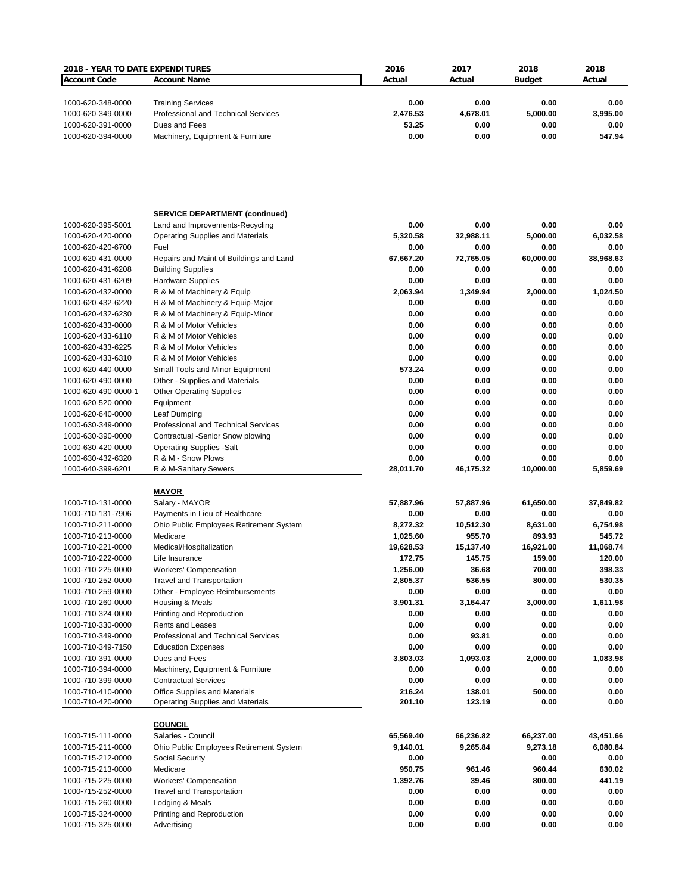| 2018 - YEAR TO DATE EXPENDITURES |                                            | 2016      | 2017      | 2018          | 2018      |
|----------------------------------|--------------------------------------------|-----------|-----------|---------------|-----------|
| <b>Account Code</b>              | <b>Account Name</b>                        | Actual    | Actual    | <b>Budget</b> | Actual    |
|                                  |                                            |           |           |               |           |
|                                  |                                            |           |           |               |           |
| 1000-620-348-0000                | <b>Training Services</b>                   | 0.00      | 0.00      | 0.00          | 0.00      |
| 1000-620-349-0000                | <b>Professional and Technical Services</b> | 2,476.53  | 4,678.01  | 5,000.00      | 3,995.00  |
| 1000-620-391-0000                | Dues and Fees                              | 53.25     | 0.00      | 0.00          | 0.00      |
| 1000-620-394-0000                | Machinery, Equipment & Furniture           | 0.00      | 0.00      | 0.00          | 547.94    |
|                                  |                                            |           |           |               |           |
|                                  |                                            |           |           |               |           |
|                                  |                                            |           |           |               |           |
|                                  |                                            |           |           |               |           |
|                                  |                                            |           |           |               |           |
|                                  |                                            |           |           |               |           |
|                                  |                                            |           |           |               |           |
|                                  | <b>SERVICE DEPARTMENT (continued)</b>      |           |           |               |           |
| 1000-620-395-5001                | Land and Improvements-Recycling            | 0.00      | 0.00      | 0.00          | 0.00      |
| 1000-620-420-0000                | <b>Operating Supplies and Materials</b>    | 5,320.58  | 32,988.11 | 5,000.00      | 6,032.58  |
| 1000-620-420-6700                | Fuel                                       | 0.00      | 0.00      | 0.00          | 0.00      |
| 1000-620-431-0000                | Repairs and Maint of Buildings and Land    | 67,667.20 | 72,765.05 | 60,000.00     | 38,968.63 |
| 1000-620-431-6208                | <b>Building Supplies</b>                   | 0.00      | 0.00      | 0.00          | 0.00      |
| 1000-620-431-6209                | <b>Hardware Supplies</b>                   | 0.00      | 0.00      | 0.00          | 0.00      |
| 1000-620-432-0000                | R & M of Machinery & Equip                 | 2,063.94  | 1,349.94  | 2,000.00      | 1,024.50  |
| 1000-620-432-6220                | R & M of Machinery & Equip-Major           | 0.00      | 0.00      | 0.00          | 0.00      |
| 1000-620-432-6230                | R & M of Machinery & Equip-Minor           | 0.00      | 0.00      | 0.00          | 0.00      |
|                                  |                                            |           |           |               |           |
| 1000-620-433-0000                | R & M of Motor Vehicles                    | 0.00      | 0.00      | 0.00          | 0.00      |
| 1000-620-433-6110                | R & M of Motor Vehicles                    | 0.00      | 0.00      | 0.00          | 0.00      |
| 1000-620-433-6225                | R & M of Motor Vehicles                    | 0.00      | 0.00      | 0.00          | 0.00      |
| 1000-620-433-6310                | R & M of Motor Vehicles                    | 0.00      | 0.00      | 0.00          | 0.00      |
| 1000-620-440-0000                | Small Tools and Minor Equipment            | 573.24    | 0.00      | 0.00          | 0.00      |
| 1000-620-490-0000                | Other - Supplies and Materials             | 0.00      | 0.00      | 0.00          | 0.00      |
| 1000-620-490-0000-1              | <b>Other Operating Supplies</b>            | 0.00      | 0.00      | 0.00          | 0.00      |
| 1000-620-520-0000                | Equipment                                  | 0.00      | 0.00      | 0.00          | 0.00      |
| 1000-620-640-0000                | Leaf Dumping                               | 0.00      | 0.00      | 0.00          | 0.00      |
|                                  |                                            | 0.00      | 0.00      | 0.00          | 0.00      |
| 1000-630-349-0000                | Professional and Technical Services        |           |           |               |           |
| 1000-630-390-0000                | Contractual -Senior Snow plowing           | 0.00      | 0.00      | 0.00          | 0.00      |
| 1000-630-420-0000                | <b>Operating Supplies -Salt</b>            | 0.00      | 0.00      | 0.00          | 0.00      |
| 1000-630-432-6320                | R & M - Snow Plows                         | 0.00      | 0.00      | 0.00          | 0.00      |
| 1000-640-399-6201                | R & M-Sanitary Sewers                      | 28,011.70 | 46,175.32 | 10,000.00     | 5,859.69  |
|                                  |                                            |           |           |               |           |
|                                  | <u>MAYOR</u>                               |           |           |               |           |
| 1000-710-131-0000                | Salary - MAYOR                             | 57,887.96 | 57,887.96 | 61,650.00     | 37,849.82 |
| 1000-710-131-7906                | Payments in Lieu of Healthcare             | 0.00      | 0.00      | 0.00          | 0.00      |
| 1000-710-211-0000                | Ohio Public Employees Retirement System    | 8,272.32  | 10,512.30 | 8,631.00      | 6,754.98  |
| 1000-710-213-0000                | Medicare                                   | 1,025.60  | 955.70    | 893.93        | 545.72    |
| 1000-710-221-0000                | Medical/Hospitalization                    | 19,628.53 | 15,137.40 | 16,921.00     | 11,068.74 |
|                                  | Life Insurance                             | 172.75    | 145.75    | 159.00        | 120.00    |
| 1000-710-222-0000                |                                            |           |           |               |           |
| 1000-710-225-0000                | <b>Workers' Compensation</b>               | 1,256.00  | 36.68     | 700.00        | 398.33    |
| 1000-710-252-0000                | <b>Travel and Transportation</b>           | 2,805.37  | 536.55    | 800.00        | 530.35    |
| 1000-710-259-0000                | Other - Employee Reimbursements            | 0.00      | 0.00      | 0.00          | 0.00      |
| 1000-710-260-0000                | Housing & Meals                            | 3,901.31  | 3,164.47  | 3,000.00      | 1,611.98  |
| 1000-710-324-0000                | Printing and Reproduction                  | 0.00      | 0.00      | 0.00          | 0.00      |
| 1000-710-330-0000                | <b>Rents and Leases</b>                    | 0.00      | 0.00      | 0.00          | 0.00      |
| 1000-710-349-0000                | Professional and Technical Services        | 0.00      | 93.81     | 0.00          | 0.00      |
| 1000-710-349-7150                | <b>Education Expenses</b>                  | 0.00      | 0.00      | 0.00          | 0.00      |
| 1000-710-391-0000                | Dues and Fees                              | 3,803.03  | 1,093.03  | 2,000.00      | 1,083.98  |
|                                  |                                            |           |           |               |           |
| 1000-710-394-0000                | Machinery, Equipment & Furniture           | 0.00      | 0.00      | 0.00          | 0.00      |
| 1000-710-399-0000                | <b>Contractual Services</b>                | 0.00      | 0.00      | 0.00          | 0.00      |
| 1000-710-410-0000                | Office Supplies and Materials              | 216.24    | 138.01    | 500.00        | 0.00      |
| 1000-710-420-0000                | Operating Supplies and Materials           | 201.10    | 123.19    | 0.00          | 0.00      |
|                                  |                                            |           |           |               |           |
|                                  | <b>COUNCIL</b>                             |           |           |               |           |
| 1000-715-111-0000                | Salaries - Council                         | 65,569.40 | 66,236.82 | 66,237.00     | 43,451.66 |
| 1000-715-211-0000                | Ohio Public Employees Retirement System    | 9,140.01  | 9,265.84  | 9,273.18      | 6,080.84  |
| 1000-715-212-0000                | Social Security                            | 0.00      |           | 0.00          | 0.00      |
| 1000-715-213-0000                | Medicare                                   | 950.75    | 961.46    | 960.44        | 630.02    |
|                                  |                                            |           |           |               | 441.19    |
| 1000-715-225-0000                | <b>Workers' Compensation</b>               | 1,392.76  | 39.46     | 800.00        |           |
| 1000-715-252-0000                | <b>Travel and Transportation</b>           | 0.00      | 0.00      | 0.00          | 0.00      |
| 1000-715-260-0000                | Lodging & Meals                            | 0.00      | 0.00      | 0.00          | 0.00      |
| 1000-715-324-0000                | Printing and Reproduction                  | 0.00      | 0.00      | 0.00          | 0.00      |
| 1000-715-325-0000                | Advertising                                | 0.00      | 0.00      | 0.00          | 0.00      |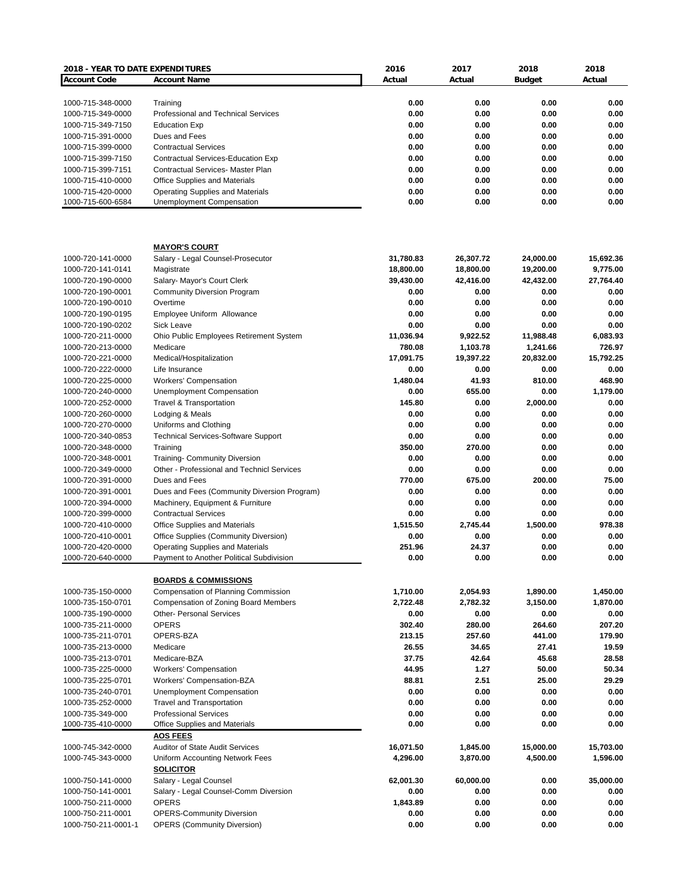| 2018 - YEAR TO DATE EXPENDITURES |                                                  | 2016      | 2017      | 2018          | 2018      |
|----------------------------------|--------------------------------------------------|-----------|-----------|---------------|-----------|
| <b>Account Code</b>              | <b>Account Name</b>                              | Actual    | Actual    | <b>Budget</b> | Actual    |
|                                  |                                                  |           |           |               |           |
| 1000-715-348-0000                | Training                                         | 0.00      | 0.00      | 0.00          | 0.00      |
| 1000-715-349-0000                | Professional and Technical Services              | 0.00      | 0.00      | 0.00          | 0.00      |
| 1000-715-349-7150                | <b>Education Exp</b>                             | 0.00      | 0.00      | 0.00          | 0.00      |
| 1000-715-391-0000                | Dues and Fees                                    | 0.00      | 0.00      | 0.00          | 0.00      |
| 1000-715-399-0000                | <b>Contractual Services</b>                      | 0.00      | 0.00      | 0.00          | 0.00      |
| 1000-715-399-7150                | Contractual Services-Education Exp               | 0.00      | 0.00      | 0.00          | 0.00      |
| 1000-715-399-7151                | <b>Contractual Services- Master Plan</b>         | 0.00      | 0.00      | 0.00          | 0.00      |
| 1000-715-410-0000                | <b>Office Supplies and Materials</b>             | 0.00      | 0.00      | 0.00          | 0.00      |
| 1000-715-420-0000                | <b>Operating Supplies and Materials</b>          | 0.00      | 0.00      | 0.00          | 0.00      |
| 1000-715-600-6584                | Unemployment Compensation                        | 0.00      | 0.00      | 0.00          | 0.00      |
|                                  |                                                  |           |           |               |           |
|                                  | <b>MAYOR'S COURT</b>                             |           |           |               |           |
| 1000-720-141-0000                | Salary - Legal Counsel-Prosecutor                | 31,780.83 | 26,307.72 | 24,000.00     | 15,692.36 |
| 1000-720-141-0141                | Magistrate                                       | 18,800.00 | 18,800.00 | 19,200.00     | 9,775.00  |
| 1000-720-190-0000                | Salary- Mayor's Court Clerk                      | 39,430.00 | 42,416.00 | 42,432.00     | 27,764.40 |
| 1000-720-190-0001                | <b>Community Diversion Program</b>               | 0.00      | 0.00      | 0.00          | 0.00      |
| 1000-720-190-0010                | Overtime                                         | 0.00      | 0.00      | 0.00          | 0.00      |
| 1000-720-190-0195                | Employee Uniform Allowance                       | 0.00      | 0.00      | 0.00          | 0.00      |
| 1000-720-190-0202                | <b>Sick Leave</b>                                | 0.00      | 0.00      | 0.00          | 0.00      |
| 1000-720-211-0000                | Ohio Public Employees Retirement System          | 11,036.94 | 9,922.52  | 11,988.48     | 6,083.93  |
| 1000-720-213-0000                | Medicare                                         | 780.08    | 1,103.78  | 1,241.66      | 726.97    |
| 1000-720-221-0000                | Medical/Hospitalization                          | 17,091.75 | 19,397.22 | 20,832.00     | 15,792.25 |
| 1000-720-222-0000                | Life Insurance                                   | 0.00      | 0.00      | 0.00          | 0.00      |
| 1000-720-225-0000                | <b>Workers' Compensation</b>                     | 1,480.04  | 41.93     | 810.00        | 468.90    |
|                                  |                                                  | 0.00      | 655.00    | 0.00          |           |
| 1000-720-240-0000                | Unemployment Compensation                        |           |           |               | 1,179.00  |
| 1000-720-252-0000                | <b>Travel &amp; Transportation</b>               | 145.80    | 0.00      | 2,000.00      | 0.00      |
| 1000-720-260-0000                | Lodging & Meals                                  | 0.00      | 0.00      | 0.00          | 0.00      |
| 1000-720-270-0000                | Uniforms and Clothing                            | 0.00      | 0.00      | 0.00          | 0.00      |
| 1000-720-340-0853                | <b>Technical Services-Software Support</b>       | 0.00      | 0.00      | 0.00          | 0.00      |
| 1000-720-348-0000                | Training                                         | 350.00    | 270.00    | 0.00          | 0.00      |
| 1000-720-348-0001                | <b>Training- Community Diversion</b>             | 0.00      | 0.00      | 0.00          | 0.00      |
| 1000-720-349-0000                | Other - Professional and Technicl Services       | 0.00      | 0.00      | 0.00          | 0.00      |
| 1000-720-391-0000                | Dues and Fees                                    | 770.00    | 675.00    | 200.00        | 75.00     |
| 1000-720-391-0001                | Dues and Fees (Community Diversion Program)      | 0.00      | 0.00      | 0.00          | 0.00      |
| 1000-720-394-0000                | Machinery, Equipment & Furniture                 | 0.00      | 0.00      | 0.00          | 0.00      |
| 1000-720-399-0000                | <b>Contractual Services</b>                      | 0.00      | 0.00      | 0.00          | 0.00      |
| 1000-720-410-0000                | Office Supplies and Materials                    | 1.515.50  | 2.745.44  | 1,500.00      | 978.38    |
| 1000-720-410-0001                | Office Supplies (Community Diversion)            | 0.00      | 0.00      | 0.00          | 0.00      |
| 1000-720-420-0000                | <b>Operating Supplies and Materials</b>          | 251.96    | 24.37     | 0.00          | 0.00      |
| 1000-720-640-0000                | Payment to Another Political Subdivision         | 0.00      | 0.00      | 0.00          | 0.00      |
|                                  | <b>BOARDS &amp; COMMISSIONS</b>                  |           |           |               |           |
| 1000-735-150-0000                | Compensation of Planning Commission              | 1,710.00  | 2,054.93  | 1,890.00      | 1,450.00  |
| 1000-735-150-0701                | <b>Compensation of Zoning Board Members</b>      | 2,722.48  | 2,782.32  | 3,150.00      | 1,870.00  |
|                                  | <b>Other- Personal Services</b>                  | 0.00      |           |               | 0.00      |
| 1000-735-190-0000                |                                                  |           | 0.00      | 0.00          |           |
| 1000-735-211-0000                | <b>OPERS</b>                                     | 302.40    | 280.00    | 264.60        | 207.20    |
| 1000-735-211-0701                | OPERS-BZA                                        | 213.15    | 257.60    | 441.00        | 179.90    |
| 1000-735-213-0000                | Medicare                                         | 26.55     | 34.65     | 27.41         | 19.59     |
| 1000-735-213-0701                | Medicare-BZA                                     | 37.75     | 42.64     | 45.68         | 28.58     |
| 1000-735-225-0000                | <b>Workers' Compensation</b>                     | 44.95     | 1.27      | 50.00         | 50.34     |
| 1000-735-225-0701                | Workers' Compensation-BZA                        | 88.81     | 2.51      | 25.00         | 29.29     |
| 1000-735-240-0701                | Unemployment Compensation                        | 0.00      | 0.00      | 0.00          | 0.00      |
| 1000-735-252-0000                | <b>Travel and Transportation</b>                 | 0.00      | 0.00      | 0.00          | 0.00      |
| 1000-735-349-000                 | <b>Professional Services</b>                     | 0.00      | 0.00      | 0.00          | 0.00      |
| 1000-735-410-0000                | Office Supplies and Materials<br><b>AOS FEES</b> | 0.00      | 0.00      | 0.00          | 0.00      |
| 1000-745-342-0000                | <b>Auditor of State Audit Services</b>           | 16,071.50 | 1,845.00  | 15,000.00     | 15,703.00 |
| 1000-745-343-0000                | Uniform Accounting Network Fees                  | 4,296.00  | 3,870.00  | 4,500.00      | 1,596.00  |
|                                  | <b>SOLICITOR</b>                                 |           |           |               |           |
| 1000-750-141-0000                | Salary - Legal Counsel                           | 62,001.30 | 60,000.00 | 0.00          | 35,000.00 |
| 1000-750-141-0001                | Salary - Legal Counsel-Comm Diversion            | 0.00      | 0.00      | 0.00          | 0.00      |
| 1000-750-211-0000                | <b>OPERS</b>                                     | 1,843.89  | 0.00      | 0.00          | 0.00      |
| 1000-750-211-0001                | <b>OPERS-Community Diversion</b>                 | 0.00      | 0.00      | 0.00          | 0.00      |
| 1000-750-211-0001-1              | <b>OPERS (Community Diversion)</b>               | 0.00      | 0.00      | 0.00          | 0.00      |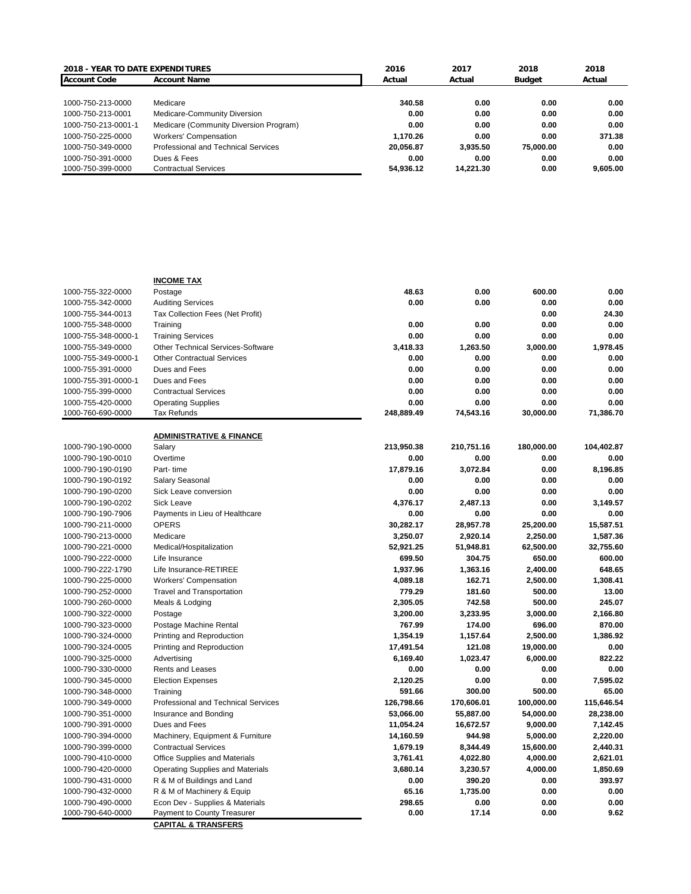|                     | <b>2018 - YEAR TO DATE EXPENDITURES</b><br>2016<br>2017<br>2018 |           |           | 2018      |          |
|---------------------|-----------------------------------------------------------------|-----------|-----------|-----------|----------|
| <b>Account Code</b> | <b>Account Name</b>                                             | Actual    | Actual    | Budget    | Actual   |
|                     |                                                                 |           |           |           |          |
| 1000-750-213-0000   | Medicare                                                        | 340.58    | 0.00      | 0.00      | 0.00     |
| 1000-750-213-0001   | Medicare-Community Diversion                                    | 0.00      | 0.00      | 0.00      | 0.00     |
| 1000-750-213-0001-1 | Medicare (Community Diversion Program)                          | 0.00      | 0.00      | 0.00      | 0.00     |
| 1000-750-225-0000   | <b>Workers' Compensation</b>                                    | 1.170.26  | 0.00      | 0.00      | 371.38   |
| 1000-750-349-0000   | Professional and Technical Services                             | 20.056.87 | 3.935.50  | 75,000,00 | 0.00     |
| 1000-750-391-0000   | Dues & Fees                                                     | 0.00      | 0.00      | 0.00      | 0.00     |
| 1000-750-399-0000   | <b>Contractual Services</b>                                     | 54.936.12 | 14.221.30 | 0.00      | 9.605.00 |

|                     | <b>INCOME TAX</b>                       |            |            |            |            |
|---------------------|-----------------------------------------|------------|------------|------------|------------|
| 1000-755-322-0000   | Postage                                 | 48.63      | 0.00       | 600.00     | 0.00       |
| 1000-755-342-0000   | <b>Auditing Services</b>                | 0.00       | 0.00       | 0.00       | 0.00       |
| 1000-755-344-0013   | Tax Collection Fees (Net Profit)        |            |            | 0.00       | 24.30      |
| 1000-755-348-0000   | Training                                | 0.00       | 0.00       | 0.00       | 0.00       |
| 1000-755-348-0000-1 | <b>Training Services</b>                | 0.00       | 0.00       | 0.00       | 0.00       |
| 1000-755-349-0000   | Other Technical Services-Software       | 3,418.33   | 1,263.50   | 3,000.00   | 1,978.45   |
| 1000-755-349-0000-1 | <b>Other Contractual Services</b>       | 0.00       | 0.00       | 0.00       | 0.00       |
| 1000-755-391-0000   | Dues and Fees                           | 0.00       | 0.00       | 0.00       | 0.00       |
| 1000-755-391-0000-1 | Dues and Fees                           | 0.00       | 0.00       | 0.00       | 0.00       |
| 1000-755-399-0000   | <b>Contractual Services</b>             | 0.00       | 0.00       | 0.00       | 0.00       |
| 1000-755-420-0000   | <b>Operating Supplies</b>               | 0.00       | 0.00       | 0.00       | 0.00       |
| 1000-760-690-0000   | <b>Tax Refunds</b>                      | 248,889.49 | 74,543.16  | 30,000.00  | 71,386.70  |
|                     |                                         |            |            |            |            |
|                     | <b>ADMINISTRATIVE &amp; FINANCE</b>     |            |            |            |            |
| 1000-790-190-0000   | Salary                                  | 213,950.38 | 210,751.16 | 180,000.00 | 104,402.87 |
| 1000-790-190-0010   | Overtime                                | 0.00       | 0.00       | 0.00       | 0.00       |
| 1000-790-190-0190   | Part-time                               | 17,879.16  | 3,072.84   | 0.00       | 8,196.85   |
| 1000-790-190-0192   | Salary Seasonal                         | 0.00       | 0.00       | 0.00       | 0.00       |
| 1000-790-190-0200   | Sick Leave conversion                   | 0.00       | 0.00       | 0.00       | 0.00       |
| 1000-790-190-0202   | <b>Sick Leave</b>                       | 4,376.17   | 2,487.13   | 0.00       | 3.149.57   |
| 1000-790-190-7906   | Payments in Lieu of Healthcare          | 0.00       | 0.00       | 0.00       | 0.00       |
| 1000-790-211-0000   | <b>OPERS</b>                            | 30,282.17  | 28,957.78  | 25,200.00  | 15,587.51  |
| 1000-790-213-0000   | Medicare                                | 3,250.07   | 2,920.14   | 2,250.00   | 1,587.36   |
| 1000-790-221-0000   | Medical/Hospitalization                 | 52,921.25  | 51,948.81  | 62,500.00  | 32,755.60  |
| 1000-790-222-0000   | Life Insurance                          | 699.50     | 304.75     | 650.00     | 600.00     |
| 1000-790-222-1790   | Life Insurance-RETIREE                  | 1,937.96   | 1,363.16   | 2,400.00   | 648.65     |
| 1000-790-225-0000   | <b>Workers' Compensation</b>            | 4,089.18   | 162.71     | 2,500.00   | 1,308.41   |
| 1000-790-252-0000   | <b>Travel and Transportation</b>        | 779.29     | 181.60     | 500.00     | 13.00      |
| 1000-790-260-0000   | Meals & Lodging                         | 2,305.05   | 742.58     | 500.00     | 245.07     |
| 1000-790-322-0000   | Postage                                 | 3,200.00   | 3,233.95   | 3,000.00   | 2,166.80   |
| 1000-790-323-0000   | Postage Machine Rental                  | 767.99     | 174.00     | 696.00     | 870.00     |
| 1000-790-324-0000   | Printing and Reproduction               | 1,354.19   | 1,157.64   | 2,500.00   | 1.386.92   |
| 1000-790-324-0005   | Printing and Reproduction               | 17,491.54  | 121.08     | 19,000.00  | 0.00       |
| 1000-790-325-0000   | Advertising                             | 6,169.40   | 1,023.47   | 6,000.00   | 822.22     |
| 1000-790-330-0000   | Rents and Leases                        | 0.00       | 0.00       | 0.00       | 0.00       |
| 1000-790-345-0000   | <b>Election Expenses</b>                | 2,120.25   | 0.00       | 0.00       | 7,595.02   |
| 1000-790-348-0000   | Training                                | 591.66     | 300.00     | 500.00     | 65.00      |
| 1000-790-349-0000   | Professional and Technical Services     | 126,798.66 | 170,606.01 | 100,000.00 | 115,646.54 |
| 1000-790-351-0000   | Insurance and Bonding                   | 53,066.00  | 55,887.00  | 54,000.00  | 28,238.00  |
| 1000-790-391-0000   | Dues and Fees                           | 11,054.24  | 16,672.57  | 9,000.00   | 7,142.45   |
| 1000-790-394-0000   | Machinery, Equipment & Furniture        | 14,160.59  | 944.98     | 5,000.00   | 2,220.00   |
| 1000-790-399-0000   | <b>Contractual Services</b>             | 1,679.19   | 8,344.49   | 15,600.00  | 2,440.31   |
| 1000-790-410-0000   | Office Supplies and Materials           | 3,761.41   | 4,022.80   | 4,000.00   | 2,621.01   |
| 1000-790-420-0000   | <b>Operating Supplies and Materials</b> | 3,680.14   | 3,230.57   | 4,000.00   | 1,850.69   |
| 1000-790-431-0000   | R & M of Buildings and Land             | 0.00       | 390.20     | 0.00       | 393.97     |
| 1000-790-432-0000   | R & M of Machinery & Equip              | 65.16      | 1,735.00   | 0.00       | 0.00       |
| 1000-790-490-0000   | Econ Dev - Supplies & Materials         | 298.65     | 0.00       | 0.00       | 0.00       |
| 1000-790-640-0000   | Payment to County Treasurer             | 0.00       | 17.14      | 0.00       | 9.62       |
|                     | <b>CAPITAL &amp; TRANSFERS</b>          |            |            |            |            |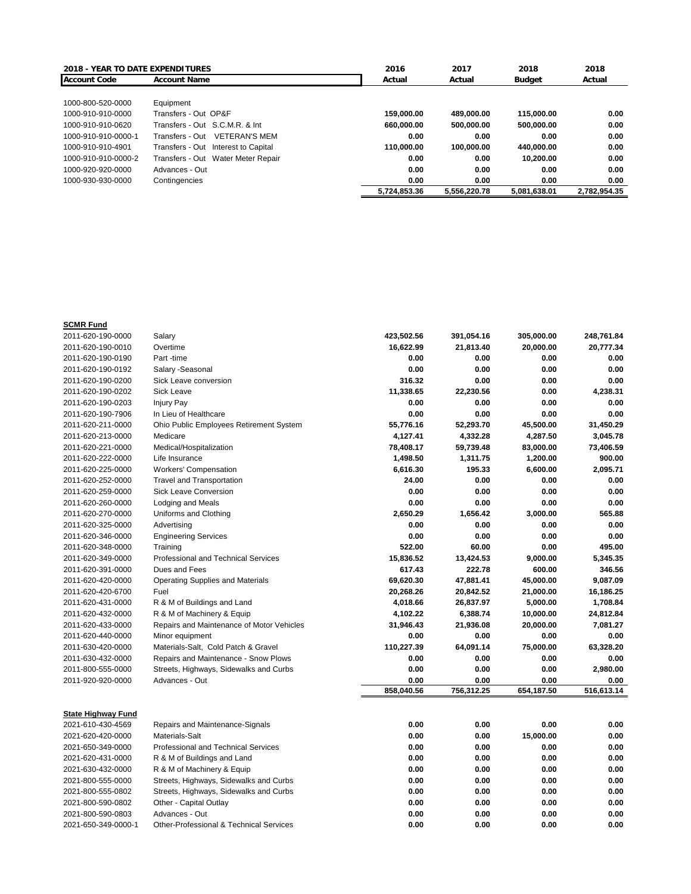| <b>2018 - YEAR TO DATE EXPENDITURES</b> |                                         | 2016         | 2017         | 2018          | 2018         |
|-----------------------------------------|-----------------------------------------|--------------|--------------|---------------|--------------|
| <b>Account Code</b>                     | <b>Account Name</b>                     | Actual       | Actual       | <b>Budget</b> | Actual       |
|                                         |                                         |              |              |               |              |
| 1000-800-520-0000                       | Equipment                               |              |              |               |              |
| 1000-910-910-0000                       | Transfers - Out OP&F                    | 159.000.00   | 489.000.00   | 115.000.00    | 0.00         |
| 1000-910-910-0620                       | Transfers - Out S.C.M.R. & Int          | 660.000.00   | 500.000.00   | 500.000.00    | 0.00         |
| 1000-910-910-0000-1                     | Transfers - Out<br><b>VETERAN'S MEM</b> | 0.00         | 0.00         | 0.00          | 0.00         |
| 1000-910-910-4901                       | Transfers - Out<br>Interest to Capital  | 110.000.00   | 100.000.00   | 440.000.00    | 0.00         |
| 1000-910-910-0000-2                     | Transfers - Out<br>Water Meter Repair   | 0.00         | 0.00         | 10.200.00     | 0.00         |
| 1000-920-920-0000                       | Advances - Out                          | 0.00         | 0.00         | 0.00          | 0.00         |
| 1000-930-930-0000                       | Contingencies                           | 0.00         | 0.00         | 0.00          | 0.00         |
|                                         |                                         | 5.724.853.36 | 5.556.220.78 | 5.081.638.01  | 2.782.954.35 |

| <b>SCMR Fund</b>                               |                                                                                  |              |            |            |            |
|------------------------------------------------|----------------------------------------------------------------------------------|--------------|------------|------------|------------|
| 2011-620-190-0000                              | Salary                                                                           | 423,502.56   | 391,054.16 | 305,000.00 | 248,761.84 |
| 2011-620-190-0010                              | Overtime                                                                         | 16,622.99    | 21,813.40  | 20,000.00  | 20,777.34  |
| 2011-620-190-0190                              | Part-time                                                                        | 0.00         | 0.00       | 0.00       | 0.00       |
| 2011-620-190-0192                              | Salary - Seasonal                                                                | 0.00         | 0.00       | 0.00       | 0.00       |
| 2011-620-190-0200                              | Sick Leave conversion                                                            | 316.32       | 0.00       | 0.00       | 0.00       |
| 2011-620-190-0202                              | <b>Sick Leave</b>                                                                | 11,338.65    | 22,230.56  | 0.00       | 4,238.31   |
| 2011-620-190-0203                              | <b>Injury Pay</b>                                                                | 0.00         | 0.00       | 0.00       | 0.00       |
| 2011-620-190-7906                              | In Lieu of Healthcare                                                            | 0.00         | 0.00       | 0.00       | 0.00       |
| 2011-620-211-0000                              | Ohio Public Employees Retirement System                                          | 55,776.16    | 52,293.70  | 45,500.00  | 31,450.29  |
| 2011-620-213-0000                              | Medicare                                                                         | 4,127.41     | 4,332.28   | 4,287.50   | 3,045.78   |
| 2011-620-221-0000                              | Medical/Hospitalization                                                          | 78,408.17    | 59,739.48  | 83,000.00  | 73,406.59  |
| 2011-620-222-0000                              | Life Insurance                                                                   | 1,498.50     | 1,311.75   | 1,200.00   | 900.00     |
| 2011-620-225-0000                              | <b>Workers' Compensation</b>                                                     | 6,616.30     | 195.33     | 6,600.00   | 2,095.71   |
| 2011-620-252-0000                              | <b>Travel and Transportation</b>                                                 | 24.00        | 0.00       | 0.00       | 0.00       |
| 2011-620-259-0000                              | <b>Sick Leave Conversion</b>                                                     | 0.00         | 0.00       | 0.00       | 0.00       |
| 2011-620-260-0000                              | Lodging and Meals                                                                | 0.00         | 0.00       | 0.00       | 0.00       |
| 2011-620-270-0000                              | Uniforms and Clothing                                                            | 2,650.29     | 1,656.42   | 3,000.00   | 565.88     |
| 2011-620-325-0000                              | Advertising                                                                      | 0.00         | 0.00       | 0.00       | 0.00       |
| 2011-620-346-0000                              | <b>Engineering Services</b>                                                      | 0.00         | 0.00       | 0.00       | 0.00       |
| 2011-620-348-0000                              | Training                                                                         | 522.00       | 60.00      | 0.00       | 495.00     |
| 2011-620-349-0000                              | Professional and Technical Services                                              | 15,836.52    | 13,424.53  | 9,000.00   | 5,345.35   |
| 2011-620-391-0000                              | Dues and Fees                                                                    | 617.43       | 222.78     | 600.00     | 346.56     |
| 2011-620-420-0000                              | <b>Operating Supplies and Materials</b>                                          | 69,620.30    | 47,881.41  | 45,000.00  | 9,087.09   |
| 2011-620-420-6700                              | Fuel                                                                             | 20,268.26    | 20,842.52  | 21,000.00  | 16,186.25  |
| 2011-620-431-0000                              | R & M of Buildings and Land                                                      | 4,018.66     | 26,837.97  | 5,000.00   | 1,708.84   |
| 2011-620-432-0000                              | R & M of Machinery & Equip                                                       | 4,102.22     | 6,388.74   | 10,000.00  | 24,812.84  |
| 2011-620-433-0000                              | Repairs and Maintenance of Motor Vehicles                                        | 31,946.43    | 21,936.08  | 20,000.00  | 7,081.27   |
| 2011-620-440-0000                              | Minor equipment                                                                  | 0.00         | 0.00       | 0.00       | 0.00       |
| 2011-630-420-0000                              | Materials-Salt, Cold Patch & Gravel                                              | 110,227.39   | 64,091.14  | 75,000.00  | 63,328.20  |
| 2011-630-432-0000                              | Repairs and Maintenance - Snow Plows                                             | 0.00         | 0.00       | 0.00       | 0.00       |
| 2011-800-555-0000                              | Streets, Highways, Sidewalks and Curbs                                           | 0.00         | 0.00       | 0.00       | 2,980.00   |
| 2011-920-920-0000                              | Advances - Out                                                                   | 0.00         | 0.00       | 0.00       | 0.00       |
|                                                |                                                                                  | 858,040.56   | 756,312.25 | 654,187.50 | 516,613.14 |
|                                                |                                                                                  |              |            |            |            |
| <b>State Highway Fund</b><br>2021-610-430-4569 | Repairs and Maintenance-Signals                                                  | 0.00         | 0.00       | 0.00       | 0.00       |
| 2021-620-420-0000                              | Materials-Salt                                                                   | 0.00         | 0.00       | 15,000.00  | 0.00       |
| 2021-650-349-0000                              | Professional and Technical Services                                              | 0.00         | 0.00       | 0.00       | 0.00       |
| 2021-620-431-0000                              | R & M of Buildings and Land                                                      | 0.00         | 0.00       | 0.00       | 0.00       |
| 2021-630-432-0000                              | R & M of Machinery & Equip                                                       | 0.00         | 0.00       | 0.00       | 0.00       |
| 2021-800-555-0000                              |                                                                                  | 0.00         | 0.00       | 0.00       | 0.00       |
| 2021-800-555-0802                              | Streets, Highways, Sidewalks and Curbs<br>Streets, Highways, Sidewalks and Curbs | 0.00         | 0.00       | 0.00       | 0.00       |
|                                                |                                                                                  |              | 0.00       | 0.00       | 0.00       |
| 2021-800-590-0802<br>2021-800-590-0803         | Other - Capital Outlay<br>Advances - Out                                         | 0.00<br>0.00 | 0.00       | 0.00       | 0.00       |
|                                                | Other-Professional & Technical Services                                          | 0.00         | 0.00       | 0.00       | 0.00       |
| 2021-650-349-0000-1                            |                                                                                  |              |            |            |            |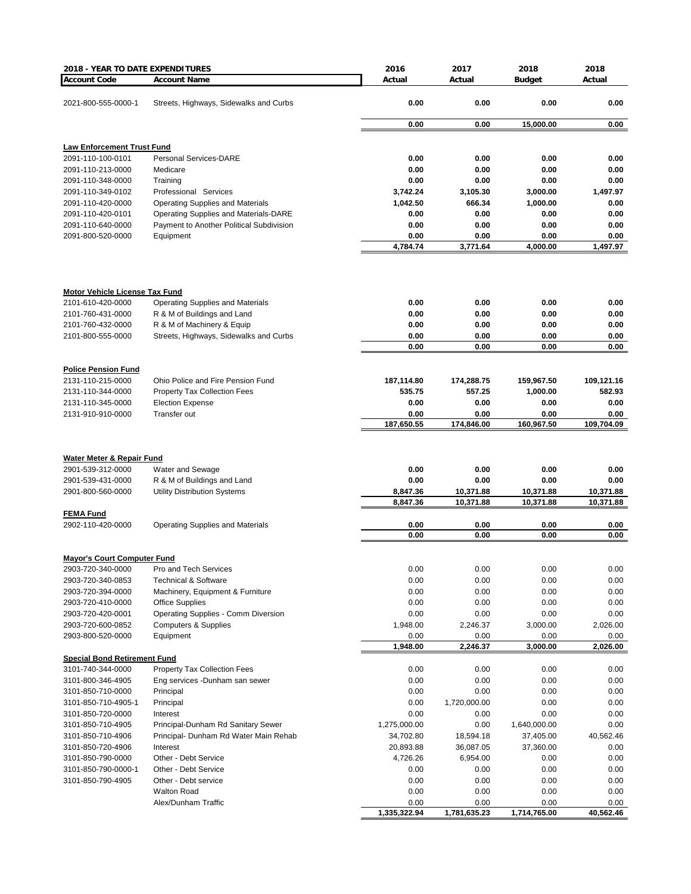| 2018 - YEAR TO DATE EXPENDITURES       |                                                               | 2016         | 2017         | 2018          | 2018         |
|----------------------------------------|---------------------------------------------------------------|--------------|--------------|---------------|--------------|
| <b>Account Code</b>                    | <b>Account Name</b>                                           | Actual       | Actual       | <b>Budget</b> | Actual       |
|                                        |                                                               |              |              |               |              |
| 2021-800-555-0000-1                    | Streets, Highways, Sidewalks and Curbs                        | 0.00         | 0.00         | 0.00          | 0.00         |
|                                        |                                                               |              |              |               |              |
|                                        |                                                               | 0.00         | 0.00         | 15,000.00     | 0.00         |
|                                        |                                                               |              |              |               |              |
| <b>Law Enforcement Trust Fund</b>      |                                                               |              |              |               |              |
| 2091-110-100-0101                      | <b>Personal Services-DARE</b>                                 | 0.00         | 0.00         | 0.00          | 0.00         |
| 2091-110-213-0000                      | Medicare                                                      | 0.00<br>0.00 | 0.00<br>0.00 | 0.00<br>0.00  | 0.00<br>0.00 |
| 2091-110-348-0000<br>2091-110-349-0102 | Training<br>Professional Services                             | 3,742.24     | 3,105.30     | 3,000.00      | 1,497.97     |
| 2091-110-420-0000                      | <b>Operating Supplies and Materials</b>                       | 1,042.50     | 666.34       | 1,000.00      | 0.00         |
| 2091-110-420-0101                      | Operating Supplies and Materials-DARE                         | 0.00         | 0.00         | 0.00          | 0.00         |
| 2091-110-640-0000                      | Payment to Another Political Subdivision                      | 0.00         | 0.00         | 0.00          | 0.00         |
| 2091-800-520-0000                      | Equipment                                                     | 0.00         | 0.00         | 0.00          | 0.00         |
|                                        |                                                               | 4,784.74     | 3,771.64     | 4,000.00      | 1,497.97     |
|                                        |                                                               |              |              |               |              |
| <b>Motor Vehicle License Tax Fund</b>  |                                                               |              |              |               |              |
| 2101-610-420-0000                      | Operating Supplies and Materials                              | 0.00         | 0.00         | 0.00          | 0.00         |
| 2101-760-431-0000                      | R & M of Buildings and Land                                   | 0.00         | 0.00         | 0.00          | 0.00         |
| 2101-760-432-0000                      | R & M of Machinery & Equip                                    | 0.00         | 0.00         | 0.00          | 0.00         |
| 2101-800-555-0000                      | Streets, Highways, Sidewalks and Curbs                        | 0.00         | 0.00         | 0.00          | 0.00         |
|                                        |                                                               | 0.00         | 0.00         | 0.00          | 0.00         |
|                                        |                                                               |              |              |               |              |
| <b>Police Pension Fund</b>             |                                                               |              |              |               |              |
| 2131-110-215-0000                      | Ohio Police and Fire Pension Fund                             | 187,114.80   | 174,288.75   | 159,967.50    | 109,121.16   |
| 2131-110-344-0000                      | <b>Property Tax Collection Fees</b>                           | 535.75       | 557.25       | 1,000.00      | 582.93       |
| 2131-110-345-0000                      | <b>Election Expense</b>                                       | 0.00         | 0.00         | 0.00          | 0.00         |
| 2131-910-910-0000                      | Transfer out                                                  | 0.00         | 0.00         | 0.00          | 0.00         |
|                                        |                                                               | 187,650.55   | 174,846.00   | 160,967.50    | 109,704.09   |
| Water Meter & Repair Fund              |                                                               |              |              |               |              |
| 2901-539-312-0000                      | Water and Sewage                                              | 0.00         | 0.00         | 0.00          | 0.00         |
| 2901-539-431-0000                      | R & M of Buildings and Land                                   | 0.00         | 0.00         | 0.00          | 0.00         |
| 2901-800-560-0000                      | <b>Utility Distribution Systems</b>                           | 8,847.36     | 10,371.88    | 10,371.88     | 10,371.88    |
|                                        |                                                               | 8,847.36     | 10,371.88    | 10,371.88     | 10,371.88    |
| <b>FEMA Fund</b>                       |                                                               |              |              |               |              |
| 2902-110-420-0000                      | <b>Operating Supplies and Materials</b>                       | 0.00         | 0.00         | 0.00          | 0.00         |
|                                        |                                                               | 0.00         | 0.00         | 0.00          | 0.00         |
|                                        |                                                               |              |              |               |              |
| <b>Mayor's Court Computer Fund</b>     |                                                               |              |              |               |              |
| 2903-720-340-0000                      | Pro and Tech Services                                         | 0.00         | 0.00         | 0.00          | 0.00         |
| 2903-720-340-0853                      | <b>Technical &amp; Software</b>                               | 0.00         | 0.00         | 0.00          | 0.00         |
| 2903-720-394-0000                      | Machinery, Equipment & Furniture                              | 0.00         | 0.00         | 0.00          | 0.00         |
| 2903-720-410-0000<br>2903-720-420-0001 | <b>Office Supplies</b><br>Operating Supplies - Comm Diversion | 0.00<br>0.00 | 0.00<br>0.00 | 0.00<br>0.00  | 0.00<br>0.00 |
| 2903-720-600-0852                      | <b>Computers &amp; Supplies</b>                               | 1,948.00     | 2,246.37     | 3,000.00      | 2,026.00     |
| 2903-800-520-0000                      | Equipment                                                     | 0.00         | 0.00         | 0.00          | 0.00         |
|                                        |                                                               | 1,948.00     | 2,246.37     | 3,000.00      | 2,026.00     |
| <b>Special Bond Retirement Fund</b>    |                                                               |              |              |               |              |
| 3101-740-344-0000                      | <b>Property Tax Collection Fees</b>                           | 0.00         | 0.00         | 0.00          | 0.00         |
| 3101-800-346-4905                      | Eng services -Dunham san sewer                                | 0.00         | 0.00         | 0.00          | 0.00         |
| 3101-850-710-0000                      | Principal                                                     | 0.00         | 0.00         | 0.00          | 0.00         |
| 3101-850-710-4905-1                    | Principal                                                     | 0.00         | 1,720,000.00 | 0.00          | 0.00         |
| 3101-850-720-0000                      | Interest                                                      | 0.00         | 0.00         | 0.00          | 0.00         |
| 3101-850-710-4905                      | Principal-Dunham Rd Sanitary Sewer                            | 1,275,000.00 | 0.00         | 1,640,000.00  | 0.00         |
| 3101-850-710-4906                      | Principal- Dunham Rd Water Main Rehab                         | 34,702.80    | 18,594.18    | 37,405.00     | 40,562.46    |
| 3101-850-720-4906                      | Interest                                                      | 20,893.88    | 36,087.05    | 37,360.00     | 0.00         |
| 3101-850-790-0000                      | Other - Debt Service                                          | 4,726.26     | 6,954.00     | 0.00          | 0.00         |
| 3101-850-790-0000-1                    | Other - Debt Service                                          | 0.00         | 0.00         | 0.00          | 0.00         |
| 3101-850-790-4905                      | Other - Debt service                                          | 0.00         | 0.00         | 0.00          | 0.00         |
|                                        | <b>Walton Road</b>                                            | 0.00         | 0.00         | 0.00          | 0.00         |
|                                        | Alex/Dunham Traffic                                           | 0.00         | 0.00         | 0.00          | 0.00         |
|                                        |                                                               | 1,335,322.94 | 1,781,635.23 | 1,714,765.00  | 40,562.46    |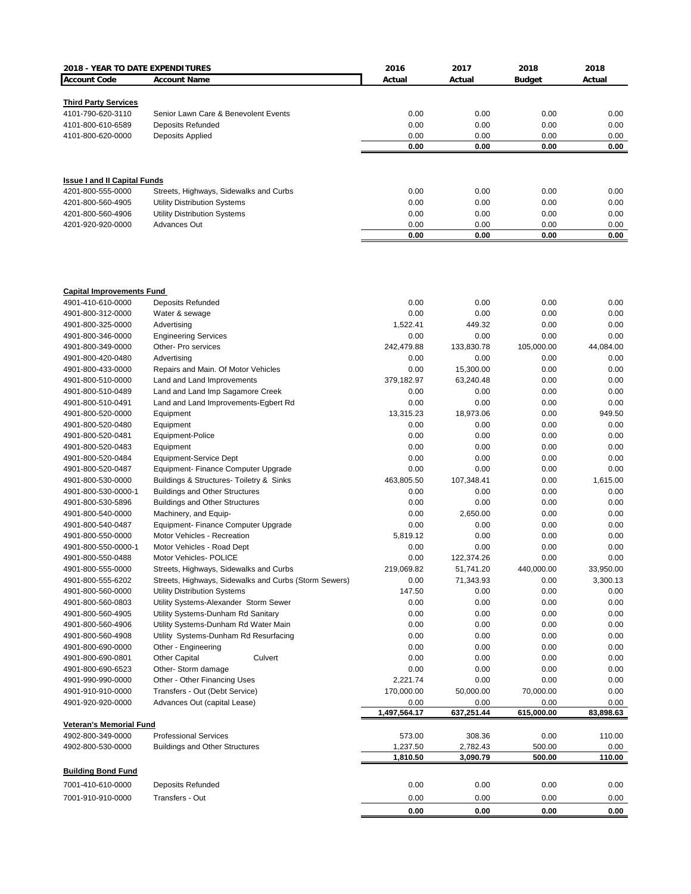| 2018 - YEAR TO DATE EXPENDITURES       |                                                                | 2016                 | 2017                 | 2018               | 2018              |
|----------------------------------------|----------------------------------------------------------------|----------------------|----------------------|--------------------|-------------------|
| <b>Account Code</b>                    | <b>Account Name</b>                                            | Actual               | Actual               | <b>Budget</b>      | Actual            |
|                                        |                                                                |                      |                      |                    |                   |
| <b>Third Party Services</b>            |                                                                |                      |                      |                    |                   |
| 4101-790-620-3110                      | Senior Lawn Care & Benevolent Events                           | 0.00                 | 0.00                 | 0.00               | 0.00              |
| 4101-800-610-6589<br>4101-800-620-0000 | <b>Deposits Refunded</b>                                       | 0.00<br>0.00         | 0.00<br>0.00         | 0.00<br>0.00       | 0.00<br>0.00      |
|                                        | Deposits Applied                                               | 0.00                 | 0.00                 | 0.00               | 0.00              |
|                                        |                                                                |                      |                      |                    |                   |
| <b>Issue I and II Capital Funds</b>    |                                                                |                      |                      |                    |                   |
| 4201-800-555-0000                      | Streets, Highways, Sidewalks and Curbs                         | 0.00                 | 0.00                 | 0.00               | 0.00              |
| 4201-800-560-4905                      | <b>Utility Distribution Systems</b>                            | 0.00                 | 0.00                 | 0.00               | 0.00              |
| 4201-800-560-4906                      | <b>Utility Distribution Systems</b>                            | 0.00                 | 0.00                 | 0.00               | 0.00              |
| 4201-920-920-0000                      | Advances Out                                                   | 0.00                 | 0.00                 | 0.00               | 0.00              |
|                                        |                                                                | 0.00                 | 0.00                 | 0.00               | 0.00              |
|                                        |                                                                |                      |                      |                    |                   |
| <b>Capital Improvements Fund</b>       |                                                                |                      |                      |                    |                   |
| 4901-410-610-0000                      | <b>Deposits Refunded</b>                                       | 0.00                 | 0.00                 | 0.00               | 0.00              |
| 4901-800-312-0000                      | Water & sewage                                                 | 0.00                 | 0.00                 | 0.00               | 0.00              |
| 4901-800-325-0000                      | Advertising                                                    | 1,522.41             | 449.32               | 0.00               | 0.00              |
| 4901-800-346-0000                      | <b>Engineering Services</b>                                    | 0.00                 | 0.00                 | 0.00               | 0.00              |
| 4901-800-349-0000<br>4901-800-420-0480 | Other- Pro services<br>Advertising                             | 242,479.88<br>0.00   | 133,830.78<br>0.00   | 105,000.00<br>0.00 | 44,084.00<br>0.00 |
| 4901-800-433-0000                      | Repairs and Main. Of Motor Vehicles                            | 0.00                 | 15,300.00            | 0.00               | 0.00              |
| 4901-800-510-0000                      | Land and Land Improvements                                     | 379,182.97           | 63,240.48            | 0.00               | 0.00              |
| 4901-800-510-0489                      | Land and Land Imp Sagamore Creek                               | 0.00                 | 0.00                 | 0.00               | 0.00              |
| 4901-800-510-0491                      | Land and Land Improvements-Egbert Rd                           | 0.00                 | 0.00                 | 0.00               | 0.00              |
| 4901-800-520-0000                      | Equipment                                                      | 13,315.23            | 18,973.06            | 0.00               | 949.50            |
| 4901-800-520-0480                      | Equipment                                                      | 0.00                 | 0.00                 | 0.00               | 0.00              |
| 4901-800-520-0481                      | Equipment-Police                                               | 0.00                 | 0.00                 | 0.00               | 0.00              |
| 4901-800-520-0483                      | Equipment                                                      | 0.00                 | 0.00                 | 0.00               | 0.00              |
| 4901-800-520-0484                      | Equipment-Service Dept                                         | 0.00                 | 0.00                 | 0.00               | 0.00              |
| 4901-800-520-0487                      | Equipment- Finance Computer Upgrade                            | 0.00                 | 0.00                 | 0.00               | 0.00              |
| 4901-800-530-0000                      | Buildings & Structures- Toiletry & Sinks                       | 463,805.50           | 107,348.41           | 0.00               | 1,615.00          |
| 4901-800-530-0000-1                    | <b>Buildings and Other Structures</b>                          | 0.00                 | 0.00                 | 0.00               | 0.00              |
| 4901-800-530-5896<br>4901-800-540-0000 | <b>Buildings and Other Structures</b><br>Machinery, and Equip- | 0.00<br>0.00         | 0.00<br>2,650.00     | 0.00<br>0.00       | 0.00<br>0.00      |
| 4901-800-540-0487                      | Equipment- Finance Computer Upgrade                            | 0.00                 | 0.00                 | 0.00               | 0.00              |
| 4901-800-550-0000                      | Motor Vehicles - Recreation                                    | 5,819.12             | 0.00                 | 0.00               | 0.00              |
| 4901-800-550-0000-1                    | Motor Vehicles - Road Dept                                     | 0.00                 | 0.00                 | 0.00               | 0.00              |
| 4901-800-550-0488                      | Motor Vehicles- POLICE                                         | 0.00                 | 122,374.26           | 0.00               | 0.00              |
| 4901-800-555-0000                      | Streets, Highways, Sidewalks and Curbs                         | 219,069.82           | 51,741.20            | 440,000.00         | 33,950.00         |
| 4901-800-555-6202                      | Streets, Highways, Sidewalks and Curbs (Storm Sewers)          | 0.00                 | 71,343.93            | 0.00               | 3,300.13          |
| 4901-800-560-0000                      | <b>Utility Distribution Systems</b>                            | 147.50               | 0.00                 | 0.00               | 0.00              |
| 4901-800-560-0803                      | Utility Systems-Alexander Storm Sewer                          | 0.00                 | 0.00                 | 0.00               | 0.00              |
| 4901-800-560-4905                      | Utility Systems-Dunham Rd Sanitary                             | 0.00                 | 0.00                 | 0.00               | 0.00              |
| 4901-800-560-4906                      | Utility Systems-Dunham Rd Water Main                           | 0.00                 | 0.00                 | 0.00               | 0.00              |
| 4901-800-560-4908                      | Utility Systems-Dunham Rd Resurfacing                          | 0.00                 | 0.00                 | 0.00               | 0.00              |
| 4901-800-690-0000<br>4901-800-690-0801 | Other - Engineering                                            | 0.00                 | 0.00                 | 0.00               | 0.00              |
| 4901-800-690-6523                      | <b>Other Capital</b><br>Culvert<br>Other- Storm damage         | 0.00<br>0.00         | 0.00<br>0.00         | 0.00<br>0.00       | 0.00<br>0.00      |
| 4901-990-990-0000                      | Other - Other Financing Uses                                   | 2,221.74             | 0.00                 | 0.00               | 0.00              |
| 4901-910-910-0000                      | Transfers - Out (Debt Service)                                 | 170,000.00           | 50,000.00            | 70,000.00          | 0.00              |
| 4901-920-920-0000                      | Advances Out (capital Lease)                                   | 0.00                 | 0.00                 | 0.00               | 0.00              |
|                                        |                                                                | 1,497,564.17         | 637,251.44           | 615,000.00         | 83,898.63         |
| <b>Veteran's Memorial Fund</b>         |                                                                |                      |                      |                    |                   |
| 4902-800-349-0000                      | <b>Professional Services</b>                                   | 573.00               | 308.36               | 0.00               | 110.00            |
| 4902-800-530-0000                      | <b>Buildings and Other Structures</b>                          | 1,237.50<br>1,810.50 | 2,782.43<br>3,090.79 | 500.00<br>500.00   | 0.00<br>110.00    |
|                                        |                                                                |                      |                      |                    |                   |
| <b>Building Bond Fund</b>              |                                                                |                      |                      |                    |                   |
| 7001-410-610-0000                      | <b>Deposits Refunded</b>                                       | 0.00                 | 0.00                 | 0.00               | 0.00              |
| 7001-910-910-0000                      | Transfers - Out                                                | 0.00                 | 0.00                 | 0.00               | 0.00              |
|                                        |                                                                | 0.00                 | 0.00                 | 0.00               | 0.00              |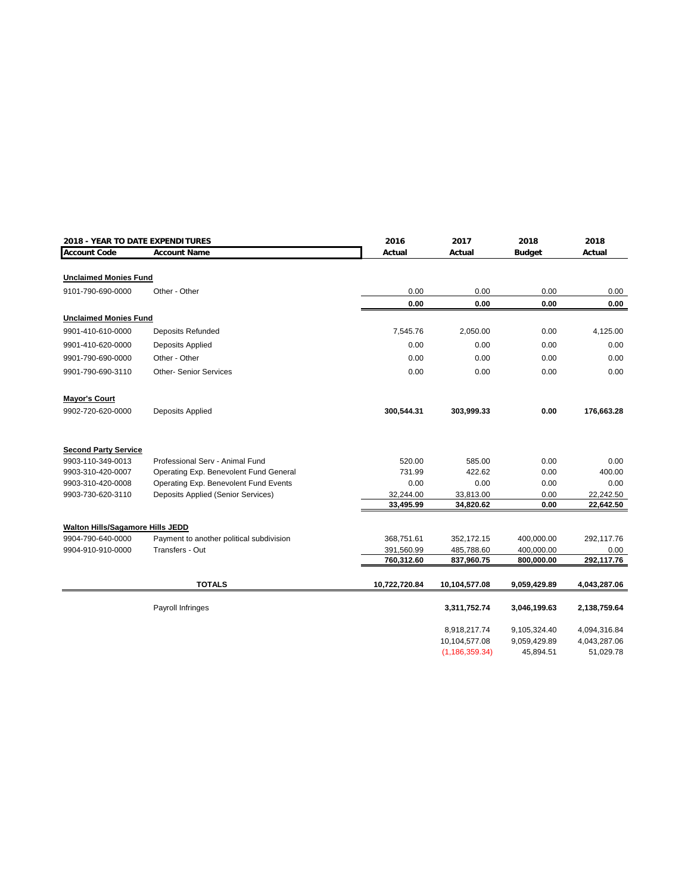| 2018 - YEAR TO DATE EXPENDITURES |                                          | 2016          | 2017                          | 2018                         | 2018                         |
|----------------------------------|------------------------------------------|---------------|-------------------------------|------------------------------|------------------------------|
| <b>Account Code</b>              | <b>Account Name</b>                      | Actual        | Actual                        | <b>Budget</b>                | Actual                       |
|                                  |                                          |               |                               |                              |                              |
| <b>Unclaimed Monies Fund</b>     |                                          |               |                               |                              |                              |
| 9101-790-690-0000                | Other - Other                            | 0.00          | 0.00                          | 0.00                         | 0.00                         |
|                                  |                                          | 0.00          | 0.00                          | 0.00                         | 0.00                         |
| <b>Unclaimed Monies Fund</b>     |                                          |               |                               |                              |                              |
| 9901-410-610-0000                | Deposits Refunded                        | 7,545.76      | 2,050.00                      | 0.00                         | 4,125.00                     |
| 9901-410-620-0000                | Deposits Applied                         | 0.00          | 0.00                          | 0.00                         | 0.00                         |
| 9901-790-690-0000                | Other - Other                            | 0.00          | 0.00                          | 0.00                         | 0.00                         |
| 9901-790-690-3110                | <b>Other- Senior Services</b>            | 0.00          | 0.00                          | 0.00                         | 0.00                         |
| <b>Mayor's Court</b>             |                                          |               |                               |                              |                              |
| 9902-720-620-0000                | Deposits Applied                         | 300,544.31    | 303,999.33                    | 0.00                         | 176,663.28                   |
| <b>Second Party Service</b>      |                                          |               |                               |                              |                              |
| 9903-110-349-0013                | Professional Serv - Animal Fund          | 520.00        | 585.00                        | 0.00                         | 0.00                         |
| 9903-310-420-0007                | Operating Exp. Benevolent Fund General   | 731.99        | 422.62                        | 0.00                         | 400.00                       |
| 9903-310-420-0008                | Operating Exp. Benevolent Fund Events    | 0.00          | 0.00                          | 0.00                         | 0.00                         |
| 9903-730-620-3110                | Deposits Applied (Senior Services)       | 32,244.00     | 33,813.00                     | 0.00                         | 22,242.50                    |
|                                  |                                          | 33,495.99     | 34,820.62                     | 0.00                         | 22,642.50                    |
| Walton Hills/Sagamore Hills JEDD |                                          |               |                               |                              |                              |
| 9904-790-640-0000                | Payment to another political subdivision | 368,751.61    | 352,172.15                    | 400,000.00                   | 292,117.76                   |
| 9904-910-910-0000                | Transfers - Out                          | 391,560.99    | 485,788.60                    | 400,000.00                   | 0.00                         |
|                                  |                                          | 760,312.60    | 837,960.75                    | 800,000.00                   | 292,117.76                   |
|                                  |                                          |               |                               |                              |                              |
|                                  | <b>TOTALS</b>                            | 10,722,720.84 | 10,104,577.08                 | 9,059,429.89                 | 4,043,287.06                 |
|                                  | Payroll Infringes                        |               | 3,311,752.74                  | 3,046,199.63                 | 2,138,759.64                 |
|                                  |                                          |               |                               |                              |                              |
|                                  |                                          |               | 8,918,217.74<br>10,104,577.08 | 9,105,324.40<br>9,059,429.89 | 4,094,316.84<br>4,043,287.06 |
|                                  |                                          |               | (1, 186, 359.34)              | 45,894.51                    | 51,029.78                    |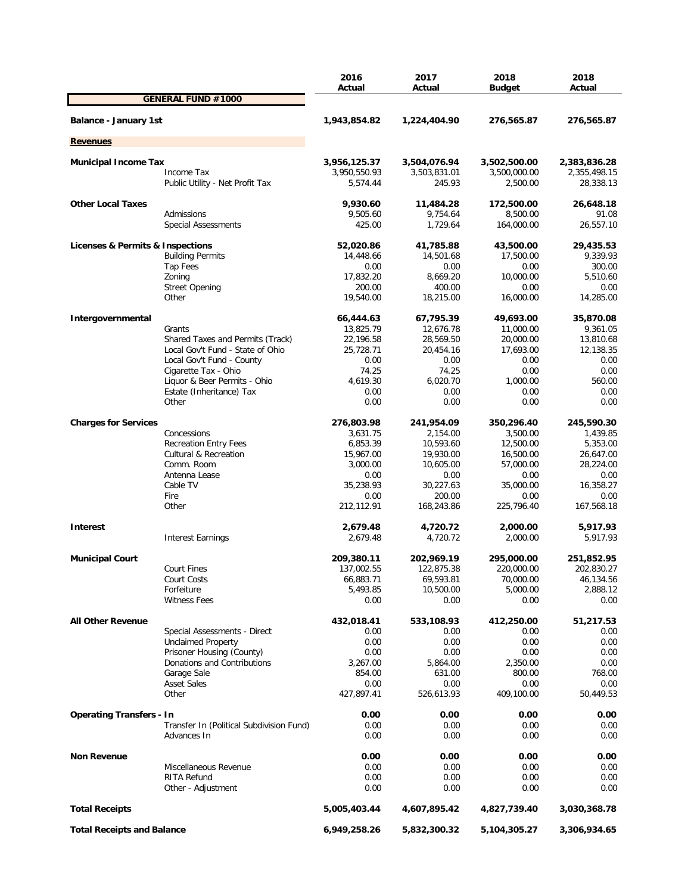|                                   |                                          | 2016<br>Actual | 2017<br>Actual         | 2018          | 2018<br>Actual |
|-----------------------------------|------------------------------------------|----------------|------------------------|---------------|----------------|
|                                   | <b>GENERAL FUND #1000</b>                |                |                        | <b>Budget</b> |                |
| Balance - January 1st             |                                          | 1,943,854.82   | 1,224,404.90           | 276,565.87    | 276,565.87     |
| <b>Revenues</b>                   |                                          |                |                        |               |                |
|                                   |                                          |                |                        |               |                |
| <b>Municipal Income Tax</b>       |                                          | 3,956,125.37   | 3,504,076.94           | 3,502,500.00  | 2,383,836.28   |
|                                   | Income Tax                               | 3,950,550.93   | 3,503,831.01<br>245.93 | 3,500,000.00  | 2,355,498.15   |
|                                   | Public Utility - Net Profit Tax          | 5,574.44       |                        | 2,500.00      | 28,338.13      |
| <b>Other Local Taxes</b>          |                                          | 9,930.60       | 11,484.28              | 172,500.00    | 26,648.18      |
|                                   | Admissions                               | 9,505.60       | 9,754.64               | 8,500.00      | 91.08          |
|                                   | <b>Special Assessments</b>               | 425.00         | 1,729.64               | 164,000.00    | 26,557.10      |
| Licenses & Permits & Inspections  |                                          | 52,020.86      | 41,785.88              | 43,500.00     | 29,435.53      |
|                                   | <b>Building Permits</b>                  | 14,448.66      | 14,501.68              | 17,500.00     | 9,339.93       |
|                                   | Tap Fees                                 | 0.00           | 0.00                   | 0.00          | 300.00         |
|                                   | Zoning                                   | 17,832.20      | 8,669.20               | 10,000.00     | 5,510.60       |
|                                   | <b>Street Opening</b>                    | 200.00         | 400.00                 | 0.00          | 0.00           |
|                                   | Other                                    | 19,540.00      | 18,215.00              | 16,000.00     | 14,285.00      |
| Intergovernmental                 |                                          | 66,444.63      | 67,795.39              | 49,693.00     | 35,870.08      |
|                                   | Grants                                   | 13,825.79      | 12,676.78              | 11,000.00     | 9,361.05       |
|                                   | Shared Taxes and Permits (Track)         | 22,196.58      | 28,569.50              | 20,000.00     | 13,810.68      |
|                                   | Local Gov't Fund - State of Ohio         | 25,728.71      | 20,454.16              | 17,693.00     | 12,138.35      |
|                                   | Local Gov't Fund - County                | 0.00           | 0.00                   | 0.00          | 0.00           |
|                                   | Cigarette Tax - Ohio                     | 74.25          | 74.25                  | 0.00          | 0.00           |
|                                   | Liquor & Beer Permits - Ohio             | 4,619.30       | 6,020.70               | 1,000.00      | 560.00         |
|                                   | Estate (Inheritance) Tax                 | 0.00           | 0.00                   | 0.00          | 0.00           |
|                                   | Other                                    | 0.00           | 0.00                   | 0.00          | 0.00           |
| <b>Charges for Services</b>       |                                          | 276,803.98     | 241,954.09             | 350,296.40    | 245,590.30     |
|                                   | Concessions                              | 3,631.75       | 2,154.00               | 3,500.00      | 1,439.85       |
|                                   | <b>Recreation Entry Fees</b>             | 6,853.39       | 10,593.60              | 12,500.00     | 5,353.00       |
|                                   | <b>Cultural &amp; Recreation</b>         | 15,967.00      | 19,930.00              | 16,500.00     | 26,647.00      |
|                                   | Comm. Room                               | 3,000.00       | 10,605.00              | 57,000.00     | 28,224.00      |
|                                   | Antenna Lease                            | 0.00           | 0.00                   | 0.00          | 0.00           |
|                                   | Cable TV                                 | 35,238.93      | 30,227.63              | 35,000.00     | 16,358.27      |
|                                   | Fire                                     | 0.00           | 200.00                 | 0.00          | 0.00           |
|                                   | Other                                    | 212,112.91     | 168,243.86             | 225,796.40    | 167,568.18     |
| <b>Interest</b>                   |                                          | 2,679.48       | 4,720.72               | 2,000.00      | 5,917.93       |
|                                   | <b>Interest Earnings</b>                 | 2,679.48       | 4,720.72               | 2,000.00      | 5,917.93       |
|                                   |                                          |                |                        |               |                |
| <b>Municipal Court</b>            |                                          | 209,380.11     | 202,969.19             | 295,000.00    | 251,852.95     |
|                                   | <b>Court Fines</b>                       | 137,002.55     | 122,875.38             | 220,000.00    | 202,830.27     |
|                                   | Court Costs                              | 66,883.71      | 69,593.81              | 70,000.00     | 46,134.56      |
|                                   | Forfeiture                               | 5,493.85       | 10,500.00              | 5,000.00      | 2,888.12       |
|                                   | <b>Witness Fees</b>                      | 0.00           | 0.00                   | 0.00          | 0.00           |
| <b>All Other Revenue</b>          |                                          | 432,018.41     | 533,108.93             | 412,250.00    | 51,217.53      |
|                                   | Special Assessments - Direct             | 0.00           | 0.00                   | 0.00          | 0.00           |
|                                   | <b>Unclaimed Property</b>                | 0.00           | 0.00                   | 0.00          | 0.00           |
|                                   | Prisoner Housing (County)                | 0.00           | 0.00                   | 0.00          | 0.00           |
|                                   | Donations and Contributions              | 3,267.00       | 5,864.00               | 2,350.00      | 0.00           |
|                                   | Garage Sale                              | 854.00         | 631.00                 | 800.00        | 768.00         |
|                                   | <b>Asset Sales</b>                       | 0.00           | 0.00                   | 0.00          | 0.00           |
|                                   | Other                                    | 427,897.41     | 526,613.93             | 409,100.00    | 50,449.53      |
| <b>Operating Transfers - In</b>   |                                          | 0.00           | 0.00                   | 0.00          | 0.00           |
|                                   | Transfer In (Political Subdivision Fund) | 0.00           | 0.00                   | 0.00          | 0.00           |
|                                   | Advances In                              | 0.00           | 0.00                   | 0.00          | 0.00           |
|                                   |                                          |                |                        |               |                |
| <b>Non Revenue</b>                | Miscellaneous Revenue                    | 0.00<br>0.00   | 0.00<br>0.00           | 0.00<br>0.00  | 0.00<br>0.00   |
|                                   | RITA Refund                              | 0.00           | 0.00                   | 0.00          | 0.00           |
|                                   | Other - Adjustment                       | 0.00           | 0.00                   | 0.00          | 0.00           |
| <b>Total Receipts</b>             |                                          | 5,005,403.44   | 4,607,895.42           | 4,827,739.40  | 3,030,368.78   |
| <b>Total Receipts and Balance</b> |                                          | 6,949,258.26   | 5,832,300.32           | 5,104,305.27  | 3,306,934.65   |
|                                   |                                          |                |                        |               |                |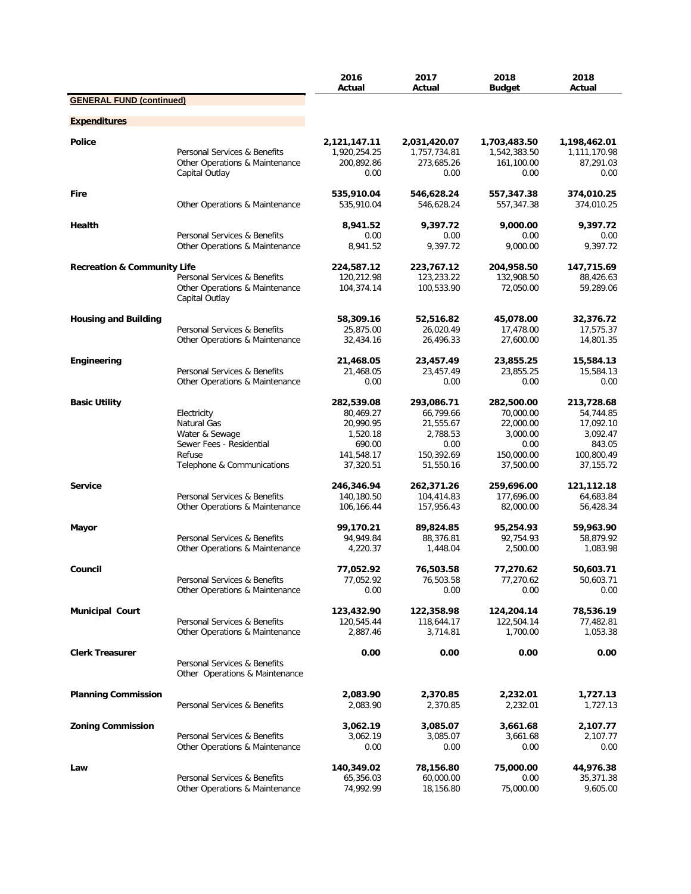|                                        |                                                                                                                  | 2016<br>Actual                                                                        | 2017<br>Actual                                                                      | 2018<br><b>Budget</b>                                                               | 2018<br>Actual                                                                          |
|----------------------------------------|------------------------------------------------------------------------------------------------------------------|---------------------------------------------------------------------------------------|-------------------------------------------------------------------------------------|-------------------------------------------------------------------------------------|-----------------------------------------------------------------------------------------|
| <b>GENERAL FUND (continued)</b>        |                                                                                                                  |                                                                                       |                                                                                     |                                                                                     |                                                                                         |
| <b>Expenditures</b>                    |                                                                                                                  |                                                                                       |                                                                                     |                                                                                     |                                                                                         |
| <b>Police</b>                          | Personal Services & Benefits<br>Other Operations & Maintenance<br>Capital Outlay                                 | 2,121,147.11<br>1,920,254.25<br>200,892.86<br>0.00                                    | 2,031,420.07<br>1,757,734.81<br>273,685.26<br>0.00                                  | 1,703,483.50<br>1,542,383.50<br>161,100.00<br>0.00                                  | 1,198,462.01<br>1,111,170.98<br>87,291.03<br>0.00                                       |
| <b>Fire</b>                            | Other Operations & Maintenance                                                                                   | 535,910.04<br>535,910.04                                                              | 546,628.24<br>546,628.24                                                            | 557,347.38<br>557,347.38                                                            | 374,010.25<br>374,010.25                                                                |
| Health                                 | Personal Services & Benefits                                                                                     | 8,941.52<br>0.00                                                                      | 9,397.72<br>0.00                                                                    | 9,000.00<br>0.00                                                                    | 9,397.72<br>0.00                                                                        |
|                                        | Other Operations & Maintenance                                                                                   | 8,941.52                                                                              | 9,397.72                                                                            | 9,000.00                                                                            | 9,397.72                                                                                |
| <b>Recreation &amp; Community Life</b> | Personal Services & Benefits<br>Other Operations & Maintenance<br>Capital Outlay                                 | 224,587.12<br>120,212.98<br>104,374.14                                                | 223,767.12<br>123,233.22<br>100,533.90                                              | 204,958.50<br>132,908.50<br>72,050.00                                               | 147,715.69<br>88,426.63<br>59,289.06                                                    |
| <b>Housing and Building</b>            | Personal Services & Benefits<br>Other Operations & Maintenance                                                   | 58,309.16<br>25,875.00<br>32,434.16                                                   | 52,516.82<br>26,020.49<br>26,496.33                                                 | 45,078.00<br>17,478.00<br>27,600.00                                                 | 32,376.72<br>17,575.37<br>14,801.35                                                     |
| Engineering                            | Personal Services & Benefits<br>Other Operations & Maintenance                                                   | 21,468.05<br>21,468.05<br>0.00                                                        | 23,457.49<br>23,457.49<br>0.00                                                      | 23,855.25<br>23,855.25<br>0.00                                                      | 15,584.13<br>15,584.13<br>0.00                                                          |
| <b>Basic Utility</b>                   | Electricity<br>Natural Gas<br>Water & Sewage<br>Sewer Fees - Residential<br>Refuse<br>Telephone & Communications | 282,539.08<br>80,469.27<br>20,990.95<br>1,520.18<br>690.00<br>141,548.17<br>37,320.51 | 293,086.71<br>66,799.66<br>21,555.67<br>2,788.53<br>0.00<br>150,392.69<br>51,550.16 | 282,500.00<br>70,000.00<br>22,000.00<br>3,000.00<br>0.00<br>150,000.00<br>37,500.00 | 213,728.68<br>54,744.85<br>17,092.10<br>3,092.47<br>843.05<br>100,800.49<br>37, 155. 72 |
| <b>Service</b>                         | Personal Services & Benefits<br>Other Operations & Maintenance                                                   | 246,346.94<br>140,180.50<br>106,166.44                                                | 262,371.26<br>104,414.83<br>157,956.43                                              | 259,696.00<br>177,696.00<br>82,000.00                                               | 121,112.18<br>64,683.84<br>56,428.34                                                    |
| Mayor                                  | Personal Services & Benefits<br>Other Operations & Maintenance                                                   | 99,170.21<br>94,949.84<br>4,220.37                                                    | 89,824.85<br>88,376.81<br>1,448.04                                                  | 95,254.93<br>92,754.93<br>2,500.00                                                  | 59,963.90<br>58,879.92<br>1,083.98                                                      |
| Council                                | Personal Services & Benefits<br>Other Operations & Maintenance                                                   | 77,052.92<br>77,052.92<br>0.00                                                        | 76,503.58<br>76,503.58<br>0.00                                                      | 77,270.62<br>77,270.62<br>0.00                                                      | 50,603.71<br>50,603.71<br>0.00                                                          |
| <b>Municipal Court</b>                 | Personal Services & Benefits<br>Other Operations & Maintenance                                                   | 123,432.90<br>120,545.44<br>2,887.46                                                  | 122,358.98<br>118,644.17<br>3,714.81                                                | 124,204.14<br>122,504.14<br>1,700.00                                                | 78,536.19<br>77,482.81<br>1,053.38                                                      |
| <b>Clerk Treasurer</b>                 | Personal Services & Benefits<br>Other Operations & Maintenance                                                   | 0.00                                                                                  | 0.00                                                                                | 0.00                                                                                | 0.00                                                                                    |
| <b>Planning Commission</b>             | Personal Services & Benefits                                                                                     | 2,083.90<br>2,083.90                                                                  | 2,370.85<br>2,370.85                                                                | 2,232.01<br>2,232.01                                                                | 1,727.13<br>1,727.13                                                                    |
| <b>Zoning Commission</b>               | Personal Services & Benefits<br>Other Operations & Maintenance                                                   | 3,062.19<br>3,062.19<br>0.00                                                          | 3,085.07<br>3,085.07<br>0.00                                                        | 3,661.68<br>3,661.68<br>0.00                                                        | 2,107.77<br>2,107.77<br>0.00                                                            |
| Law                                    | Personal Services & Benefits<br>Other Operations & Maintenance                                                   | 140,349.02<br>65,356.03<br>74,992.99                                                  | 78,156.80<br>60,000.00<br>18,156.80                                                 | 75,000.00<br>0.00<br>75,000.00                                                      | 44,976.38<br>35,371.38<br>9,605.00                                                      |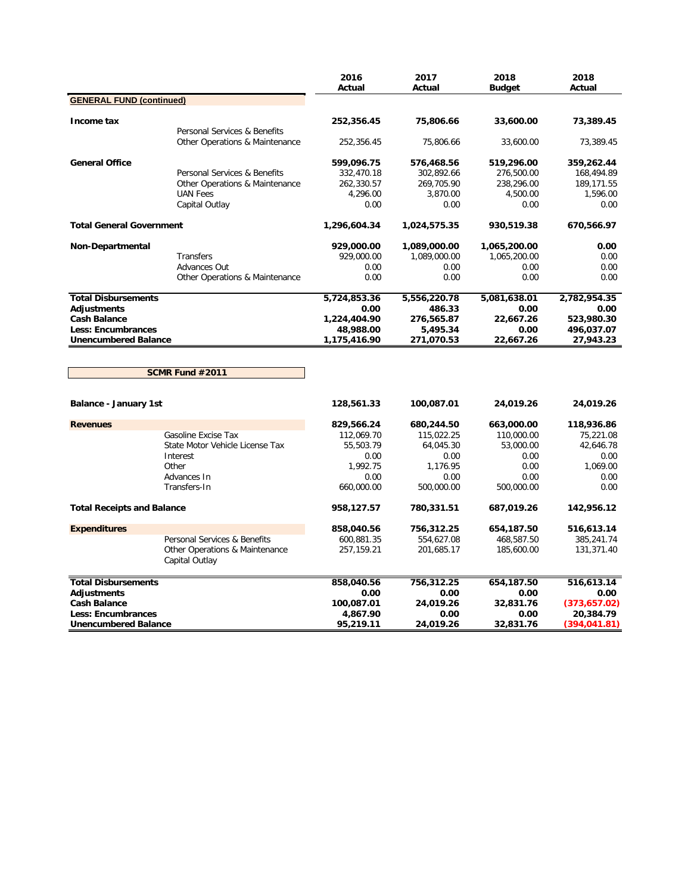|                                   |                                                                | 2016<br>Actual | 2017<br>Actual | 2018<br><b>Budget</b> | 2018<br>Actual |
|-----------------------------------|----------------------------------------------------------------|----------------|----------------|-----------------------|----------------|
| <b>GENERAL FUND (continued)</b>   |                                                                |                |                |                       |                |
| Income tax                        |                                                                | 252,356.45     | 75,806.66      | 33,600.00             | 73,389.45      |
|                                   | Personal Services & Benefits<br>Other Operations & Maintenance | 252,356.45     | 75,806.66      | 33,600.00             | 73,389.45      |
| <b>General Office</b>             |                                                                | 599,096.75     | 576,468.56     | 519,296.00            | 359,262.44     |
|                                   | Personal Services & Benefits                                   | 332,470.18     | 302,892.66     | 276,500.00            | 168,494.89     |
|                                   | Other Operations & Maintenance                                 | 262,330.57     | 269,705.90     | 238,296.00            | 189,171.55     |
|                                   | <b>UAN Fees</b>                                                | 4,296.00       | 3,870.00       | 4,500.00              | 1,596.00       |
|                                   | Capital Outlay                                                 | 0.00           | 0.00           | 0.00                  | 0.00           |
| <b>Total General Government</b>   |                                                                | 1,296,604.34   | 1,024,575.35   | 930,519.38            | 670,566.97     |
| Non-Departmental                  |                                                                | 929,000.00     | 1,089,000.00   | 1,065,200.00          | 0.00           |
|                                   | Transfers                                                      | 929,000.00     | 1,089,000.00   | 1,065,200.00          | 0.00           |
|                                   | Advances Out                                                   | 0.00           | 0.00           | 0.00                  | 0.00           |
|                                   | Other Operations & Maintenance                                 | 0.00           | 0.00           | 0.00                  | 0.00           |
| <b>Total Disbursements</b>        |                                                                | 5,724,853.36   | 5,556,220.78   | 5,081,638.01          | 2,782,954.35   |
| <b>Adjustments</b>                |                                                                | 0.00           | 486.33         | 0.00                  | 0.00           |
| <b>Cash Balance</b>               |                                                                | 1,224,404.90   | 276,565.87     | 22,667.26             | 523,980.30     |
| <b>Less: Encumbrances</b>         |                                                                | 48,988.00      | 5,495.34       | 0.00                  | 496,037.07     |
| <b>Unencumbered Balance</b>       |                                                                | 1,175,416.90   | 271,070.53     | 22,667.26             | 27,943.23      |
|                                   | SCMR Fund #2011                                                |                |                |                       |                |
| Balance - January 1st             |                                                                | 128,561.33     | 100,087.01     | 24,019.26             | 24,019.26      |
| <b>Revenues</b>                   |                                                                | 829,566.24     | 680,244.50     | 663,000.00            | 118,936.86     |
|                                   | Gasoline Excise Tax                                            | 112,069.70     | 115,022.25     | 110,000.00            | 75,221.08      |
|                                   | State Motor Vehicle License Tax                                | 55,503.79      | 64,045.30      | 53,000.00             | 42,646.78      |
|                                   | Interest                                                       | 0.00           | 0.00           | 0.00                  | 0.00           |
|                                   | Other                                                          | 1,992.75       | 1,176.95       | 0.00                  | 1,069.00       |
|                                   | Advances In                                                    | 0.00           | 0.00           | 0.00                  | 0.00           |
|                                   | Transfers-In                                                   | 660,000.00     | 500,000.00     | 500,000.00            | 0.00           |
| <b>Total Receipts and Balance</b> |                                                                | 958,127.57     | 780,331.51     | 687,019.26            | 142,956.12     |
| <b>Expenditures</b>               |                                                                | 858,040.56     | 756,312.25     | 654,187.50            | 516,613.14     |
|                                   | Personal Services & Benefits                                   | 600,881.35     | 554,627.08     | 468,587.50            | 385,241.74     |
|                                   | Other Operations & Maintenance<br>Capital Outlay               | 257,159.21     | 201,685.17     | 185,600.00            | 131,371.40     |
| <b>Total Disbursements</b>        |                                                                | 858,040.56     | 756,312.25     | 654,187.50            | 516,613.14     |
| Adjustments                       |                                                                | 0.00           | 0.00           | 0.00                  | 0.00           |
| <b>Cash Balance</b>               |                                                                | 100,087.01     | 24,019.26      | 32,831.76             | (373, 657.02)  |
| Less: Encumbrances                |                                                                | 4,867.90       | 0.00           | 0.00                  | 20,384.79      |
| <b>Unencumbered Balance</b>       |                                                                | 95,219.11      | 24,019.26      | 32,831.76             | (394,041.81)   |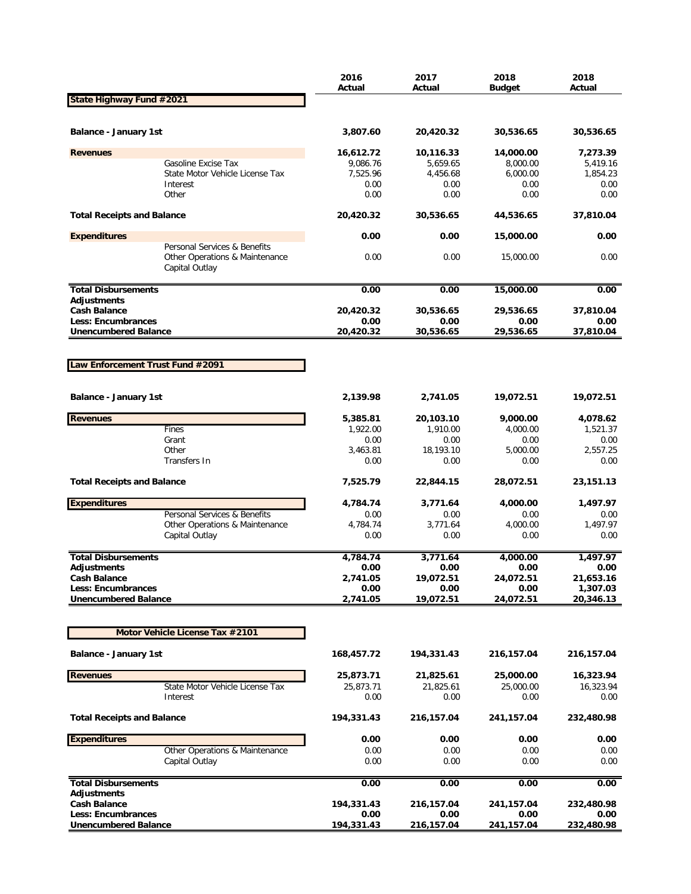|                                                          |                                                  | 2016<br>Actual    | 2017<br>Actual    | 2018<br><b>Budget</b> | 2018<br>Actual        |
|----------------------------------------------------------|--------------------------------------------------|-------------------|-------------------|-----------------------|-----------------------|
| State Highway Fund #2021                                 |                                                  |                   |                   |                       |                       |
|                                                          |                                                  |                   |                   |                       |                       |
| Balance - January 1st                                    |                                                  | 3,807.60          | 20,420.32         | 30,536.65             | 30,536.65             |
| <b>Revenues</b>                                          |                                                  | 16,612.72         | 10,116.33         | 14,000.00             | 7,273.39              |
|                                                          | Gasoline Excise Tax                              | 9,086.76          | 5,659.65          | 8,000.00              | 5,419.16              |
|                                                          | State Motor Vehicle License Tax<br>Interest      | 7,525.96<br>0.00  | 4,456.68<br>0.00  | 6,000.00<br>0.00      | 1,854.23<br>0.00      |
|                                                          | Other                                            | 0.00              | 0.00              | 0.00                  | 0.00                  |
| <b>Total Receipts and Balance</b>                        |                                                  | 20,420.32         | 30,536.65         | 44,536.65             | 37,810.04             |
| <b>Expenditures</b>                                      |                                                  | 0.00              | 0.00              | 15,000.00             | 0.00                  |
|                                                          | Personal Services & Benefits                     |                   |                   |                       |                       |
|                                                          | Other Operations & Maintenance<br>Capital Outlay | 0.00              | 0.00              | 15,000.00             | 0.00                  |
| <b>Total Disbursements</b>                               |                                                  | 0.00              | 0.00              | 15,000.00             | 0.00                  |
| <b>Adjustments</b>                                       |                                                  |                   |                   |                       |                       |
| <b>Cash Balance</b>                                      |                                                  | 20,420.32         | 30,536.65         | 29,536.65             | 37,810.04             |
| <b>Less: Encumbrances</b><br><b>Unencumbered Balance</b> |                                                  | 0.00<br>20,420.32 | 0.00<br>30,536.65 | 0.00<br>29,536.65     | 0.00<br>37,810.04     |
|                                                          |                                                  |                   |                   |                       |                       |
|                                                          |                                                  |                   |                   |                       |                       |
| Law Enforcement Trust Fund #2091                         |                                                  |                   |                   |                       |                       |
|                                                          |                                                  |                   |                   |                       |                       |
| <b>Balance - January 1st</b>                             |                                                  | 2,139.98          | 2,741.05          | 19,072.51             | 19,072.51             |
| <b>Revenues</b>                                          |                                                  | 5,385.81          | 20,103.10         | 9,000.00              | 4,078.62              |
|                                                          | Fines                                            | 1,922.00          | 1,910.00          | 4,000.00              | 1,521.37              |
|                                                          | Grant                                            | 0.00              | 0.00              | 0.00                  | 0.00                  |
|                                                          | Other<br>Transfers In                            | 3,463.81<br>0.00  | 18,193.10<br>0.00 | 5,000.00<br>0.00      | 2,557.25<br>0.00      |
|                                                          |                                                  |                   |                   |                       |                       |
| <b>Total Receipts and Balance</b>                        |                                                  | 7,525.79          | 22,844.15         | 28,072.51             | 23,151.13             |
| <b>Expenditures</b>                                      |                                                  | 4,784.74          | 3,771.64          | 4,000.00              | 1,497.97              |
|                                                          | Personal Services & Benefits                     | 0.00              | 0.00              | 0.00                  | 0.00                  |
|                                                          | Other Operations & Maintenance<br>Capital Outlay | 4,784.74<br>0.00  | 3,771.64<br>0.00  | 4,000.00<br>0.00      | 1,497.97<br>0.00      |
|                                                          |                                                  |                   |                   |                       |                       |
| <b>Total Disbursements</b>                               |                                                  | 4,784.74          | 3,771.64          | 4,000.00              | 1,497.97              |
| <b>Adjustments</b>                                       |                                                  | 0.00              | 0.00              | 0.00                  | 0.00                  |
| <b>Cash Balance</b>                                      |                                                  | 2,741.05          | 19,072.51         | 24,072.51             | 21,653.16             |
| <b>Less: Encumbrances</b><br><b>Unencumbered Balance</b> |                                                  | 0.00<br>2,741.05  | 0.00<br>19,072.51 | 0.00<br>24,072.51     | 1,307.03<br>20,346.13 |
|                                                          |                                                  |                   |                   |                       |                       |
|                                                          | Motor Vehicle License Tax #2101                  |                   |                   |                       |                       |
|                                                          |                                                  |                   |                   |                       |                       |
| <b>Balance - January 1st</b>                             |                                                  | 168,457.72        | 194,331.43        | 216,157.04            | 216,157.04            |
| <b>Revenues</b>                                          |                                                  | 25,873.71         | 21,825.61         | 25,000.00             | 16,323.94             |
|                                                          | State Motor Vehicle License Tax                  | 25,873.71         | 21,825.61         | 25,000.00             | 16,323.94             |
|                                                          | Interest                                         | 0.00              | 0.00              | 0.00                  | 0.00                  |
| <b>Total Receipts and Balance</b>                        |                                                  | 194,331.43        | 216,157.04        | 241,157.04            | 232,480.98            |
| <b>Expenditures</b>                                      |                                                  | 0.00              | 0.00              | 0.00                  | 0.00                  |
|                                                          | Other Operations & Maintenance                   | 0.00              | 0.00              | 0.00                  | 0.00                  |
|                                                          | Capital Outlay                                   | 0.00              | 0.00              | 0.00                  | 0.00                  |
| <b>Total Disbursements</b>                               |                                                  | 0.00              | 0.00              | 0.00                  | 0.00                  |
| <b>Adjustments</b><br><b>Cash Balance</b>                |                                                  | 194,331.43        | 216,157.04        | 241,157.04            | 232,480.98            |
| Less: Encumbrances                                       |                                                  | 0.00              | 0.00              | 0.00                  | 0.00                  |
| <b>Unencumbered Balance</b>                              |                                                  | 194,331.43        | 216,157.04        | 241,157.04            | 232,480.98            |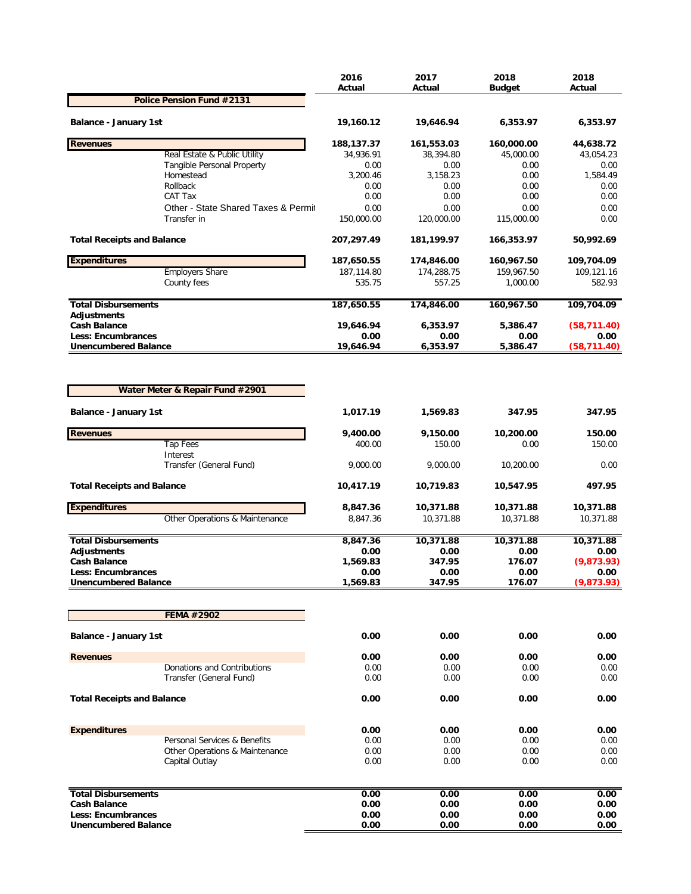|                                           |                                     | 2016<br>Actual     | 2017<br>Actual     | 2018<br><b>Budget</b> | 2018<br>Actual   |
|-------------------------------------------|-------------------------------------|--------------------|--------------------|-----------------------|------------------|
|                                           | Police Pension Fund #2131           |                    |                    |                       |                  |
| <b>Balance - January 1st</b>              |                                     | 19,160.12          | 19,646.94          | 6,353.97              | 6,353.97         |
| <b>Revenues</b>                           |                                     | 188,137.37         | 161,553.03         | 160,000.00            | 44,638.72        |
|                                           | Real Estate & Public Utility        | 34,936.91          | 38,394.80          | 45,000.00             | 43,054.23        |
|                                           | Tangible Personal Property          | 0.00               | 0.00               | 0.00                  | 0.00             |
|                                           | Homestead                           | 3,200.46           | 3,158.23           | 0.00                  | 1,584.49         |
|                                           | Rollback<br>CAT Tax                 | 0.00<br>0.00       | 0.00<br>0.00       | 0.00<br>0.00          | 0.00<br>0.00     |
|                                           | Other - State Shared Taxes & Permit | 0.00               | 0.00               | 0.00                  | 0.00             |
|                                           | Transfer in                         | 150,000.00         | 120,000.00         | 115,000.00            | 0.00             |
| <b>Total Receipts and Balance</b>         |                                     | 207,297.49         | 181,199.97         | 166,353.97            | 50,992.69        |
| <b>Expenditures</b>                       |                                     | 187,650.55         | 174,846.00         | 160,967.50            | 109,704.09       |
|                                           | <b>Employers Share</b>              | 187,114.80         | 174,288.75         | 159,967.50            | 109,121.16       |
|                                           | County fees                         | 535.75             | 557.25             | 1,000.00              | 582.93           |
| <b>Total Disbursements</b><br>Adjustments |                                     | 187,650.55         | 174,846.00         | 160,967.50            | 109,704.09       |
| <b>Cash Balance</b>                       |                                     | 19,646.94          | 6,353.97           | 5,386.47              | (58, 711.40)     |
| <b>Less: Encumbrances</b>                 |                                     | 0.00               | 0.00               | 0.00                  | 0.00             |
| <b>Unencumbered Balance</b>               |                                     | 19,646.94          | 6,353.97           | 5,386.47              | (58, 711.40)     |
| <b>Balance - January 1st</b>              | Water Meter & Repair Fund #2901     | 1,017.19           | 1,569.83           | 347.95                | 347.95           |
|                                           |                                     |                    |                    |                       |                  |
| <b>Revenues</b>                           | <b>Tap Fees</b>                     | 9,400.00<br>400.00 | 9,150.00<br>150.00 | 10,200.00<br>0.00     | 150.00<br>150.00 |
|                                           | Interest<br>Transfer (General Fund) | 9,000.00           | 9,000.00           | 10,200.00             | 0.00             |
| <b>Total Receipts and Balance</b>         |                                     | 10,417.19          | 10,719.83          | 10,547.95             | 497.95           |
| <b>Expenditures</b>                       |                                     | 8,847.36           | 10,371.88          | 10,371.88             | 10,371.88        |
|                                           | Other Operations & Maintenance      | 8,847.36           | 10,371.88          | 10,371.88             | 10,371.88        |
| <b>Total Disbursements</b>                |                                     | 8,847.36           | 10,371.88          | 10,371.88             | 10,371.88        |
| Adjustments                               |                                     | 0.00               | 0.00               | 0.00                  | 0.00             |
| <b>Cash Balance</b>                       |                                     | 1,569.83           | 347.95             | 176.07                | (9,873.93)       |
| <b>Less: Encumbrances</b>                 |                                     | 0.00               | 0.00               | 0.00                  | 0.00             |
| <b>Unencumbered Balance</b>               |                                     | 1,569.83           | 347.95             | 176.07                | (9,873.93)       |
|                                           |                                     |                    |                    |                       |                  |
|                                           | FEMA #2902                          |                    |                    |                       |                  |
| <b>Balance - January 1st</b>              |                                     | 0.00               | 0.00               | 0.00                  | 0.00             |
| <b>Revenues</b>                           |                                     | 0.00               | 0.00               | 0.00                  | 0.00             |
|                                           | Donations and Contributions         | 0.00               | 0.00               | 0.00                  | 0.00             |
|                                           | Transfer (General Fund)             | 0.00               | 0.00               | 0.00                  | 0.00             |
| <b>Total Receipts and Balance</b>         |                                     | 0.00               | 0.00               | 0.00                  | 0.00             |
| <b>Expenditures</b>                       |                                     | 0.00               | 0.00               | 0.00                  | 0.00             |
|                                           | Personal Services & Benefits        | 0.00               | 0.00               | 0.00                  | 0.00             |
|                                           | Other Operations & Maintenance      | 0.00               | 0.00               | 0.00                  | 0.00             |
|                                           | Capital Outlay                      | 0.00               | 0.00               | 0.00                  | 0.00             |
| <b>Total Disbursements</b>                |                                     | 0.00               | 0.00               | 0.00                  | 0.00             |
| <b>Cash Balance</b>                       |                                     | 0.00               | 0.00               | 0.00                  | 0.00             |
| <b>Less: Encumbrances</b>                 |                                     | 0.00               | 0.00               | 0.00                  | 0.00             |
| <b>Unencumbered Balance</b>               |                                     | 0.00               | 0.00               | 0.00                  | 0.00             |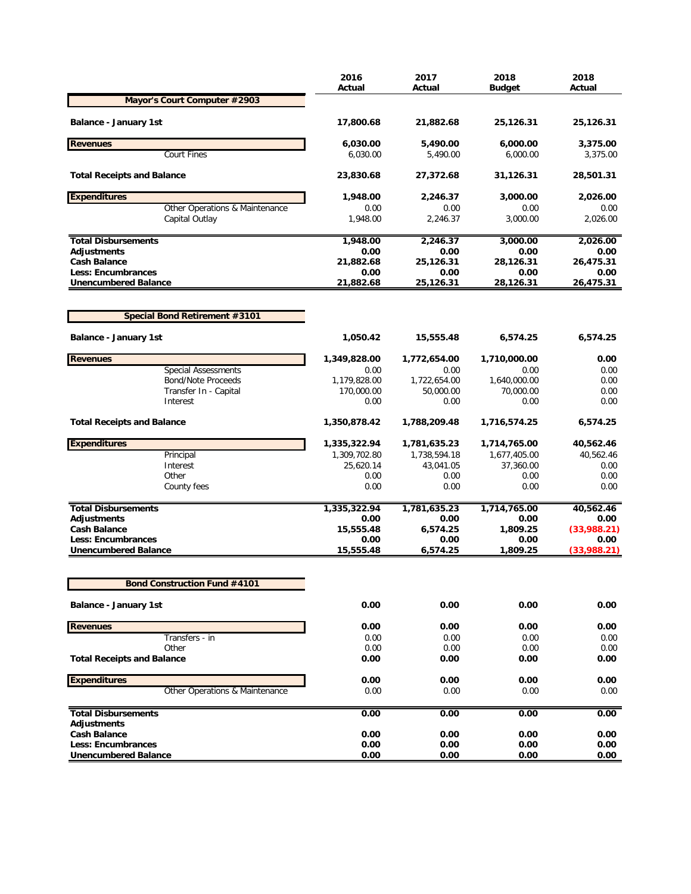| Mayor's Court Computer #2903<br>Balance - January 1st<br>17,800.68<br>21,882.68<br>25,126.31<br>25,126.31<br><b>Revenues</b><br>6,000.00<br>6,030.00<br>5,490.00<br>3,375.00<br><b>Court Fines</b><br>6,030.00<br>5,490.00<br>6.000.00<br>3,375.00<br><b>Total Receipts and Balance</b><br>23,830.68<br>27,372.68<br>31,126.31<br>28,501.31<br><b>Expenditures</b><br>1,948.00<br>2,246.37<br>3,000.00<br>2,026.00<br>Other Operations & Maintenance<br>0.00<br>0.00<br>0.00<br>0.00<br>2,246.37<br>Capital Outlay<br>1,948.00<br>3,000.00<br>2,026.00<br>1,948.00<br>2,246.37<br>3,000.00<br><b>Total Disbursements</b><br>2,026.00<br>Adjustments<br>0.00<br>0.00<br>0.00<br>0.00<br><b>Cash Balance</b><br>25,126.31<br>21,882.68<br>28,126.31<br>26,475.31<br><b>Less: Encumbrances</b><br>0.00<br>0.00<br>0.00<br>0.00<br>26,475.31<br><b>Unencumbered Balance</b><br>21,882.68<br>25,126.31<br>28,126.31<br><b>Special Bond Retirement #3101</b><br><b>Balance - January 1st</b><br>1,050.42<br>15,555.48<br>6,574.25<br>6,574.25<br><b>Revenues</b><br>1,349,828.00<br>1,772,654.00<br>1,710,000.00<br>0.00<br><b>Special Assessments</b><br>0.00<br>0.00<br>0.00<br>0.00<br><b>Bond/Note Proceeds</b><br>1,179,828.00<br>1,722,654.00<br>1,640,000.00<br>0.00<br>170,000.00<br>50,000.00<br>70,000.00<br>Transfer In - Capital<br>0.00<br>Interest<br>0.00<br>0.00<br>0.00<br>0.00<br><b>Total Receipts and Balance</b><br>1,350,878.42<br>1,788,209.48<br>1,716,574.25<br>6,574.25<br><b>Expenditures</b><br>1,335,322.94<br>1,781,635.23<br>1,714,765.00<br>40,562.46<br>1,677,405.00<br>Principal<br>1,309,702.80<br>1,738,594.18<br>40,562.46<br>Interest<br>25,620.14<br>43,041.05<br>37,360.00<br>0.00<br>Other<br>0.00<br>0.00<br>0.00<br>0.00<br>0.00<br>County fees<br>0.00<br>0.00<br>0.00<br><b>Total Disbursements</b><br>1,781,635.23<br>1,714,765.00<br>1,335,322.94<br>40,562.46<br>Adjustments<br>0.00<br>0.00<br>0.00<br>0.00<br>15,555.48<br>6,574.25<br><b>Cash Balance</b><br>1,809.25<br>(33,988.21)<br><b>Less: Encumbrances</b><br>0.00<br>0.00<br>0.00<br>0.00<br>15,555.48<br>6,574.25<br><b>Unencumbered Balance</b><br>1,809.25<br>(33,988.21)<br><b>Bond Construction Fund #4101</b><br>0.00<br>0.00<br>0.00<br>0.00<br><b>Balance - January 1st</b><br><b>Revenues</b><br>0.00<br>0.00<br>0.00<br>0.00<br>Transfers - in<br>0.00<br>0.00<br>0.00<br>0.00<br>Other<br>0.00<br>0.00<br>0.00<br>0.00<br><b>Total Receipts and Balance</b><br>0.00<br>0.00<br>0.00<br>0.00<br><b>Expenditures</b><br>0.00<br>0.00<br>0.00<br>0.00<br>Other Operations & Maintenance<br>0.00<br>0.00<br>0.00<br>0.00<br>0.00<br>0.00<br><b>Total Disbursements</b><br>0.00<br>0.00<br>Adjustments<br><b>Cash Balance</b><br>0.00<br>0.00<br>0.00<br>0.00<br><b>Less: Encumbrances</b><br>0.00<br>0.00<br>0.00<br>0.00<br><b>Unencumbered Balance</b><br>0.00<br>0.00<br>0.00<br>0.00 | 2016<br>Actual | 2017<br>Actual | 2018<br><b>Budget</b> | 2018<br>Actual |
|------------------------------------------------------------------------------------------------------------------------------------------------------------------------------------------------------------------------------------------------------------------------------------------------------------------------------------------------------------------------------------------------------------------------------------------------------------------------------------------------------------------------------------------------------------------------------------------------------------------------------------------------------------------------------------------------------------------------------------------------------------------------------------------------------------------------------------------------------------------------------------------------------------------------------------------------------------------------------------------------------------------------------------------------------------------------------------------------------------------------------------------------------------------------------------------------------------------------------------------------------------------------------------------------------------------------------------------------------------------------------------------------------------------------------------------------------------------------------------------------------------------------------------------------------------------------------------------------------------------------------------------------------------------------------------------------------------------------------------------------------------------------------------------------------------------------------------------------------------------------------------------------------------------------------------------------------------------------------------------------------------------------------------------------------------------------------------------------------------------------------------------------------------------------------------------------------------------------------------------------------------------------------------------------------------------------------------------------------------------------------------------------------------------------------------------------------------------------------------------------------------------------------------------------------------------------------------------------------------------------------------------------------------------------------------------------------------------------------------------------------------------------------------------------------------------------------------------------------------------------------------------------------|----------------|----------------|-----------------------|----------------|
|                                                                                                                                                                                                                                                                                                                                                                                                                                                                                                                                                                                                                                                                                                                                                                                                                                                                                                                                                                                                                                                                                                                                                                                                                                                                                                                                                                                                                                                                                                                                                                                                                                                                                                                                                                                                                                                                                                                                                                                                                                                                                                                                                                                                                                                                                                                                                                                                                                                                                                                                                                                                                                                                                                                                                                                                                                                                                                      |                |                |                       |                |
|                                                                                                                                                                                                                                                                                                                                                                                                                                                                                                                                                                                                                                                                                                                                                                                                                                                                                                                                                                                                                                                                                                                                                                                                                                                                                                                                                                                                                                                                                                                                                                                                                                                                                                                                                                                                                                                                                                                                                                                                                                                                                                                                                                                                                                                                                                                                                                                                                                                                                                                                                                                                                                                                                                                                                                                                                                                                                                      |                |                |                       |                |
|                                                                                                                                                                                                                                                                                                                                                                                                                                                                                                                                                                                                                                                                                                                                                                                                                                                                                                                                                                                                                                                                                                                                                                                                                                                                                                                                                                                                                                                                                                                                                                                                                                                                                                                                                                                                                                                                                                                                                                                                                                                                                                                                                                                                                                                                                                                                                                                                                                                                                                                                                                                                                                                                                                                                                                                                                                                                                                      |                |                |                       |                |
|                                                                                                                                                                                                                                                                                                                                                                                                                                                                                                                                                                                                                                                                                                                                                                                                                                                                                                                                                                                                                                                                                                                                                                                                                                                                                                                                                                                                                                                                                                                                                                                                                                                                                                                                                                                                                                                                                                                                                                                                                                                                                                                                                                                                                                                                                                                                                                                                                                                                                                                                                                                                                                                                                                                                                                                                                                                                                                      |                |                |                       |                |
|                                                                                                                                                                                                                                                                                                                                                                                                                                                                                                                                                                                                                                                                                                                                                                                                                                                                                                                                                                                                                                                                                                                                                                                                                                                                                                                                                                                                                                                                                                                                                                                                                                                                                                                                                                                                                                                                                                                                                                                                                                                                                                                                                                                                                                                                                                                                                                                                                                                                                                                                                                                                                                                                                                                                                                                                                                                                                                      |                |                |                       |                |
|                                                                                                                                                                                                                                                                                                                                                                                                                                                                                                                                                                                                                                                                                                                                                                                                                                                                                                                                                                                                                                                                                                                                                                                                                                                                                                                                                                                                                                                                                                                                                                                                                                                                                                                                                                                                                                                                                                                                                                                                                                                                                                                                                                                                                                                                                                                                                                                                                                                                                                                                                                                                                                                                                                                                                                                                                                                                                                      |                |                |                       |                |
|                                                                                                                                                                                                                                                                                                                                                                                                                                                                                                                                                                                                                                                                                                                                                                                                                                                                                                                                                                                                                                                                                                                                                                                                                                                                                                                                                                                                                                                                                                                                                                                                                                                                                                                                                                                                                                                                                                                                                                                                                                                                                                                                                                                                                                                                                                                                                                                                                                                                                                                                                                                                                                                                                                                                                                                                                                                                                                      |                |                |                       |                |
|                                                                                                                                                                                                                                                                                                                                                                                                                                                                                                                                                                                                                                                                                                                                                                                                                                                                                                                                                                                                                                                                                                                                                                                                                                                                                                                                                                                                                                                                                                                                                                                                                                                                                                                                                                                                                                                                                                                                                                                                                                                                                                                                                                                                                                                                                                                                                                                                                                                                                                                                                                                                                                                                                                                                                                                                                                                                                                      |                |                |                       |                |
|                                                                                                                                                                                                                                                                                                                                                                                                                                                                                                                                                                                                                                                                                                                                                                                                                                                                                                                                                                                                                                                                                                                                                                                                                                                                                                                                                                                                                                                                                                                                                                                                                                                                                                                                                                                                                                                                                                                                                                                                                                                                                                                                                                                                                                                                                                                                                                                                                                                                                                                                                                                                                                                                                                                                                                                                                                                                                                      |                |                |                       |                |
|                                                                                                                                                                                                                                                                                                                                                                                                                                                                                                                                                                                                                                                                                                                                                                                                                                                                                                                                                                                                                                                                                                                                                                                                                                                                                                                                                                                                                                                                                                                                                                                                                                                                                                                                                                                                                                                                                                                                                                                                                                                                                                                                                                                                                                                                                                                                                                                                                                                                                                                                                                                                                                                                                                                                                                                                                                                                                                      |                |                |                       |                |
|                                                                                                                                                                                                                                                                                                                                                                                                                                                                                                                                                                                                                                                                                                                                                                                                                                                                                                                                                                                                                                                                                                                                                                                                                                                                                                                                                                                                                                                                                                                                                                                                                                                                                                                                                                                                                                                                                                                                                                                                                                                                                                                                                                                                                                                                                                                                                                                                                                                                                                                                                                                                                                                                                                                                                                                                                                                                                                      |                |                |                       |                |
|                                                                                                                                                                                                                                                                                                                                                                                                                                                                                                                                                                                                                                                                                                                                                                                                                                                                                                                                                                                                                                                                                                                                                                                                                                                                                                                                                                                                                                                                                                                                                                                                                                                                                                                                                                                                                                                                                                                                                                                                                                                                                                                                                                                                                                                                                                                                                                                                                                                                                                                                                                                                                                                                                                                                                                                                                                                                                                      |                |                |                       |                |
|                                                                                                                                                                                                                                                                                                                                                                                                                                                                                                                                                                                                                                                                                                                                                                                                                                                                                                                                                                                                                                                                                                                                                                                                                                                                                                                                                                                                                                                                                                                                                                                                                                                                                                                                                                                                                                                                                                                                                                                                                                                                                                                                                                                                                                                                                                                                                                                                                                                                                                                                                                                                                                                                                                                                                                                                                                                                                                      |                |                |                       |                |
|                                                                                                                                                                                                                                                                                                                                                                                                                                                                                                                                                                                                                                                                                                                                                                                                                                                                                                                                                                                                                                                                                                                                                                                                                                                                                                                                                                                                                                                                                                                                                                                                                                                                                                                                                                                                                                                                                                                                                                                                                                                                                                                                                                                                                                                                                                                                                                                                                                                                                                                                                                                                                                                                                                                                                                                                                                                                                                      |                |                |                       |                |
|                                                                                                                                                                                                                                                                                                                                                                                                                                                                                                                                                                                                                                                                                                                                                                                                                                                                                                                                                                                                                                                                                                                                                                                                                                                                                                                                                                                                                                                                                                                                                                                                                                                                                                                                                                                                                                                                                                                                                                                                                                                                                                                                                                                                                                                                                                                                                                                                                                                                                                                                                                                                                                                                                                                                                                                                                                                                                                      |                |                |                       |                |
|                                                                                                                                                                                                                                                                                                                                                                                                                                                                                                                                                                                                                                                                                                                                                                                                                                                                                                                                                                                                                                                                                                                                                                                                                                                                                                                                                                                                                                                                                                                                                                                                                                                                                                                                                                                                                                                                                                                                                                                                                                                                                                                                                                                                                                                                                                                                                                                                                                                                                                                                                                                                                                                                                                                                                                                                                                                                                                      |                |                |                       |                |
|                                                                                                                                                                                                                                                                                                                                                                                                                                                                                                                                                                                                                                                                                                                                                                                                                                                                                                                                                                                                                                                                                                                                                                                                                                                                                                                                                                                                                                                                                                                                                                                                                                                                                                                                                                                                                                                                                                                                                                                                                                                                                                                                                                                                                                                                                                                                                                                                                                                                                                                                                                                                                                                                                                                                                                                                                                                                                                      |                |                |                       |                |
|                                                                                                                                                                                                                                                                                                                                                                                                                                                                                                                                                                                                                                                                                                                                                                                                                                                                                                                                                                                                                                                                                                                                                                                                                                                                                                                                                                                                                                                                                                                                                                                                                                                                                                                                                                                                                                                                                                                                                                                                                                                                                                                                                                                                                                                                                                                                                                                                                                                                                                                                                                                                                                                                                                                                                                                                                                                                                                      |                |                |                       |                |
|                                                                                                                                                                                                                                                                                                                                                                                                                                                                                                                                                                                                                                                                                                                                                                                                                                                                                                                                                                                                                                                                                                                                                                                                                                                                                                                                                                                                                                                                                                                                                                                                                                                                                                                                                                                                                                                                                                                                                                                                                                                                                                                                                                                                                                                                                                                                                                                                                                                                                                                                                                                                                                                                                                                                                                                                                                                                                                      |                |                |                       |                |
|                                                                                                                                                                                                                                                                                                                                                                                                                                                                                                                                                                                                                                                                                                                                                                                                                                                                                                                                                                                                                                                                                                                                                                                                                                                                                                                                                                                                                                                                                                                                                                                                                                                                                                                                                                                                                                                                                                                                                                                                                                                                                                                                                                                                                                                                                                                                                                                                                                                                                                                                                                                                                                                                                                                                                                                                                                                                                                      |                |                |                       |                |
|                                                                                                                                                                                                                                                                                                                                                                                                                                                                                                                                                                                                                                                                                                                                                                                                                                                                                                                                                                                                                                                                                                                                                                                                                                                                                                                                                                                                                                                                                                                                                                                                                                                                                                                                                                                                                                                                                                                                                                                                                                                                                                                                                                                                                                                                                                                                                                                                                                                                                                                                                                                                                                                                                                                                                                                                                                                                                                      |                |                |                       |                |
|                                                                                                                                                                                                                                                                                                                                                                                                                                                                                                                                                                                                                                                                                                                                                                                                                                                                                                                                                                                                                                                                                                                                                                                                                                                                                                                                                                                                                                                                                                                                                                                                                                                                                                                                                                                                                                                                                                                                                                                                                                                                                                                                                                                                                                                                                                                                                                                                                                                                                                                                                                                                                                                                                                                                                                                                                                                                                                      |                |                |                       |                |
|                                                                                                                                                                                                                                                                                                                                                                                                                                                                                                                                                                                                                                                                                                                                                                                                                                                                                                                                                                                                                                                                                                                                                                                                                                                                                                                                                                                                                                                                                                                                                                                                                                                                                                                                                                                                                                                                                                                                                                                                                                                                                                                                                                                                                                                                                                                                                                                                                                                                                                                                                                                                                                                                                                                                                                                                                                                                                                      |                |                |                       |                |
|                                                                                                                                                                                                                                                                                                                                                                                                                                                                                                                                                                                                                                                                                                                                                                                                                                                                                                                                                                                                                                                                                                                                                                                                                                                                                                                                                                                                                                                                                                                                                                                                                                                                                                                                                                                                                                                                                                                                                                                                                                                                                                                                                                                                                                                                                                                                                                                                                                                                                                                                                                                                                                                                                                                                                                                                                                                                                                      |                |                |                       |                |
|                                                                                                                                                                                                                                                                                                                                                                                                                                                                                                                                                                                                                                                                                                                                                                                                                                                                                                                                                                                                                                                                                                                                                                                                                                                                                                                                                                                                                                                                                                                                                                                                                                                                                                                                                                                                                                                                                                                                                                                                                                                                                                                                                                                                                                                                                                                                                                                                                                                                                                                                                                                                                                                                                                                                                                                                                                                                                                      |                |                |                       |                |
|                                                                                                                                                                                                                                                                                                                                                                                                                                                                                                                                                                                                                                                                                                                                                                                                                                                                                                                                                                                                                                                                                                                                                                                                                                                                                                                                                                                                                                                                                                                                                                                                                                                                                                                                                                                                                                                                                                                                                                                                                                                                                                                                                                                                                                                                                                                                                                                                                                                                                                                                                                                                                                                                                                                                                                                                                                                                                                      |                |                |                       |                |
|                                                                                                                                                                                                                                                                                                                                                                                                                                                                                                                                                                                                                                                                                                                                                                                                                                                                                                                                                                                                                                                                                                                                                                                                                                                                                                                                                                                                                                                                                                                                                                                                                                                                                                                                                                                                                                                                                                                                                                                                                                                                                                                                                                                                                                                                                                                                                                                                                                                                                                                                                                                                                                                                                                                                                                                                                                                                                                      |                |                |                       |                |
|                                                                                                                                                                                                                                                                                                                                                                                                                                                                                                                                                                                                                                                                                                                                                                                                                                                                                                                                                                                                                                                                                                                                                                                                                                                                                                                                                                                                                                                                                                                                                                                                                                                                                                                                                                                                                                                                                                                                                                                                                                                                                                                                                                                                                                                                                                                                                                                                                                                                                                                                                                                                                                                                                                                                                                                                                                                                                                      |                |                |                       |                |
|                                                                                                                                                                                                                                                                                                                                                                                                                                                                                                                                                                                                                                                                                                                                                                                                                                                                                                                                                                                                                                                                                                                                                                                                                                                                                                                                                                                                                                                                                                                                                                                                                                                                                                                                                                                                                                                                                                                                                                                                                                                                                                                                                                                                                                                                                                                                                                                                                                                                                                                                                                                                                                                                                                                                                                                                                                                                                                      |                |                |                       |                |
|                                                                                                                                                                                                                                                                                                                                                                                                                                                                                                                                                                                                                                                                                                                                                                                                                                                                                                                                                                                                                                                                                                                                                                                                                                                                                                                                                                                                                                                                                                                                                                                                                                                                                                                                                                                                                                                                                                                                                                                                                                                                                                                                                                                                                                                                                                                                                                                                                                                                                                                                                                                                                                                                                                                                                                                                                                                                                                      |                |                |                       |                |
|                                                                                                                                                                                                                                                                                                                                                                                                                                                                                                                                                                                                                                                                                                                                                                                                                                                                                                                                                                                                                                                                                                                                                                                                                                                                                                                                                                                                                                                                                                                                                                                                                                                                                                                                                                                                                                                                                                                                                                                                                                                                                                                                                                                                                                                                                                                                                                                                                                                                                                                                                                                                                                                                                                                                                                                                                                                                                                      |                |                |                       |                |
|                                                                                                                                                                                                                                                                                                                                                                                                                                                                                                                                                                                                                                                                                                                                                                                                                                                                                                                                                                                                                                                                                                                                                                                                                                                                                                                                                                                                                                                                                                                                                                                                                                                                                                                                                                                                                                                                                                                                                                                                                                                                                                                                                                                                                                                                                                                                                                                                                                                                                                                                                                                                                                                                                                                                                                                                                                                                                                      |                |                |                       |                |
|                                                                                                                                                                                                                                                                                                                                                                                                                                                                                                                                                                                                                                                                                                                                                                                                                                                                                                                                                                                                                                                                                                                                                                                                                                                                                                                                                                                                                                                                                                                                                                                                                                                                                                                                                                                                                                                                                                                                                                                                                                                                                                                                                                                                                                                                                                                                                                                                                                                                                                                                                                                                                                                                                                                                                                                                                                                                                                      |                |                |                       |                |
|                                                                                                                                                                                                                                                                                                                                                                                                                                                                                                                                                                                                                                                                                                                                                                                                                                                                                                                                                                                                                                                                                                                                                                                                                                                                                                                                                                                                                                                                                                                                                                                                                                                                                                                                                                                                                                                                                                                                                                                                                                                                                                                                                                                                                                                                                                                                                                                                                                                                                                                                                                                                                                                                                                                                                                                                                                                                                                      |                |                |                       |                |
|                                                                                                                                                                                                                                                                                                                                                                                                                                                                                                                                                                                                                                                                                                                                                                                                                                                                                                                                                                                                                                                                                                                                                                                                                                                                                                                                                                                                                                                                                                                                                                                                                                                                                                                                                                                                                                                                                                                                                                                                                                                                                                                                                                                                                                                                                                                                                                                                                                                                                                                                                                                                                                                                                                                                                                                                                                                                                                      |                |                |                       |                |
|                                                                                                                                                                                                                                                                                                                                                                                                                                                                                                                                                                                                                                                                                                                                                                                                                                                                                                                                                                                                                                                                                                                                                                                                                                                                                                                                                                                                                                                                                                                                                                                                                                                                                                                                                                                                                                                                                                                                                                                                                                                                                                                                                                                                                                                                                                                                                                                                                                                                                                                                                                                                                                                                                                                                                                                                                                                                                                      |                |                |                       |                |
|                                                                                                                                                                                                                                                                                                                                                                                                                                                                                                                                                                                                                                                                                                                                                                                                                                                                                                                                                                                                                                                                                                                                                                                                                                                                                                                                                                                                                                                                                                                                                                                                                                                                                                                                                                                                                                                                                                                                                                                                                                                                                                                                                                                                                                                                                                                                                                                                                                                                                                                                                                                                                                                                                                                                                                                                                                                                                                      |                |                |                       |                |
|                                                                                                                                                                                                                                                                                                                                                                                                                                                                                                                                                                                                                                                                                                                                                                                                                                                                                                                                                                                                                                                                                                                                                                                                                                                                                                                                                                                                                                                                                                                                                                                                                                                                                                                                                                                                                                                                                                                                                                                                                                                                                                                                                                                                                                                                                                                                                                                                                                                                                                                                                                                                                                                                                                                                                                                                                                                                                                      |                |                |                       |                |
|                                                                                                                                                                                                                                                                                                                                                                                                                                                                                                                                                                                                                                                                                                                                                                                                                                                                                                                                                                                                                                                                                                                                                                                                                                                                                                                                                                                                                                                                                                                                                                                                                                                                                                                                                                                                                                                                                                                                                                                                                                                                                                                                                                                                                                                                                                                                                                                                                                                                                                                                                                                                                                                                                                                                                                                                                                                                                                      |                |                |                       |                |
|                                                                                                                                                                                                                                                                                                                                                                                                                                                                                                                                                                                                                                                                                                                                                                                                                                                                                                                                                                                                                                                                                                                                                                                                                                                                                                                                                                                                                                                                                                                                                                                                                                                                                                                                                                                                                                                                                                                                                                                                                                                                                                                                                                                                                                                                                                                                                                                                                                                                                                                                                                                                                                                                                                                                                                                                                                                                                                      |                |                |                       |                |
|                                                                                                                                                                                                                                                                                                                                                                                                                                                                                                                                                                                                                                                                                                                                                                                                                                                                                                                                                                                                                                                                                                                                                                                                                                                                                                                                                                                                                                                                                                                                                                                                                                                                                                                                                                                                                                                                                                                                                                                                                                                                                                                                                                                                                                                                                                                                                                                                                                                                                                                                                                                                                                                                                                                                                                                                                                                                                                      |                |                |                       |                |
|                                                                                                                                                                                                                                                                                                                                                                                                                                                                                                                                                                                                                                                                                                                                                                                                                                                                                                                                                                                                                                                                                                                                                                                                                                                                                                                                                                                                                                                                                                                                                                                                                                                                                                                                                                                                                                                                                                                                                                                                                                                                                                                                                                                                                                                                                                                                                                                                                                                                                                                                                                                                                                                                                                                                                                                                                                                                                                      |                |                |                       |                |
|                                                                                                                                                                                                                                                                                                                                                                                                                                                                                                                                                                                                                                                                                                                                                                                                                                                                                                                                                                                                                                                                                                                                                                                                                                                                                                                                                                                                                                                                                                                                                                                                                                                                                                                                                                                                                                                                                                                                                                                                                                                                                                                                                                                                                                                                                                                                                                                                                                                                                                                                                                                                                                                                                                                                                                                                                                                                                                      |                |                |                       |                |
|                                                                                                                                                                                                                                                                                                                                                                                                                                                                                                                                                                                                                                                                                                                                                                                                                                                                                                                                                                                                                                                                                                                                                                                                                                                                                                                                                                                                                                                                                                                                                                                                                                                                                                                                                                                                                                                                                                                                                                                                                                                                                                                                                                                                                                                                                                                                                                                                                                                                                                                                                                                                                                                                                                                                                                                                                                                                                                      |                |                |                       |                |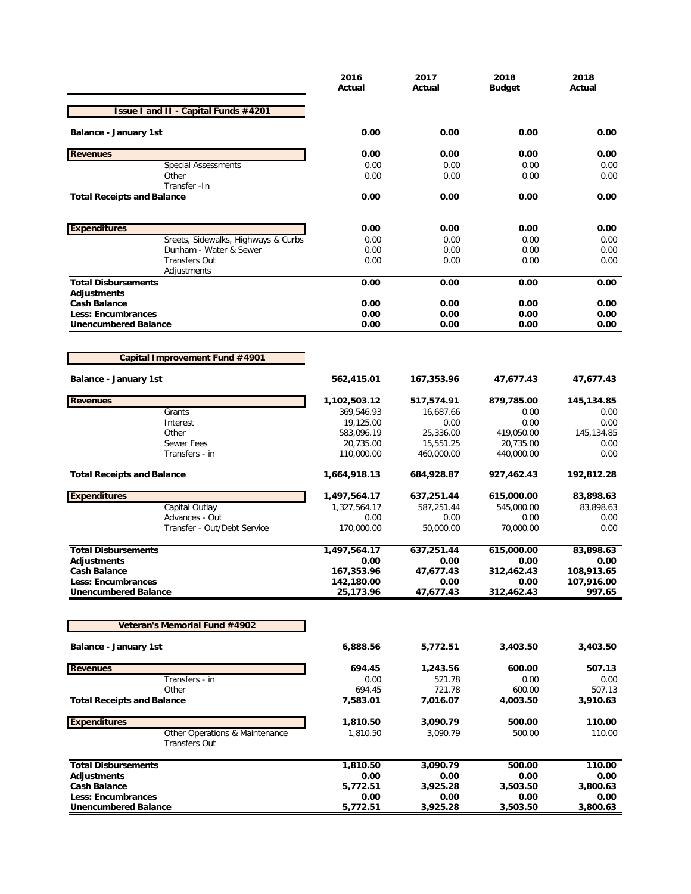|                                                        | 2016<br>Actual           | 2017<br>Actual         | 2018<br>Budget          | 2018<br>Actual     |
|--------------------------------------------------------|--------------------------|------------------------|-------------------------|--------------------|
| <b>Issue I and II - Capital Funds #4201</b>            |                          |                        |                         |                    |
| <b>Balance - January 1st</b>                           | 0.00                     | 0.00                   | 0.00                    | 0.00               |
| <b>Revenues</b>                                        | 0.00                     | 0.00                   | 0.00                    | 0.00               |
| <b>Special Assessments</b>                             | 0.00                     | 0.00                   | 0.00                    | 0.00               |
| Other                                                  | 0.00                     | 0.00                   | 0.00                    | 0.00               |
| Transfer - In<br><b>Total Receipts and Balance</b>     | 0.00                     | 0.00                   | 0.00                    | 0.00               |
| <b>Expenditures</b>                                    | 0.00                     | 0.00                   | 0.00                    | 0.00               |
| Sreets, Sidewalks, Highways & Curbs                    | 0.00                     | 0.00                   | 0.00                    | 0.00               |
| Dunham - Water & Sewer                                 | 0.00                     | 0.00                   | 0.00                    | 0.00               |
| <b>Transfers Out</b>                                   | 0.00                     | 0.00                   | 0.00                    | 0.00               |
| Adjustments                                            |                          |                        |                         |                    |
| <b>Total Disbursements</b><br><b>Adjustments</b>       | 0.00                     | 0.00                   | 0.00                    | 0.00               |
| <b>Cash Balance</b>                                    | 0.00                     | 0.00                   | 0.00                    | 0.00               |
| <b>Less: Encumbrances</b>                              | 0.00                     | 0.00                   | 0.00                    | 0.00               |
| <b>Unencumbered Balance</b>                            | 0.00                     | 0.00                   | 0.00                    | 0.00               |
|                                                        |                          |                        |                         |                    |
| Capital Improvement Fund #4901                         |                          |                        |                         |                    |
| <b>Balance - January 1st</b>                           | 562,415.01               | 167,353.96             | 47,677.43               | 47,677.43          |
| <b>Revenues</b>                                        | 1,102,503.12             | 517,574.91             | 879,785.00              | 145,134.85         |
| Grants                                                 | 369,546.93               | 16,687.66              | 0.00                    | 0.00               |
| Interest<br>Other                                      | 19,125.00                | 0.00                   | 0.00                    | 0.00               |
| <b>Sewer Fees</b>                                      | 583,096.19<br>20,735.00  | 25,336.00<br>15,551.25 | 419,050.00<br>20,735.00 | 145,134.85<br>0.00 |
| Transfers - in                                         | 110,000.00               | 460,000.00             | 440,000.00              | 0.00               |
| <b>Total Receipts and Balance</b>                      | 1,664,918.13             | 684,928.87             | 927,462.43              | 192,812.28         |
| <b>Expenditures</b>                                    | 1,497,564.17             | 637,251.44             | 615,000.00              | 83,898.63          |
| Capital Outlay                                         | 1,327,564.17             | 587,251.44             | 545,000.00              | 83,898.63          |
| Advances - Out                                         | 0.00                     | 0.00                   | 0.00                    | 0.00               |
| Transfer - Out/Debt Service                            | 170,000.00               | 50,000.00              | 70,000.00               | 0.00               |
| <b>Total Disbursements</b>                             | 1,497,564.17             | 637,251.44             | 615,000.00              | 83,898.63          |
| <b>Adjustments</b>                                     | 0.00                     | 0.00                   | 0.00                    | 0.00<br>108,913.65 |
| <b>Cash Balance</b><br><b>Less: Encumbrances</b>       | 167,353.96<br>142,180.00 | 47,677.43<br>0.00      | 312,462.43<br>0.00      | 107,916.00         |
| <b>Unencumbered Balance</b>                            | 25,173.96                | 47,677.43              | 312,462.43              | 997.65             |
|                                                        |                          |                        |                         |                    |
| Veteran's Memorial Fund #4902                          |                          |                        |                         |                    |
| <b>Balance - January 1st</b>                           | 6,888.56                 | 5,772.51               | 3,403.50                | 3,403.50           |
| <b>Revenues</b>                                        | 694.45                   | 1,243.56               | 600.00                  | 507.13             |
| Transfers - in                                         | 0.00                     | 521.78                 | 0.00                    | 0.00               |
| Other                                                  | 694.45                   | 721.78                 | 600.00                  | 507.13             |
| <b>Total Receipts and Balance</b>                      | 7,583.01                 | 7,016.07               | 4,003.50                | 3,910.63           |
| <b>Expenditures</b>                                    | 1,810.50                 | 3,090.79               | 500.00                  | 110.00             |
| Other Operations & Maintenance<br><b>Transfers Out</b> | 1,810.50                 | 3,090.79               | 500.00                  | 110.00             |
| <b>Total Disbursements</b>                             | 1,810.50                 | 3,090.79               | 500.00                  | 110.00             |
| Adjustments                                            | 0.00                     | 0.00                   | 0.00                    | 0.00               |
| <b>Cash Balance</b>                                    | 5,772.51                 | 3,925.28               | 3,503.50                | 3,800.63           |
| <b>Less: Encumbrances</b>                              | 0.00                     | 0.00                   | 0.00                    | 0.00               |
| <b>Unencumbered Balance</b>                            | 5,772.51                 | 3,925.28               | 3,503.50                | 3,800.63           |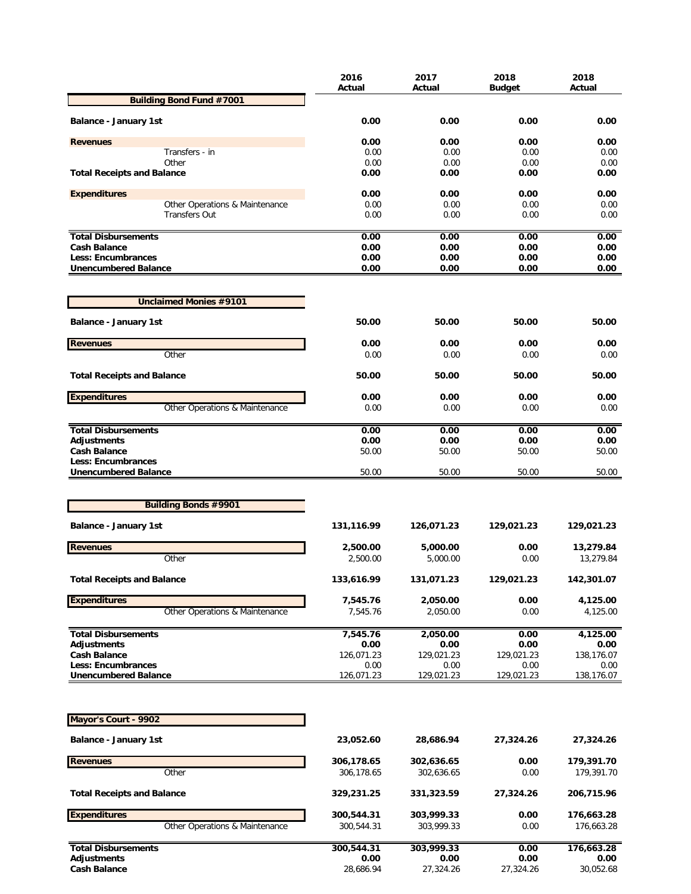|                                                   | 2016<br>Actual | 2017<br>Actual     | 2018<br><b>Budget</b> | 2018<br>Actual |
|---------------------------------------------------|----------------|--------------------|-----------------------|----------------|
| <b>Building Bond Fund #7001</b>                   |                |                    |                       |                |
| <b>Balance - January 1st</b>                      | 0.00           | 0.00               | 0.00                  | 0.00           |
|                                                   | 0.00           | 0.00               | 0.00                  | 0.00           |
| <b>Revenues</b><br>Transfers - in                 | 0.00           | 0.00               | 0.00                  | 0.00           |
| Other                                             | 0.00           | 0.00               | 0.00                  | 0.00           |
| <b>Total Receipts and Balance</b>                 | 0.00           | 0.00               | 0.00                  | 0.00           |
| <b>Expenditures</b>                               | 0.00           | 0.00               | 0.00                  | 0.00           |
| Other Operations & Maintenance                    | 0.00           | 0.00               | 0.00                  | 0.00           |
| <b>Transfers Out</b>                              | 0.00           | 0.00               | 0.00                  | 0.00           |
| <b>Total Disbursements</b>                        | 0.00           | 0.00               | 0.00                  | 0.00           |
| <b>Cash Balance</b>                               | 0.00           | 0.00               | 0.00                  | 0.00           |
| Less: Encumbrances<br><b>Unencumbered Balance</b> | 0.00<br>0.00   | 0.00<br>0.00       | 0.00<br>0.00          | 0.00<br>0.00   |
|                                                   |                |                    |                       |                |
| <b>Unclaimed Monies #9101</b>                     |                |                    |                       |                |
| <b>Balance - January 1st</b>                      | 50.00          | 50.00              | 50.00                 | 50.00          |
| <b>Revenues</b>                                   | 0.00           | 0.00               | 0.00                  | 0.00           |
| Other                                             | 0.00           | 0.00               | 0.00                  | 0.00           |
| <b>Total Receipts and Balance</b>                 | 50.00          | 50.00              | 50.00                 | 50.00          |
| <b>Expenditures</b>                               | 0.00           | 0.00               | 0.00                  | 0.00           |
| Other Operations & Maintenance                    | 0.00           | 0.00               | 0.00                  | 0.00           |
| <b>Total Disbursements</b>                        | 0.00           | 0.00               | 0.00                  | 0.00           |
| <b>Adjustments</b>                                | 0.00           | 0.00               | 0.00                  | 0.00           |
| Cash Balance                                      | 50.00          | 50.00              | 50.00                 | 50.00          |
| Less: Encumbrances<br><b>Unencumbered Balance</b> | 50.00          | 50.00              | 50.00                 | 50.00          |
|                                                   |                |                    |                       |                |
| <b>Building Bonds #9901</b>                       |                |                    |                       |                |
| <b>Balance - January 1st</b>                      | 131,116.99     | 126,071.23         | 129,021.23            | 129,021.23     |
| <b>Revenues</b>                                   | 2,500.00       | 5,000.00           | 0.00                  | 13,279.84      |
| Other                                             | 2,500.00       | 5,000.00           | 0.00                  | 13,279.84      |
| <b>Total Receipts and Balance</b>                 | 133,616.99     | 131,071.23         | 129,021.23            | 142,301.07     |
| <b>Expenditures</b>                               | 7,545.76       | 2,050.00           | 0.00                  | 4,125.00       |
| Other Operations & Maintenance                    | 7,545.76       | 2,050.00           | 0.00                  | 4,125.00       |
| <b>Total Disbursements</b>                        | 7,545.76       | 2,050.00           | 0.00                  | 4,125.00       |
| <b>Adjustments</b>                                | 0.00           | 0.00               | 0.00                  | 0.00           |
| <b>Cash Balance</b>                               | 126,071.23     | 129,021.23         | 129,021.23            | 138,176.07     |
| <b>Less: Encumbrances</b>                         | 0.00           | 0.00<br>129,021.23 | 0.00                  | 0.00           |
| <b>Unencumbered Balance</b>                       | 126,071.23     |                    | 129,021.23            | 138,176.07     |
| Mayor's Court - 9902                              |                |                    |                       |                |
| <b>Balance - January 1st</b>                      | 23,052.60      | 28,686.94          | 27,324.26             | 27,324.26      |
| <b>Revenues</b>                                   | 306,178.65     | 302,636.65         | 0.00                  | 179,391.70     |
| Other                                             | 306,178.65     | 302,636.65         | 0.00                  | 179,391.70     |
| <b>Total Receipts and Balance</b>                 | 329,231.25     | 331,323.59         | 27,324.26             | 206,715.96     |
| <b>Expenditures</b>                               | 300,544.31     | 303,999.33         | 0.00                  | 176,663.28     |
| Other Operations & Maintenance                    | 300,544.31     | 303,999.33         | 0.00                  | 176,663.28     |
| <b>Total Disbursements</b>                        | 300,544.31     | 303,999.33         | 0.00                  | 176,663.28     |
| <b>Adjustments</b>                                | 0.00           | 0.00               | 0.00                  | 0.00           |
| <b>Cash Balance</b>                               | 28,686.94      | 27,324.26          | 27,324.26             | 30,052.68      |